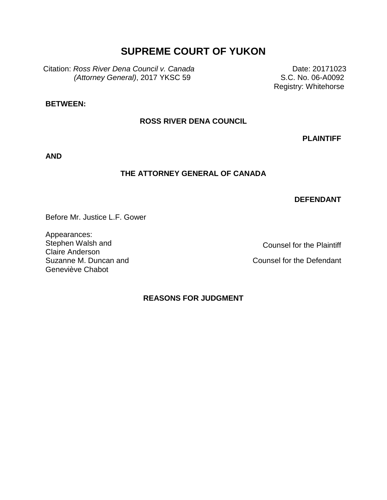# **SUPREME COURT OF YUKON**

Citation: *Ross River Dena Council v. Canada (Attorney General)*, 2017 YKSC 59

Date: 20171023 S.C. No. 06-A0092 Registry: Whitehorse

# **BETWEEN:**

#### **ROSS RIVER DENA COUNCIL**

**PLAINTIFF**

**AND**

# **THE ATTORNEY GENERAL OF CANADA**

#### **DEFENDANT**

Before Mr. Justice L.F. Gower

Appearances: Stephen Walsh and Claire Anderson Suzanne M. Duncan and Geneviève Chabot

Counsel for the Plaintiff

Counsel for the Defendant

# **REASONS FOR JUDGMENT**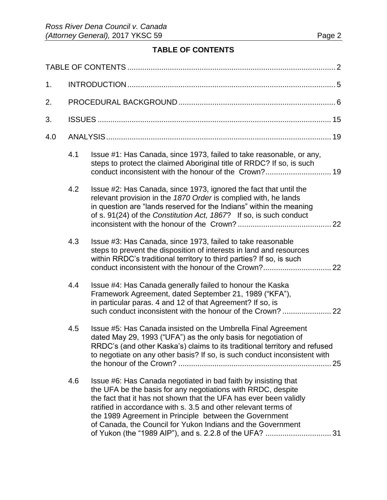# **TABLE OF CONTENTS**

<span id="page-1-0"></span>

| 1.  |     |                                                                                                                                                                                                                                                                                                                                                                                                |  |
|-----|-----|------------------------------------------------------------------------------------------------------------------------------------------------------------------------------------------------------------------------------------------------------------------------------------------------------------------------------------------------------------------------------------------------|--|
| 2.  |     |                                                                                                                                                                                                                                                                                                                                                                                                |  |
| 3.  |     |                                                                                                                                                                                                                                                                                                                                                                                                |  |
| 4.0 |     |                                                                                                                                                                                                                                                                                                                                                                                                |  |
|     | 4.1 | Issue #1: Has Canada, since 1973, failed to take reasonable, or any,<br>steps to protect the claimed Aboriginal title of RRDC? If so, is such                                                                                                                                                                                                                                                  |  |
|     | 4.2 | Issue #2: Has Canada, since 1973, ignored the fact that until the<br>relevant provision in the 1870 Order is complied with, he lands<br>in question are "lands reserved for the Indians" within the meaning<br>of s. 91(24) of the Constitution Act, 1867? If so, is such conduct                                                                                                              |  |
|     | 4.3 | Issue #3: Has Canada, since 1973, failed to take reasonable<br>steps to prevent the disposition of interests in land and resources<br>within RRDC's traditional territory to third parties? If so, is such                                                                                                                                                                                     |  |
|     | 4.4 | Issue #4: Has Canada generally failed to honour the Kaska<br>Framework Agreement, dated September 21, 1989 ("KFA"),<br>in particular paras. 4 and 12 of that Agreement? If so, is<br>such conduct inconsistent with the honour of the Crown?  22                                                                                                                                               |  |
|     | 4.5 | Issue #5: Has Canada insisted on the Umbrella Final Agreement<br>dated May 29, 1993 ("UFA") as the only basis for negotiation of<br>RRDC's (and other Kaska's) claims to its traditional territory and refused<br>to negotiate on any other basis? If so, is such conduct inconsistent with                                                                                                    |  |
|     | 4.6 | Issue #6: Has Canada negotiated in bad faith by insisting that<br>the UFA be the basis for any negotiations with RRDC, despite<br>the fact that it has not shown that the UFA has ever been validly<br>ratified in accordance with s, 3.5 and other relevant terms of<br>the 1989 Agreement in Principle between the Government<br>of Canada, the Council for Yukon Indians and the Government |  |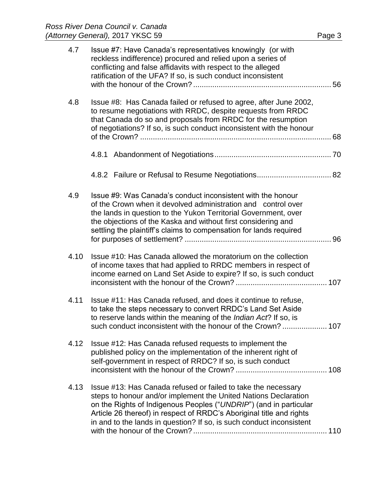| 4.7  | Issue #7: Have Canada's representatives knowingly (or with<br>reckless indifference) procured and relied upon a series of<br>conflicting and false affidavits with respect to the alleged<br>ratification of the UFA? If so, is such conduct inconsistent                                                                                             |  |  |
|------|-------------------------------------------------------------------------------------------------------------------------------------------------------------------------------------------------------------------------------------------------------------------------------------------------------------------------------------------------------|--|--|
| 4.8  | Issue #8: Has Canada failed or refused to agree, after June 2002,<br>to resume negotiations with RRDC, despite requests from RRDC<br>that Canada do so and proposals from RRDC for the resumption<br>of negotiations? If so, is such conduct inconsistent with the honour                                                                             |  |  |
|      |                                                                                                                                                                                                                                                                                                                                                       |  |  |
|      |                                                                                                                                                                                                                                                                                                                                                       |  |  |
| 4.9  | Issue #9: Was Canada's conduct inconsistent with the honour<br>of the Crown when it devolved administration and control over<br>the lands in question to the Yukon Territorial Government, over<br>the objections of the Kaska and without first considering and<br>settling the plaintiff's claims to compensation for lands required                |  |  |
| 4.10 | Issue #10: Has Canada allowed the moratorium on the collection<br>of income taxes that had applied to RRDC members in respect of<br>income earned on Land Set Aside to expire? If so, is such conduct                                                                                                                                                 |  |  |
| 4.11 | Issue #11: Has Canada refused, and does it continue to refuse,<br>to take the steps necessary to convert RRDC's Land Set Aside<br>to reserve lands within the meaning of the Indian Act? If so, is<br>such conduct inconsistent with the honour of the Crown?<br>107.                                                                                 |  |  |
| 4.12 | Issue #12: Has Canada refused requests to implement the<br>published policy on the implementation of the inherent right of<br>self-government in respect of RRDC? If so, is such conduct                                                                                                                                                              |  |  |
| 4.13 | Issue #13: Has Canada refused or failed to take the necessary<br>steps to honour and/or implement the United Nations Declaration<br>on the Rights of Indigenous Peoples ("UNDRIP") (and in particular<br>Article 26 thereof) in respect of RRDC's Aboriginal title and rights<br>in and to the lands in question? If so, is such conduct inconsistent |  |  |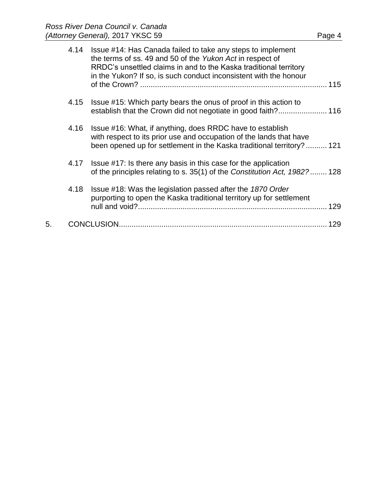|    | 4.14 | Issue #14: Has Canada failed to take any steps to implement<br>the terms of ss. 49 and 50 of the Yukon Act in respect of<br>RRDC's unsettled claims in and to the Kaska traditional territory<br>in the Yukon? If so, is such conduct inconsistent with the honour |
|----|------|--------------------------------------------------------------------------------------------------------------------------------------------------------------------------------------------------------------------------------------------------------------------|
|    |      |                                                                                                                                                                                                                                                                    |
|    | 4.15 | Issue #15: Which party bears the onus of proof in this action to                                                                                                                                                                                                   |
|    | 4.16 | Issue #16: What, if anything, does RRDC have to establish<br>with respect to its prior use and occupation of the lands that have<br>been opened up for settlement in the Kaska traditional territory? 121                                                          |
|    | 4.17 | Issue #17: Is there any basis in this case for the application<br>of the principles relating to s. 35(1) of the Constitution Act, 1982? 128                                                                                                                        |
|    | 4.18 | Issue #18: Was the legislation passed after the 1870 Order<br>purporting to open the Kaska traditional territory up for settlement<br>129                                                                                                                          |
| 5. |      | 129                                                                                                                                                                                                                                                                |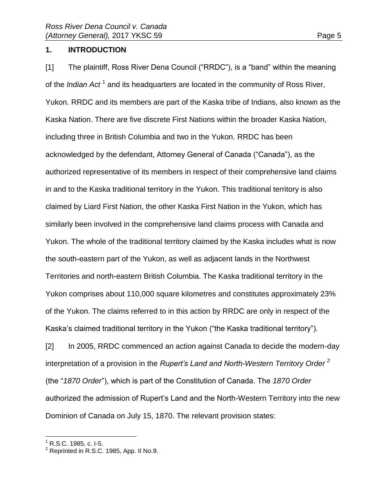#### <span id="page-4-0"></span>**1. INTRODUCTION**

[1] The plaintiff, Ross River Dena Council ("RRDC"), is a "band" within the meaning of the *Indian Act*<sup>1</sup> and its headquarters are located in the community of Ross River, Yukon. RRDC and its members are part of the Kaska tribe of Indians, also known as the Kaska Nation. There are five discrete First Nations within the broader Kaska Nation, including three in British Columbia and two in the Yukon. RRDC has been acknowledged by the defendant, Attorney General of Canada ("Canada"), as the authorized representative of its members in respect of their comprehensive land claims in and to the Kaska traditional territory in the Yukon. This traditional territory is also claimed by Liard First Nation, the other Kaska First Nation in the Yukon, which has similarly been involved in the comprehensive land claims process with Canada and Yukon. The whole of the traditional territory claimed by the Kaska includes what is now the south-eastern part of the Yukon, as well as adjacent lands in the Northwest Territories and north-eastern British Columbia. The Kaska traditional territory in the Yukon comprises about 110,000 square kilometres and constitutes approximately 23% of the Yukon. The claims referred to in this action by RRDC are only in respect of the Kaska's claimed traditional territory in the Yukon ("the Kaska traditional territory").

[2] In 2005, RRDC commenced an action against Canada to decide the modern-day interpretation of a provision in the *Rupert's Land and North-Western Territory Order <sup>2</sup>* (the "*1870 Order*"), which is part of the Constitution of Canada. The *1870 Order* authorized the admission of Rupert's Land and the North-Western Territory into the new Dominion of Canada on July 15, 1870. The relevant provision states:

 $\overline{a}$  $^{1}$  R.S.C. 1985, c. I-5.

 $2^2$  Reprinted in R.S.C. 1985, App. II No.9.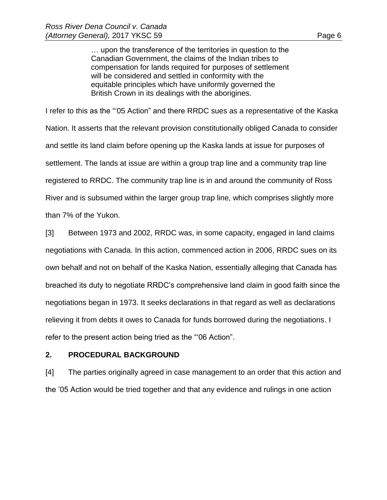… upon the transference of the territories in question to the Canadian Government, the claims of the Indian tribes to compensation for lands required for purposes of settlement will be considered and settled in conformity with the equitable principles which have uniformly governed the British Crown in its dealings with the aborigines.

I refer to this as the "'05 Action" and there RRDC sues as a representative of the Kaska Nation. It asserts that the relevant provision constitutionally obliged Canada to consider and settle its land claim before opening up the Kaska lands at issue for purposes of settlement. The lands at issue are within a group trap line and a community trap line registered to RRDC. The community trap line is in and around the community of Ross River and is subsumed within the larger group trap line, which comprises slightly more than 7% of the Yukon.

[3] Between 1973 and 2002, RRDC was, in some capacity, engaged in land claims negotiations with Canada. In this action, commenced action in 2006, RRDC sues on its own behalf and not on behalf of the Kaska Nation, essentially alleging that Canada has breached its duty to negotiate RRDC's comprehensive land claim in good faith since the negotiations began in 1973. It seeks declarations in that regard as well as declarations relieving it from debts it owes to Canada for funds borrowed during the negotiations. I refer to the present action being tried as the "'06 Action".

#### <span id="page-5-0"></span>**2. PROCEDURAL BACKGROUND**

[4] The parties originally agreed in case management to an order that this action and the '05 Action would be tried together and that any evidence and rulings in one action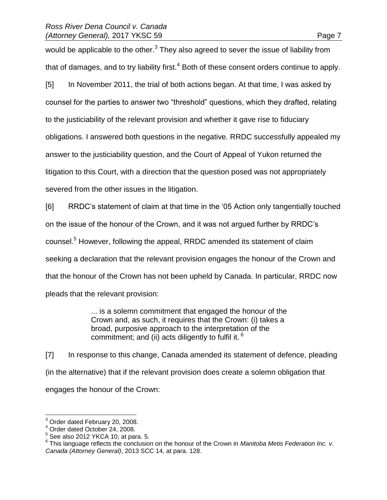would be applicable to the other. $3$  They also agreed to sever the issue of liability from that of damages, and to try liability first.<sup>4</sup> Both of these consent orders continue to apply. [5] In November 2011, the trial of both actions began. At that time, I was asked by counsel for the parties to answer two "threshold" questions, which they drafted, relating to the justiciability of the relevant provision and whether it gave rise to fiduciary obligations. I answered both questions in the negative. RRDC successfully appealed my answer to the justiciability question, and the Court of Appeal of Yukon returned the litigation to this Court, with a direction that the question posed was not appropriately severed from the other issues in the litigation.

[6] RRDC's statement of claim at that time in the '05 Action only tangentially touched on the issue of the honour of the Crown, and it was not argued further by RRDC's counsel.<sup>5</sup> However, following the appeal, RRDC amended its statement of claim seeking a declaration that the relevant provision engages the honour of the Crown and that the honour of the Crown has not been upheld by Canada. In particular, RRDC now pleads that the relevant provision:

> ... is a solemn commitment that engaged the honour of the Crown and, as such, it requires that the Crown: (i) takes a broad, purposive approach to the interpretation of the commitment; and (ii) acts diligently to fulfil it.  $6$

[7] In response to this change, Canada amended its statement of defence, pleading (in the alternative) that if the relevant provision does create a solemn obligation that engages the honour of the Crown:

 $^3$  Order dated February 20, 2008.

<sup>4</sup> Order dated October 24, 2008.

 $<sup>5</sup>$  See also 2012 YKCA 10, at para. 5.</sup>

<sup>6</sup> This language reflects the conclusion on the honour of the Crown in *Manitoba Metis Federation Inc. v. Canada (Attorney General)*, 2013 SCC 14, at para. 128.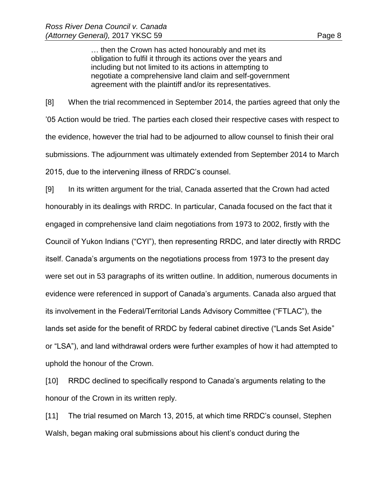… then the Crown has acted honourably and met its obligation to fulfil it through its actions over the years and including but not limited to its actions in attempting to negotiate a comprehensive land claim and self-government agreement with the plaintiff and/or its representatives.

[8] When the trial recommenced in September 2014, the parties agreed that only the '05 Action would be tried. The parties each closed their respective cases with respect to the evidence, however the trial had to be adjourned to allow counsel to finish their oral submissions. The adjournment was ultimately extended from September 2014 to March 2015, due to the intervening illness of RRDC's counsel.

[9] In its written argument for the trial, Canada asserted that the Crown had acted honourably in its dealings with RRDC. In particular, Canada focused on the fact that it engaged in comprehensive land claim negotiations from 1973 to 2002, firstly with the Council of Yukon Indians ("CYI"), then representing RRDC, and later directly with RRDC itself. Canada's arguments on the negotiations process from 1973 to the present day were set out in 53 paragraphs of its written outline. In addition, numerous documents in evidence were referenced in support of Canada's arguments. Canada also argued that its involvement in the Federal/Territorial Lands Advisory Committee ("FTLAC"), the lands set aside for the benefit of RRDC by federal cabinet directive ("Lands Set Aside" or "LSA"), and land withdrawal orders were further examples of how it had attempted to uphold the honour of the Crown.

[10] RRDC declined to specifically respond to Canada's arguments relating to the honour of the Crown in its written reply.

[11] The trial resumed on March 13, 2015, at which time RRDC's counsel, Stephen Walsh, began making oral submissions about his client's conduct during the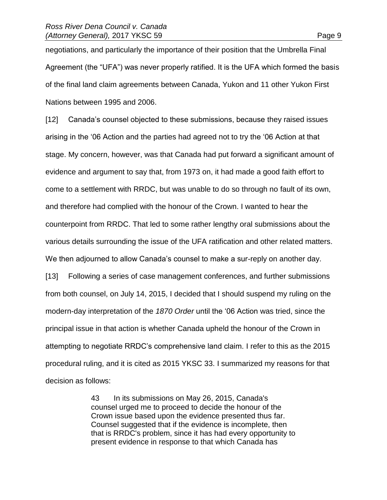negotiations, and particularly the importance of their position that the Umbrella Final Agreement (the "UFA") was never properly ratified. It is the UFA which formed the basis of the final land claim agreements between Canada, Yukon and 11 other Yukon First Nations between 1995 and 2006.

[12] Canada's counsel objected to these submissions, because they raised issues arising in the '06 Action and the parties had agreed not to try the '06 Action at that stage. My concern, however, was that Canada had put forward a significant amount of evidence and argument to say that, from 1973 on, it had made a good faith effort to come to a settlement with RRDC, but was unable to do so through no fault of its own, and therefore had complied with the honour of the Crown. I wanted to hear the counterpoint from RRDC. That led to some rather lengthy oral submissions about the various details surrounding the issue of the UFA ratification and other related matters. We then adjourned to allow Canada's counsel to make a sur-reply on another day. [13] Following a series of case management conferences, and further submissions from both counsel, on July 14, 2015, I decided that I should suspend my ruling on the modern-day interpretation of the *1870 Order* until the '06 Action was tried, since the principal issue in that action is whether Canada upheld the honour of the Crown in attempting to negotiate RRDC's comprehensive land claim. I refer to this as the 2015 procedural ruling, and it is cited as 2015 YKSC 33. I summarized my reasons for that

decision as follows:

43 In its submissions on May 26, 2015, Canada's counsel urged me to proceed to decide the honour of the Crown issue based upon the evidence presented thus far. Counsel suggested that if the evidence is incomplete, then that is RRDC's problem, since it has had every opportunity to present evidence in response to that which Canada has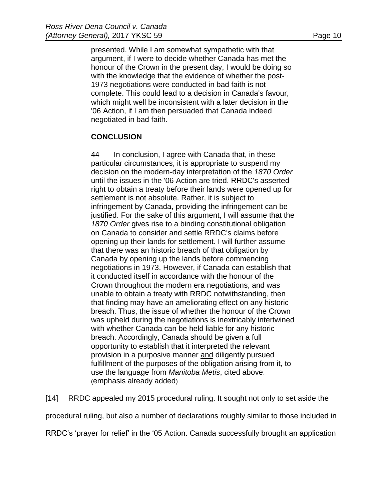presented. While I am somewhat sympathetic with that argument, if I were to decide whether Canada has met the honour of the Crown in the present day, I would be doing so with the knowledge that the evidence of whether the post-1973 negotiations were conducted in bad faith is not complete. This could lead to a decision in Canada's favour, which might well be inconsistent with a later decision in the '06 Action, if I am then persuaded that Canada indeed negotiated in bad faith.

#### **CONCLUSION**

44 In conclusion, I agree with Canada that, in these particular circumstances, it is appropriate to suspend my decision on the modern-day interpretation of the *1870 Order* until the issues in the '06 Action are tried. RRDC's asserted right to obtain a treaty before their lands were opened up for settlement is not absolute. Rather, it is subject to infringement by Canada, providing the infringement can be justified. For the sake of this argument, I will assume that the *1870 Order* gives rise to a binding constitutional obligation on Canada to consider and settle RRDC's claims before opening up their lands for settlement. I will further assume that there was an historic breach of that obligation by Canada by opening up the lands before commencing negotiations in 1973. However, if Canada can establish that it conducted itself in accordance with the honour of the Crown throughout the modern era negotiations, and was unable to obtain a treaty with RRDC notwithstanding, then that finding may have an ameliorating effect on any historic breach. Thus, the issue of whether the honour of the Crown was upheld during the negotiations is inextricably intertwined with whether Canada can be held liable for any historic breach. Accordingly, Canada should be given a full opportunity to establish that it interpreted the relevant provision in a purposive manner and diligently pursued fulfillment of the purposes of the obligation arising from it, to use the language from *Manitoba Metis*, cited above. (emphasis already added)

[14] RRDC appealed my 2015 procedural ruling. It sought not only to set aside the

procedural ruling, but also a number of declarations roughly similar to those included in

RRDC's 'prayer for relief' in the '05 Action. Canada successfully brought an application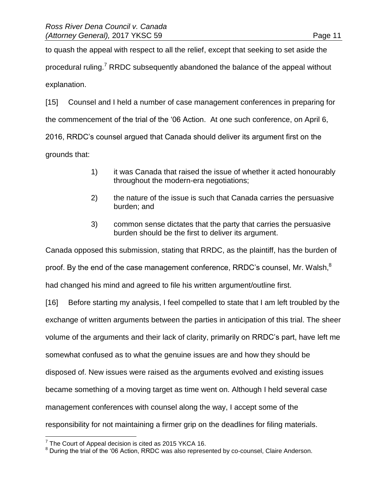to quash the appeal with respect to all the relief, except that seeking to set aside the procedural ruling.<sup>7</sup> RRDC subsequently abandoned the balance of the appeal without explanation.

[15] Counsel and I held a number of case management conferences in preparing for the commencement of the trial of the '06 Action. At one such conference, on April 6, 2016, RRDC's counsel argued that Canada should deliver its argument first on the grounds that:

- 1) it was Canada that raised the issue of whether it acted honourably throughout the modern-era negotiations;
- 2) the nature of the issue is such that Canada carries the persuasive burden; and
- 3) common sense dictates that the party that carries the persuasive burden should be the first to deliver its argument.

Canada opposed this submission, stating that RRDC, as the plaintiff, has the burden of proof. By the end of the case management conference, RRDC's counsel, Mr. Walsh, $^8$ had changed his mind and agreed to file his written argument/outline first. [16] Before starting my analysis, I feel compelled to state that I am left troubled by the exchange of written arguments between the parties in anticipation of this trial. The sheer volume of the arguments and their lack of clarity, primarily on RRDC's part, have left me somewhat confused as to what the genuine issues are and how they should be

disposed of. New issues were raised as the arguments evolved and existing issues

became something of a moving target as time went on. Although I held several case

management conferences with counsel along the way, I accept some of the

responsibility for not maintaining a firmer grip on the deadlines for filing materials.

 $\overline{a}$  $7$  The Court of Appeal decision is cited as 2015 YKCA 16.

<sup>8</sup> During the trial of the '06 Action, RRDC was also represented by co-counsel, Claire Anderson.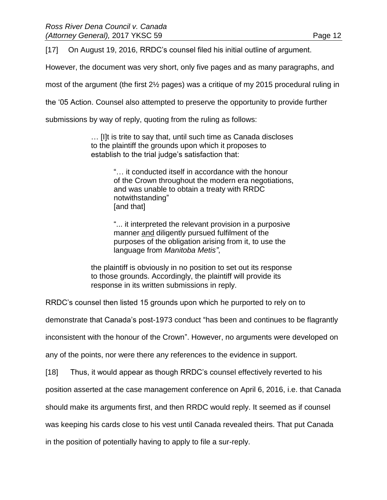[17] On August 19, 2016, RRDC's counsel filed his initial outline of argument.

However, the document was very short, only five pages and as many paragraphs, and

most of the argument (the first 2½ pages) was a critique of my 2015 procedural ruling in

the '05 Action. Counsel also attempted to preserve the opportunity to provide further

submissions by way of reply, quoting from the ruling as follows:

… [I]t is trite to say that, until such time as Canada discloses to the plaintiff the grounds upon which it proposes to establish to the trial judge's satisfaction that:

> "… it conducted itself in accordance with the honour of the Crown throughout the modern era negotiations, and was unable to obtain a treaty with RRDC notwithstanding" [and that]

"... it interpreted the relevant provision in a purposive manner and diligently pursued fulfilment of the purposes of the obligation arising from it, to use the language from *Manitoba Metis"*,

the plaintiff is obviously in no position to set out its response to those grounds. Accordingly, the plaintiff will provide its response in its written submissions in reply.

RRDC's counsel then listed 15 grounds upon which he purported to rely on to

demonstrate that Canada's post-1973 conduct "has been and continues to be flagrantly

inconsistent with the honour of the Crown". However, no arguments were developed on

any of the points, nor were there any references to the evidence in support.

[18] Thus, it would appear as though RRDC's counsel effectively reverted to his

position asserted at the case management conference on April 6, 2016, i.e. that Canada

should make its arguments first, and then RRDC would reply. It seemed as if counsel

was keeping his cards close to his vest until Canada revealed theirs. That put Canada

in the position of potentially having to apply to file a sur-reply.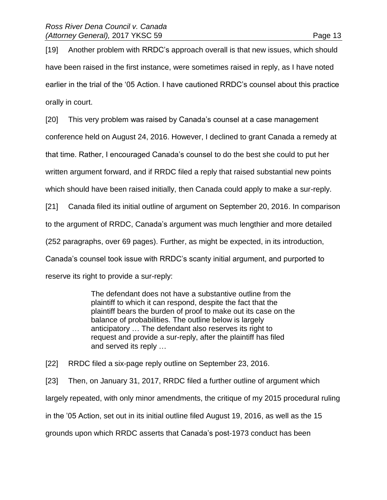[19] Another problem with RRDC's approach overall is that new issues, which should have been raised in the first instance, were sometimes raised in reply, as I have noted earlier in the trial of the '05 Action. I have cautioned RRDC's counsel about this practice orally in court.

[20] This very problem was raised by Canada's counsel at a case management conference held on August 24, 2016. However, I declined to grant Canada a remedy at that time. Rather, I encouraged Canada's counsel to do the best she could to put her written argument forward, and if RRDC filed a reply that raised substantial new points which should have been raised initially, then Canada could apply to make a sur-reply. [21] Canada filed its initial outline of argument on September 20, 2016. In comparison

to the argument of RRDC, Canada's argument was much lengthier and more detailed

(252 paragraphs, over 69 pages). Further, as might be expected, in its introduction,

Canada's counsel took issue with RRDC's scanty initial argument, and purported to

reserve its right to provide a sur-reply:

The defendant does not have a substantive outline from the plaintiff to which it can respond, despite the fact that the plaintiff bears the burden of proof to make out its case on the balance of probabilities. The outline below is largely anticipatory … The defendant also reserves its right to request and provide a sur-reply, after the plaintiff has filed and served its reply …

[22] RRDC filed a six-page reply outline on September 23, 2016.

[23] Then, on January 31, 2017, RRDC filed a further outline of argument which largely repeated, with only minor amendments, the critique of my 2015 procedural ruling in the '05 Action, set out in its initial outline filed August 19, 2016, as well as the 15 grounds upon which RRDC asserts that Canada's post-1973 conduct has been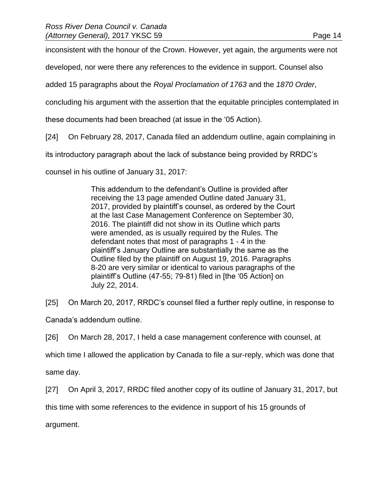inconsistent with the honour of the Crown. However, yet again, the arguments were not

developed, nor were there any references to the evidence in support. Counsel also

added 15 paragraphs about the *Royal Proclamation of 1763* and the *1870 Order*,

concluding his argument with the assertion that the equitable principles contemplated in

these documents had been breached (at issue in the '05 Action).

[24] On February 28, 2017, Canada filed an addendum outline, again complaining in

its introductory paragraph about the lack of substance being provided by RRDC's

counsel in his outline of January 31, 2017:

This addendum to the defendant's Outline is provided after receiving the 13 page amended Outline dated January 31, 2017, provided by plaintiff's counsel, as ordered by the Court at the last Case Management Conference on September 30, 2016. The plaintiff did not show in its Outline which parts were amended, as is usually required by the Rules. The defendant notes that most of paragraphs 1 - 4 in the plaintiff's January Outline are substantially the same as the Outline filed by the plaintiff on August 19, 2016. Paragraphs 8-20 are very similar or identical to various paragraphs of the plaintiff's Outline (47-55; 79-81) filed in [the '05 Action] on July 22, 2014.

[25] On March 20, 2017, RRDC's counsel filed a further reply outline, in response to

Canada's addendum outline.

[26] On March 28, 2017, I held a case management conference with counsel, at

which time I allowed the application by Canada to file a sur-reply, which was done that

same day.

[27] On April 3, 2017, RRDC filed another copy of its outline of January 31, 2017, but

this time with some references to the evidence in support of his 15 grounds of

argument.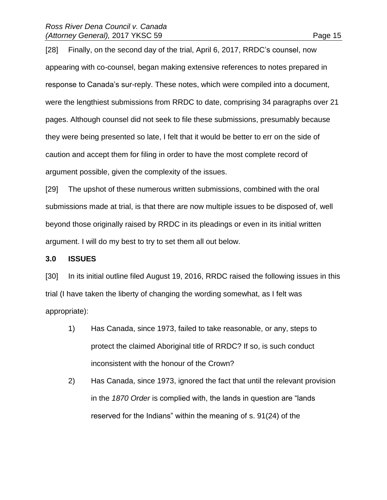[28] Finally, on the second day of the trial, April 6, 2017, RRDC's counsel, now appearing with co-counsel, began making extensive references to notes prepared in response to Canada's sur-reply. These notes, which were compiled into a document, were the lengthiest submissions from RRDC to date, comprising 34 paragraphs over 21 pages. Although counsel did not seek to file these submissions, presumably because they were being presented so late, I felt that it would be better to err on the side of caution and accept them for filing in order to have the most complete record of argument possible, given the complexity of the issues.

[29] The upshot of these numerous written submissions, combined with the oral submissions made at trial, is that there are now multiple issues to be disposed of, well beyond those originally raised by RRDC in its pleadings or even in its initial written argument. I will do my best to try to set them all out below.

#### <span id="page-14-0"></span>**3.0 ISSUES**

[30] In its initial outline filed August 19, 2016, RRDC raised the following issues in this trial (I have taken the liberty of changing the wording somewhat, as I felt was appropriate):

- 1) Has Canada, since 1973, failed to take reasonable, or any, steps to protect the claimed Aboriginal title of RRDC? If so, is such conduct inconsistent with the honour of the Crown?
- 2) Has Canada, since 1973, ignored the fact that until the relevant provision in the *1870 Order* is complied with, the lands in question are "lands reserved for the Indians" within the meaning of s. 91(24) of the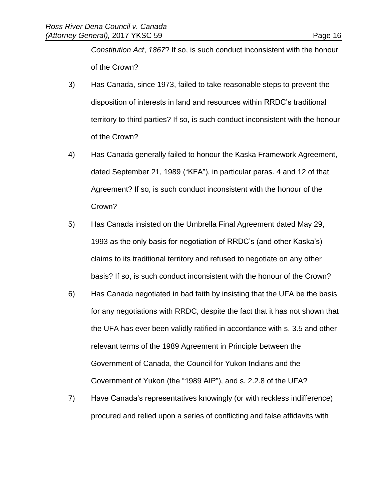*Constitution Act*, *1867*? If so, is such conduct inconsistent with the honour of the Crown?

- 3) Has Canada, since 1973, failed to take reasonable steps to prevent the disposition of interests in land and resources within RRDC's traditional territory to third parties? If so, is such conduct inconsistent with the honour of the Crown?
- 4) Has Canada generally failed to honour the Kaska Framework Agreement, dated September 21, 1989 ("KFA"), in particular paras. 4 and 12 of that Agreement? If so, is such conduct inconsistent with the honour of the Crown?
- 5) Has Canada insisted on the Umbrella Final Agreement dated May 29, 1993 as the only basis for negotiation of RRDC's (and other Kaska's) claims to its traditional territory and refused to negotiate on any other basis? If so, is such conduct inconsistent with the honour of the Crown?
- 6) Has Canada negotiated in bad faith by insisting that the UFA be the basis for any negotiations with RRDC, despite the fact that it has not shown that the UFA has ever been validly ratified in accordance with s. 3.5 and other relevant terms of the 1989 Agreement in Principle between the Government of Canada, the Council for Yukon Indians and the Government of Yukon (the "1989 AIP"), and s. 2.2.8 of the UFA?
- 7) Have Canada's representatives knowingly (or with reckless indifference) procured and relied upon a series of conflicting and false affidavits with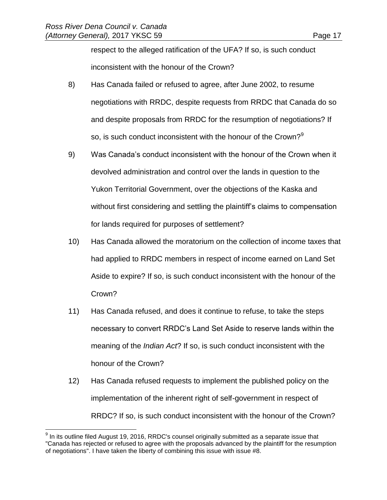$\overline{a}$ 

respect to the alleged ratification of the UFA? If so, is such conduct inconsistent with the honour of the Crown?

- 8) Has Canada failed or refused to agree, after June 2002, to resume negotiations with RRDC, despite requests from RRDC that Canada do so and despite proposals from RRDC for the resumption of negotiations? If so, is such conduct inconsistent with the honour of the Crown? $9^9$
- 9) Was Canada's conduct inconsistent with the honour of the Crown when it devolved administration and control over the lands in question to the Yukon Territorial Government, over the objections of the Kaska and without first considering and settling the plaintiff's claims to compensation for lands required for purposes of settlement?
- 10) Has Canada allowed the moratorium on the collection of income taxes that had applied to RRDC members in respect of income earned on Land Set Aside to expire? If so, is such conduct inconsistent with the honour of the Crown?
- 11) Has Canada refused, and does it continue to refuse, to take the steps necessary to convert RRDC's Land Set Aside to reserve lands within the meaning of the *Indian Act*? If so, is such conduct inconsistent with the honour of the Crown?
- 12) Has Canada refused requests to implement the published policy on the implementation of the inherent right of self-government in respect of RRDC? If so, is such conduct inconsistent with the honour of the Crown?

 $9$  In its outline filed August 19, 2016, RRDC's counsel originally submitted as a separate issue that "Canada has rejected or refused to agree with the proposals advanced by the plaintiff for the resumption of negotiations". I have taken the liberty of combining this issue with issue #8.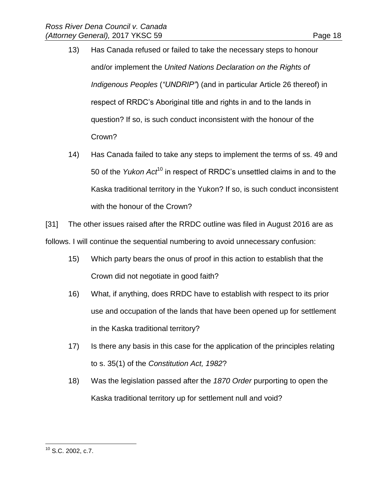- 13) Has Canada refused or failed to take the necessary steps to honour and/or implement the *United Nations Declaration on the Rights of Indigenous Peoples* (*"UNDRIP"*) (and in particular Article 26 thereof) in respect of RRDC's Aboriginal title and rights in and to the lands in question? If so, is such conduct inconsistent with the honour of the Crown?
- 14) Has Canada failed to take any steps to implement the terms of ss. 49 and 50 of the *Yukon Act*<sup>10</sup> in respect of RRDC's unsettled claims in and to the Kaska traditional territory in the Yukon? If so, is such conduct inconsistent with the honour of the Crown?

[31] The other issues raised after the RRDC outline was filed in August 2016 are as follows. I will continue the sequential numbering to avoid unnecessary confusion:

- 15) Which party bears the onus of proof in this action to establish that the Crown did not negotiate in good faith?
- 16) What, if anything, does RRDC have to establish with respect to its prior use and occupation of the lands that have been opened up for settlement in the Kaska traditional territory?
- 17) Is there any basis in this case for the application of the principles relating to s. 35(1) of the *Constitution Act, 1982*?
- 18) Was the legislation passed after the *1870 Order* purporting to open the Kaska traditional territory up for settlement null and void?

<span id="page-17-0"></span> $\overline{a}$  $10$  S.C. 2002, c.7.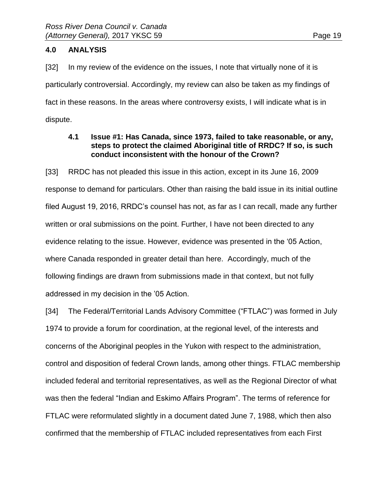# **4.0 ANALYSIS**

[32] In my review of the evidence on the issues, I note that virtually none of it is particularly controversial. Accordingly, my review can also be taken as my findings of fact in these reasons. In the areas where controversy exists, I will indicate what is in dispute.

# <span id="page-18-0"></span>**4.1 Issue #1: Has Canada, since 1973, failed to take reasonable, or any, steps to protect the claimed Aboriginal title of RRDC? If so, is such conduct inconsistent with the honour of the Crown?**

[33] RRDC has not pleaded this issue in this action, except in its June 16, 2009 response to demand for particulars. Other than raising the bald issue in its initial outline filed August 19, 2016, RRDC's counsel has not, as far as I can recall, made any further written or oral submissions on the point. Further, I have not been directed to any evidence relating to the issue. However, evidence was presented in the '05 Action, where Canada responded in greater detail than here. Accordingly, much of the following findings are drawn from submissions made in that context, but not fully addressed in my decision in the '05 Action.

[34] The Federal/Territorial Lands Advisory Committee ("FTLAC") was formed in July 1974 to provide a forum for coordination, at the regional level, of the interests and concerns of the Aboriginal peoples in the Yukon with respect to the administration, control and disposition of federal Crown lands, among other things. FTLAC membership included federal and territorial representatives, as well as the Regional Director of what was then the federal "Indian and Eskimo Affairs Program". The terms of reference for FTLAC were reformulated slightly in a document dated June 7, 1988, which then also confirmed that the membership of FTLAC included representatives from each First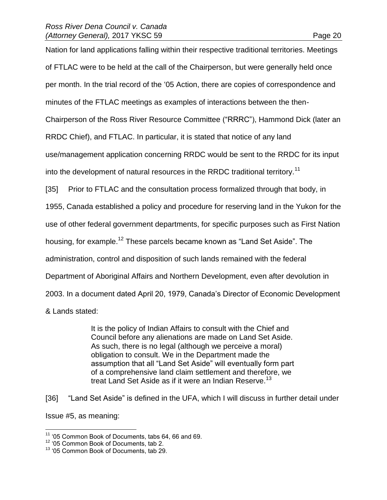Nation for land applications falling within their respective traditional territories. Meetings of FTLAC were to be held at the call of the Chairperson, but were generally held once per month. In the trial record of the '05 Action, there are copies of correspondence and minutes of the FTLAC meetings as examples of interactions between the then-Chairperson of the Ross River Resource Committee ("RRRC"), Hammond Dick (later an RRDC Chief), and FTLAC. In particular, it is stated that notice of any land use/management application concerning RRDC would be sent to the RRDC for its input into the development of natural resources in the RRDC traditional territory.<sup>11</sup> [35] Prior to FTLAC and the consultation process formalized through that body, in 1955, Canada established a policy and procedure for reserving land in the Yukon for the use of other federal government departments, for specific purposes such as First Nation housing, for example.<sup>12</sup> These parcels became known as "Land Set Aside". The administration, control and disposition of such lands remained with the federal Department of Aboriginal Affairs and Northern Development, even after devolution in 2003. In a document dated April 20, 1979, Canada's Director of Economic Development & Lands stated:

> It is the policy of Indian Affairs to consult with the Chief and Council before any alienations are made on Land Set Aside. As such, there is no legal (although we perceive a moral) obligation to consult. We in the Department made the assumption that all "Land Set Aside" will eventually form part of a comprehensive land claim settlement and therefore, we treat Land Set Aside as if it were an Indian Reserve.<sup>13</sup>

[36] "Land Set Aside" is defined in the UFA, which I will discuss in further detail under Issue #5, as meaning:

<sup>&</sup>lt;sup>11</sup> '05 Common Book of Documents, tabs 64, 66 and 69.

<sup>12</sup> '05 Common Book of Documents, tab 2.

<sup>&</sup>lt;sup>13</sup> '05 Common Book of Documents, tab 29.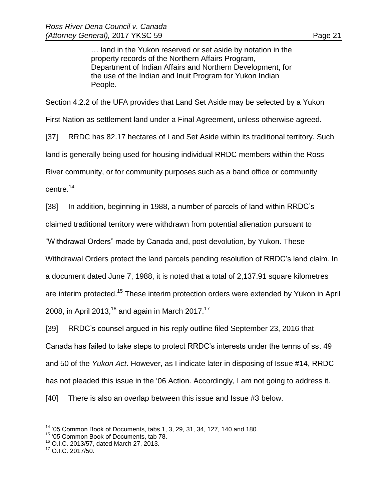… land in the Yukon reserved or set aside by notation in the property records of the Northern Affairs Program, Department of Indian Affairs and Northern Development, for the use of the Indian and Inuit Program for Yukon Indian People.

Section 4.2.2 of the UFA provides that Land Set Aside may be selected by a Yukon

First Nation as settlement land under a Final Agreement, unless otherwise agreed.

[37] RRDC has 82.17 hectares of Land Set Aside within its traditional territory. Such

land is generally being used for housing individual RRDC members within the Ross

River community, or for community purposes such as a band office or community

centre.<sup>14</sup>

[38] In addition, beginning in 1988, a number of parcels of land within RRDC's claimed traditional territory were withdrawn from potential alienation pursuant to "Withdrawal Orders" made by Canada and, post-devolution, by Yukon. These Withdrawal Orders protect the land parcels pending resolution of RRDC's land claim. In a document dated June 7, 1988, it is noted that a total of 2,137.91 square kilometres are interim protected.<sup>15</sup> These interim protection orders were extended by Yukon in April

2008, in April 2013,<sup>16</sup> and again in March 2017.<sup>17</sup>

[39] RRDC's counsel argued in his reply outline filed September 23, 2016 that Canada has failed to take steps to protect RRDC's interests under the terms of ss. 49 and 50 of the *Yukon Act*. However, as I indicate later in disposing of Issue #14, RRDC has not pleaded this issue in the '06 Action. Accordingly, I am not going to address it. [40] There is also an overlap between this issue and Issue #3 below.

<sup>&</sup>lt;sup>14</sup> '05 Common Book of Documents, tabs 1, 3, 29, 31, 34, 127, 140 and 180.

<sup>15</sup> '05 Common Book of Documents, tab 78.

<sup>16</sup> O.I.C. 2013/57, dated March 27, 2013.

<sup>17</sup> O.I.C. 2017/50.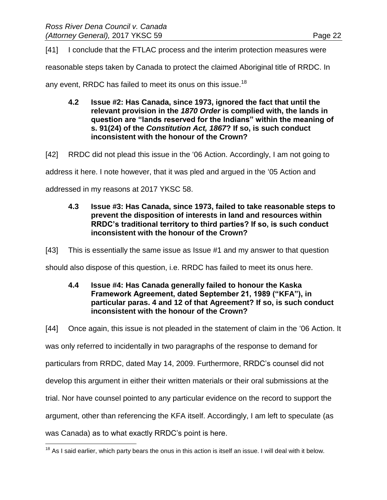[41] I conclude that the FTLAC process and the interim protection measures were

reasonable steps taken by Canada to protect the claimed Aboriginal title of RRDC. In

<span id="page-21-0"></span>any event. RRDC has failed to meet its onus on this issue.<sup>18</sup>

# **4.2 Issue #2: Has Canada, since 1973, ignored the fact that until the relevant provision in the** *1870 Order* **is complied with, the lands in question are "lands reserved for the Indians" within the meaning of s. 91(24) of the** *Constitution Act, 1867***? If so, is such conduct inconsistent with the honour of the Crown?**

[42] RRDC did not plead this issue in the '06 Action. Accordingly, I am not going to

address it here. I note however, that it was pled and argued in the '05 Action and

<span id="page-21-1"></span>addressed in my reasons at 2017 YKSC 58.

 $\overline{a}$ 

**4.3 Issue #3: Has Canada, since 1973, failed to take reasonable steps to prevent the disposition of interests in land and resources within RRDC's traditional territory to third parties? If so, is such conduct inconsistent with the honour of the Crown?**

[43] This is essentially the same issue as Issue #1 and my answer to that question

<span id="page-21-2"></span>should also dispose of this question, i.e. RRDC has failed to meet its onus here.

**4.4 Issue #4: Has Canada generally failed to honour the Kaska Framework Agreement, dated September 21, 1989 ("KFA"), in particular paras. 4 and 12 of that Agreement? If so, is such conduct inconsistent with the honour of the Crown?**

[44] Once again, this issue is not pleaded in the statement of claim in the '06 Action. It was only referred to incidentally in two paragraphs of the response to demand for particulars from RRDC, dated May 14, 2009. Furthermore, RRDC's counsel did not develop this argument in either their written materials or their oral submissions at the trial. Nor have counsel pointed to any particular evidence on the record to support the argument, other than referencing the KFA itself. Accordingly, I am left to speculate (as was Canada) as to what exactly RRDC's point is here.

 $18$  As I said earlier, which party bears the onus in this action is itself an issue. I will deal with it below.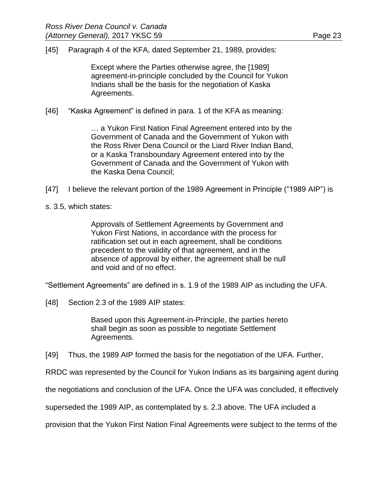[45] Paragraph 4 of the KFA, dated September 21, 1989, provides:

Except where the Parties otherwise agree, the [1989] agreement-in-principle concluded by the Council for Yukon Indians shall be the basis for the negotiation of Kaska Agreements.

[46] "Kaska Agreement" is defined in para. 1 of the KFA as meaning:

… a Yukon First Nation Final Agreement entered into by the Government of Canada and the Government of Yukon with the Ross River Dena Council or the Liard River Indian Band, or a Kaska Transboundary Agreement entered into by the Government of Canada and the Government of Yukon with the Kaska Dena Council;

- [47] I believe the relevant portion of the 1989 Agreement in Principle ("1989 AIP") is
- s. 3.5, which states:

Approvals of Settlement Agreements by Government and Yukon First Nations, in accordance with the process for ratification set out in each agreement, shall be conditions precedent to the validity of that agreement, and in the absence of approval by either, the agreement shall be null and void and of no effect.

"Settlement Agreements" are defined in s. 1.9 of the 1989 AIP as including the UFA.

[48] Section 2.3 of the 1989 AIP states:

Based upon this Agreement-in-Principle, the parties hereto shall begin as soon as possible to negotiate Settlement Agreements.

[49] Thus, the 1989 AIP formed the basis for the negotiation of the UFA. Further,

RRDC was represented by the Council for Yukon Indians as its bargaining agent during

the negotiations and conclusion of the UFA. Once the UFA was concluded, it effectively

superseded the 1989 AIP, as contemplated by s. 2.3 above. The UFA included a

provision that the Yukon First Nation Final Agreements were subject to the terms of the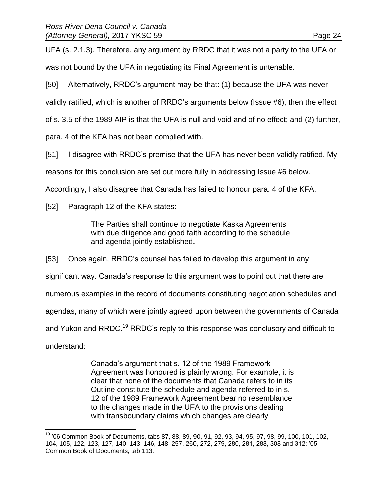UFA (s. 2.1.3). Therefore, any argument by RRDC that it was not a party to the UFA or was not bound by the UFA in negotiating its Final Agreement is untenable.

[50] Alternatively, RRDC's argument may be that: (1) because the UFA was never

validly ratified, which is another of RRDC's arguments below (Issue #6), then the effect

of s. 3.5 of the 1989 AIP is that the UFA is null and void and of no effect; and (2) further,

para. 4 of the KFA has not been complied with.

[51] I disagree with RRDC's premise that the UFA has never been validly ratified. My

reasons for this conclusion are set out more fully in addressing Issue #6 below.

Accordingly, I also disagree that Canada has failed to honour para. 4 of the KFA.

[52] Paragraph 12 of the KFA states:

The Parties shall continue to negotiate Kaska Agreements with due diligence and good faith according to the schedule and agenda jointly established.

[53] Once again, RRDC's counsel has failed to develop this argument in any significant way. Canada's response to this argument was to point out that there are numerous examples in the record of documents constituting negotiation schedules and agendas, many of which were jointly agreed upon between the governments of Canada

and Yukon and RRDC.<sup>19</sup> RRDC's reply to this response was conclusory and difficult to

understand:

 $\overline{a}$ 

Canada's argument that s. 12 of the 1989 Framework Agreement was honoured is plainly wrong. For example, it is clear that none of the documents that Canada refers to in its Outline constitute the schedule and agenda referred to in s. 12 of the 1989 Framework Agreement bear no resemblance to the changes made in the UFA to the provisions dealing with transboundary claims which changes are clearly

<sup>&</sup>lt;sup>19</sup> '06 Common Book of Documents, tabs 87, 88, 89, 90, 91, 92, 93, 94, 95, 97, 98, 99, 100, 101, 102, 104, 105, 122, 123, 127, 140, 143, 146, 148, 257, 260, 272, 279, 280, 281, 288, 308 and 312; '05 Common Book of Documents, tab 113.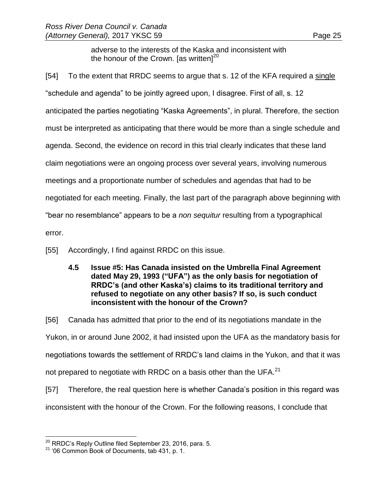adverse to the interests of the Kaska and inconsistent with the honour of the Crown. [as written] $^{20}$ 

[54] To the extent that RRDC seems to argue that s. 12 of the KFA required a single "schedule and agenda" to be jointly agreed upon, I disagree. First of all, s. 12 anticipated the parties negotiating "Kaska Agreements", in plural. Therefore, the section must be interpreted as anticipating that there would be more than a single schedule and agenda. Second, the evidence on record in this trial clearly indicates that these land claim negotiations were an ongoing process over several years, involving numerous meetings and a proportionate number of schedules and agendas that had to be negotiated for each meeting. Finally, the last part of the paragraph above beginning with "bear no resemblance" appears to be a *non sequitur* resulting from a typographical error.

<span id="page-24-0"></span>[55] Accordingly, I find against RRDC on this issue.

**4.5 Issue #5: Has Canada insisted on the Umbrella Final Agreement dated May 29, 1993 ("UFA") as the only basis for negotiation of RRDC's (and other Kaska's) claims to its traditional territory and refused to negotiate on any other basis? If so, is such conduct inconsistent with the honour of the Crown?**

[56] Canada has admitted that prior to the end of its negotiations mandate in the

Yukon, in or around June 2002, it had insisted upon the UFA as the mandatory basis for

negotiations towards the settlement of RRDC's land claims in the Yukon, and that it was

not prepared to negotiate with RRDC on a basis other than the UFA.<sup>21</sup>

[57] Therefore, the real question here is whether Canada's position in this regard was

inconsistent with the honour of the Crown. For the following reasons, I conclude that

 $^{20}$  RRDC's Reply Outline filed September 23, 2016, para. 5.

<sup>21</sup> '06 Common Book of Documents, tab 431, p. 1.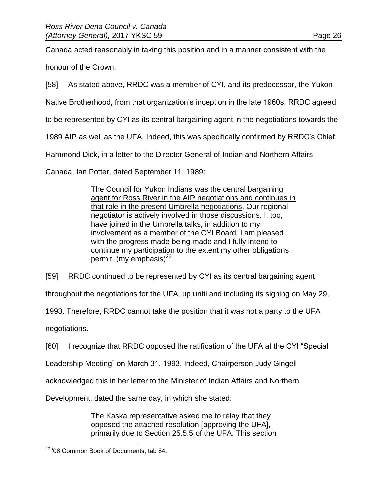Canada acted reasonably in taking this position and in a manner consistent with the

honour of the Crown.

[58] As stated above, RRDC was a member of CYI, and its predecessor, the Yukon

Native Brotherhood, from that organization's inception in the late 1960s. RRDC agreed

to be represented by CYI as its central bargaining agent in the negotiations towards the

1989 AIP as well as the UFA. Indeed, this was specifically confirmed by RRDC's Chief,

Hammond Dick, in a letter to the Director General of Indian and Northern Affairs

Canada, Ian Potter, dated September 11, 1989:

The Council for Yukon Indians was the central bargaining agent for Ross River in the AIP negotiations and continues in that role in the present Umbrella negotiations. Our regional negotiator is actively involved in those discussions. I, too, have joined in the Umbrella talks, in addition to my involvement as a member of the CYI Board. I am pleased with the progress made being made and I fully intend to continue my participation to the extent my other obligations permit. (my emphasis) $^{22}$ 

[59] RRDC continued to be represented by CYI as its central bargaining agent

throughout the negotiations for the UFA, up until and including its signing on May 29,

1993. Therefore, RRDC cannot take the position that it was not a party to the UFA

negotiations.

[60] I recognize that RRDC opposed the ratification of the UFA at the CYI "Special

Leadership Meeting" on March 31, 1993. Indeed, Chairperson Judy Gingell

acknowledged this in her letter to the Minister of Indian Affairs and Northern

Development, dated the same day, in which she stated:

The Kaska representative asked me to relay that they opposed the attached resolution [approving the UFA], primarily due to Section 25.5.5 of the UFA. This section

 $\overline{a}$ <sup>22</sup> '06 Common Book of Documents, tab 84.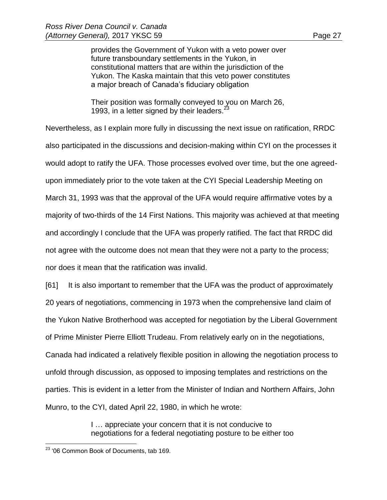provides the Government of Yukon with a veto power over future transboundary settlements in the Yukon, in constitutional matters that are within the jurisdiction of the Yukon. The Kaska maintain that this veto power constitutes a major breach of Canada's fiduciary obligation

Their position was formally conveyed to you on March 26, 1993, in a letter signed by their leaders.  $23$ 

Nevertheless, as I explain more fully in discussing the next issue on ratification, RRDC also participated in the discussions and decision-making within CYI on the processes it would adopt to ratify the UFA. Those processes evolved over time, but the one agreedupon immediately prior to the vote taken at the CYI Special Leadership Meeting on March 31, 1993 was that the approval of the UFA would require affirmative votes by a majority of two-thirds of the 14 First Nations. This majority was achieved at that meeting and accordingly I conclude that the UFA was properly ratified. The fact that RRDC did not agree with the outcome does not mean that they were not a party to the process; nor does it mean that the ratification was invalid.

[61] It is also important to remember that the UFA was the product of approximately 20 years of negotiations, commencing in 1973 when the comprehensive land claim of the Yukon Native Brotherhood was accepted for negotiation by the Liberal Government of Prime Minister Pierre Elliott Trudeau. From relatively early on in the negotiations, Canada had indicated a relatively flexible position in allowing the negotiation process to unfold through discussion, as opposed to imposing templates and restrictions on the parties. This is evident in a letter from the Minister of Indian and Northern Affairs, John Munro, to the CYI, dated April 22, 1980, in which he wrote:

> I … appreciate your concern that it is not conducive to negotiations for a federal negotiating posture to be either too

 $\overline{a}$ <sup>23</sup> '06 Common Book of Documents, tab 169.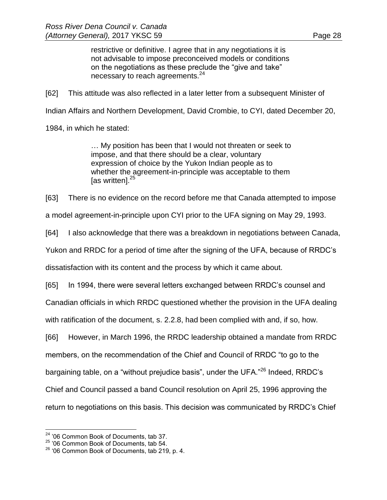restrictive or definitive. I agree that in any negotiations it is not advisable to impose preconceived models or conditions on the negotiations as these preclude the "give and take" necessary to reach agreements.<sup>24</sup>

[62] This attitude was also reflected in a later letter from a subsequent Minister of

Indian Affairs and Northern Development, David Crombie, to CYI, dated December 20,

1984, in which he stated:

… My position has been that I would not threaten or seek to impose, and that there should be a clear, voluntary expression of choice by the Yukon Indian people as to whether the agreement-in-principle was acceptable to them [as written].<sup>25</sup>

[63] There is no evidence on the record before me that Canada attempted to impose

a model agreement-in-principle upon CYI prior to the UFA signing on May 29, 1993.

[64] I also acknowledge that there was a breakdown in negotiations between Canada,

Yukon and RRDC for a period of time after the signing of the UFA, because of RRDC's

dissatisfaction with its content and the process by which it came about.

[65] In 1994, there were several letters exchanged between RRDC's counsel and

Canadian officials in which RRDC questioned whether the provision in the UFA dealing

with ratification of the document, s. 2.2.8, had been complied with and, if so, how.

[66] However, in March 1996, the RRDC leadership obtained a mandate from RRDC

members, on the recommendation of the Chief and Council of RRDC "to go to the

bargaining table, on a "without prejudice basis", under the UFA."<sup>26</sup> Indeed, RRDC's

Chief and Council passed a band Council resolution on April 25, 1996 approving the

return to negotiations on this basis. This decision was communicated by RRDC's Chief

<sup>&</sup>lt;sup>24</sup> '06 Common Book of Documents, tab 37.

<sup>25</sup> '06 Common Book of Documents, tab 54.

<sup>26</sup> '06 Common Book of Documents, tab 219, p. 4.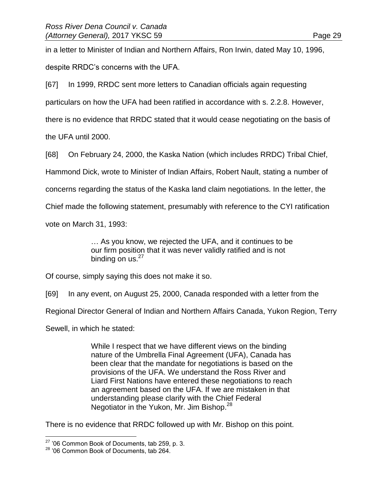in a letter to Minister of Indian and Northern Affairs, Ron Irwin, dated May 10, 1996, despite RRDC's concerns with the UFA.

[67] In 1999, RRDC sent more letters to Canadian officials again requesting

particulars on how the UFA had been ratified in accordance with s. 2.2.8. However,

there is no evidence that RRDC stated that it would cease negotiating on the basis of

the UFA until 2000.

[68] On February 24, 2000, the Kaska Nation (which includes RRDC) Tribal Chief,

Hammond Dick, wrote to Minister of Indian Affairs, Robert Nault, stating a number of

concerns regarding the status of the Kaska land claim negotiations. In the letter, the

Chief made the following statement, presumably with reference to the CYI ratification

vote on March 31, 1993:

… As you know, we rejected the UFA, and it continues to be our firm position that it was never validly ratified and is not binding on us.<sup>27</sup>

Of course, simply saying this does not make it so.

[69] In any event, on August 25, 2000, Canada responded with a letter from the

Regional Director General of Indian and Northern Affairs Canada, Yukon Region, Terry

Sewell, in which he stated:

While I respect that we have different views on the binding nature of the Umbrella Final Agreement (UFA), Canada has been clear that the mandate for negotiations is based on the provisions of the UFA. We understand the Ross River and Liard First Nations have entered these negotiations to reach an agreement based on the UFA. If we are mistaken in that understanding please clarify with the Chief Federal Negotiator in the Yukon, Mr. Jim Bishop.<sup>28</sup>

There is no evidence that RRDC followed up with Mr. Bishop on this point.

 $27$  '06 Common Book of Documents, tab 259, p. 3.

<sup>&</sup>lt;sup>28</sup> '06 Common Book of Documents, tab 264.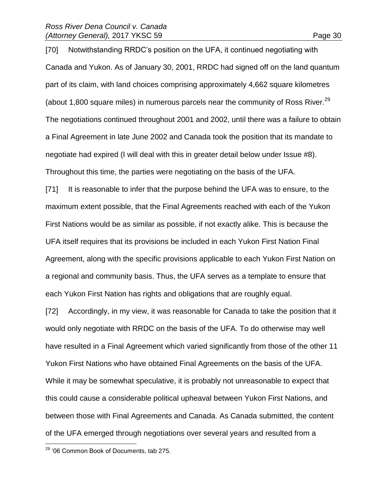[70] Notwithstanding RRDC's position on the UFA, it continued negotiating with Canada and Yukon. As of January 30, 2001, RRDC had signed off on the land quantum part of its claim, with land choices comprising approximately 4,662 square kilometres (about 1,800 square miles) in numerous parcels near the community of Ross River. $^{29}$ The negotiations continued throughout 2001 and 2002, until there was a failure to obtain a Final Agreement in late June 2002 and Canada took the position that its mandate to negotiate had expired (I will deal with this in greater detail below under Issue #8). Throughout this time, the parties were negotiating on the basis of the UFA.

[71] It is reasonable to infer that the purpose behind the UFA was to ensure, to the maximum extent possible, that the Final Agreements reached with each of the Yukon First Nations would be as similar as possible, if not exactly alike. This is because the UFA itself requires that its provisions be included in each Yukon First Nation Final Agreement, along with the specific provisions applicable to each Yukon First Nation on a regional and community basis. Thus, the UFA serves as a template to ensure that each Yukon First Nation has rights and obligations that are roughly equal.

[72] Accordingly, in my view, it was reasonable for Canada to take the position that it would only negotiate with RRDC on the basis of the UFA. To do otherwise may well have resulted in a Final Agreement which varied significantly from those of the other 11 Yukon First Nations who have obtained Final Agreements on the basis of the UFA. While it may be somewhat speculative, it is probably not unreasonable to expect that this could cause a considerable political upheaval between Yukon First Nations, and between those with Final Agreements and Canada. As Canada submitted, the content of the UFA emerged through negotiations over several years and resulted from a

<sup>&</sup>lt;sup>29</sup> '06 Common Book of Documents, tab 275.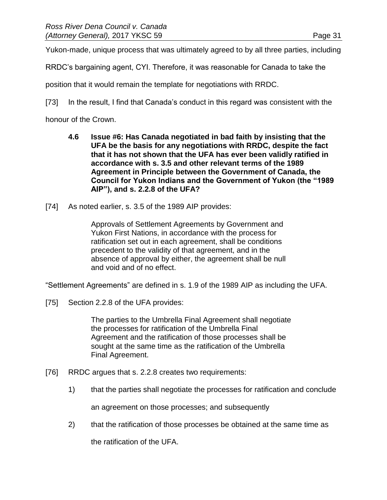Yukon-made, unique process that was ultimately agreed to by all three parties, including

RRDC's bargaining agent, CYI. Therefore, it was reasonable for Canada to take the

position that it would remain the template for negotiations with RRDC.

[73] In the result, I find that Canada's conduct in this regard was consistent with the

<span id="page-30-0"></span>honour of the Crown.

- **4.6 Issue #6: Has Canada negotiated in bad faith by insisting that the UFA be the basis for any negotiations with RRDC, despite the fact that it has not shown that the UFA has ever been validly ratified in accordance with s. 3.5 and other relevant terms of the 1989 Agreement in Principle between the Government of Canada, the Council for Yukon Indians and the Government of Yukon (the "1989 AIP"), and s. 2.2.8 of the UFA?**
- [74] As noted earlier, s. 3.5 of the 1989 AIP provides:

Approvals of Settlement Agreements by Government and Yukon First Nations, in accordance with the process for ratification set out in each agreement, shall be conditions precedent to the validity of that agreement, and in the absence of approval by either, the agreement shall be null and void and of no effect.

"Settlement Agreements" are defined in s. 1.9 of the 1989 AIP as including the UFA.

[75] Section 2.2.8 of the UFA provides:

The parties to the Umbrella Final Agreement shall negotiate the processes for ratification of the Umbrella Final Agreement and the ratification of those processes shall be sought at the same time as the ratification of the Umbrella Final Agreement.

- [76] RRDC argues that s. 2.2.8 creates two requirements:
	- 1) that the parties shall negotiate the processes for ratification and conclude

an agreement on those processes; and subsequently

2) that the ratification of those processes be obtained at the same time as

the ratification of the UFA.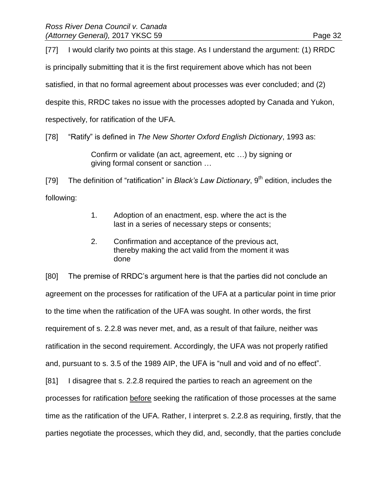[77] I would clarify two points at this stage. As I understand the argument: (1) RRDC

is principally submitting that it is the first requirement above which has not been

satisfied, in that no formal agreement about processes was ever concluded; and (2)

despite this, RRDC takes no issue with the processes adopted by Canada and Yukon,

respectively, for ratification of the UFA.

[78] "Ratify" is defined in *The New Shorter Oxford English Dictionary*, 1993 as:

Confirm or validate (an act, agreement, etc …) by signing or giving formal consent or sanction …

[79] The definition of "ratification" in *Black's Law Dictionary*, 9<sup>th</sup> edition, includes the following:

- 1. Adoption of an enactment, esp. where the act is the last in a series of necessary steps or consents;
- 2. Confirmation and acceptance of the previous act, thereby making the act valid from the moment it was done

[80] The premise of RRDC's argument here is that the parties did not conclude an agreement on the processes for ratification of the UFA at a particular point in time prior to the time when the ratification of the UFA was sought. In other words, the first requirement of s. 2.2.8 was never met, and, as a result of that failure, neither was ratification in the second requirement. Accordingly, the UFA was not properly ratified and, pursuant to s. 3.5 of the 1989 AIP, the UFA is "null and void and of no effect".

[81] I disagree that s. 2.2.8 required the parties to reach an agreement on the

processes for ratification before seeking the ratification of those processes at the same

time as the ratification of the UFA. Rather, I interpret s. 2.2.8 as requiring, firstly, that the

parties negotiate the processes, which they did, and, secondly, that the parties conclude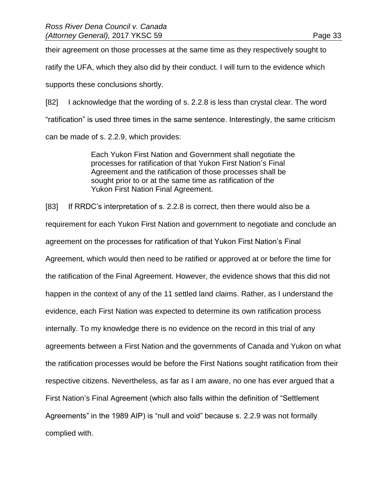their agreement on those processes at the same time as they respectively sought to ratify the UFA, which they also did by their conduct. I will turn to the evidence which supports these conclusions shortly.

[82] I acknowledge that the wording of s. 2.2.8 is less than crystal clear. The word "ratification" is used three times in the same sentence. Interestingly, the same criticism

can be made of s. 2.2.9, which provides:

Each Yukon First Nation and Government shall negotiate the processes for ratification of that Yukon First Nation's Final Agreement and the ratification of those processes shall be sought prior to or at the same time as ratification of the Yukon First Nation Final Agreement.

[83] If RRDC's interpretation of s. 2.2.8 is correct, then there would also be a requirement for each Yukon First Nation and government to negotiate and conclude an agreement on the processes for ratification of that Yukon First Nation's Final Agreement, which would then need to be ratified or approved at or before the time for the ratification of the Final Agreement. However, the evidence shows that this did not happen in the context of any of the 11 settled land claims. Rather, as I understand the evidence, each First Nation was expected to determine its own ratification process internally. To my knowledge there is no evidence on the record in this trial of any agreements between a First Nation and the governments of Canada and Yukon on what the ratification processes would be before the First Nations sought ratification from their respective citizens. Nevertheless, as far as I am aware, no one has ever argued that a First Nation's Final Agreement (which also falls within the definition of "Settlement Agreements" in the 1989 AIP) is "null and void" because s. 2.2.9 was not formally complied with.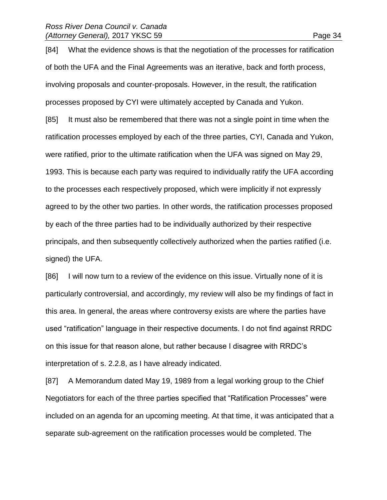[84] What the evidence shows is that the negotiation of the processes for ratification of both the UFA and the Final Agreements was an iterative, back and forth process, involving proposals and counter-proposals. However, in the result, the ratification processes proposed by CYI were ultimately accepted by Canada and Yukon. [85] It must also be remembered that there was not a single point in time when the ratification processes employed by each of the three parties, CYI, Canada and Yukon, were ratified, prior to the ultimate ratification when the UFA was signed on May 29, 1993. This is because each party was required to individually ratify the UFA according to the processes each respectively proposed, which were implicitly if not expressly agreed to by the other two parties. In other words, the ratification processes proposed by each of the three parties had to be individually authorized by their respective principals, and then subsequently collectively authorized when the parties ratified (i.e. signed) the UFA.

[86] I will now turn to a review of the evidence on this issue. Virtually none of it is particularly controversial, and accordingly, my review will also be my findings of fact in this area. In general, the areas where controversy exists are where the parties have used "ratification" language in their respective documents. I do not find against RRDC on this issue for that reason alone, but rather because I disagree with RRDC's interpretation of s. 2.2.8, as I have already indicated.

[87] A Memorandum dated May 19, 1989 from a legal working group to the Chief Negotiators for each of the three parties specified that "Ratification Processes" were included on an agenda for an upcoming meeting. At that time, it was anticipated that a separate sub-agreement on the ratification processes would be completed. The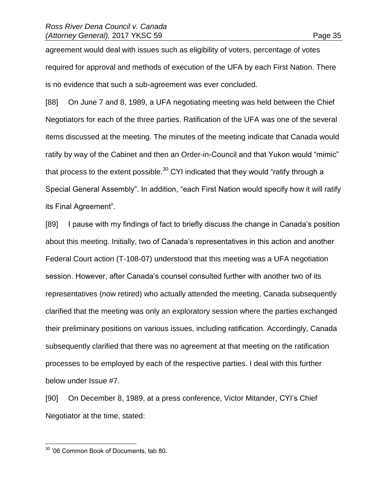agreement would deal with issues such as eligibility of voters, percentage of votes required for approval and methods of execution of the UFA by each First Nation. There is no evidence that such a sub-agreement was ever concluded.

[88] On June 7 and 8, 1989, a UFA negotiating meeting was held between the Chief Negotiators for each of the three parties. Ratification of the UFA was one of the several items discussed at the meeting. The minutes of the meeting indicate that Canada would ratify by way of the Cabinet and then an Order-in-Council and that Yukon would "mimic" that process to the extent possible.<sup>30</sup> CYI indicated that they would "ratify through a Special General Assembly". In addition, "each First Nation would specify how it will ratify its Final Agreement".

[89] I pause with my findings of fact to briefly discuss the change in Canada's position about this meeting. Initially, two of Canada's representatives in this action and another Federal Court action (T-108-07) understood that this meeting was a UFA negotiation session. However, after Canada's counsel consulted further with another two of its representatives (now retired) who actually attended the meeting, Canada subsequently clarified that the meeting was only an exploratory session where the parties exchanged their preliminary positions on various issues, including ratification. Accordingly, Canada subsequently clarified that there was no agreement at that meeting on the ratification processes to be employed by each of the respective parties. I deal with this further below under Issue #7.

[90] On December 8, 1989, at a press conference, Victor Mitander, CYI's Chief Negotiator at the time, stated:

<sup>&</sup>lt;sup>30</sup> '06 Common Book of Documents, tab 80.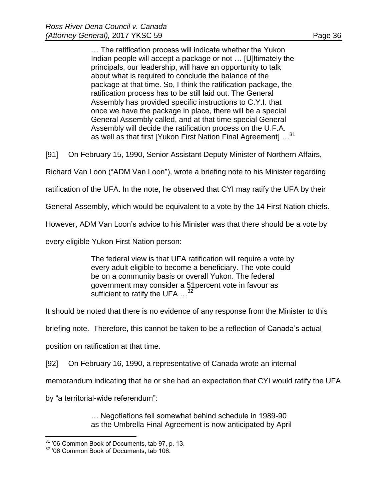… The ratification process will indicate whether the Yukon Indian people will accept a package or not … [U]ltimately the principals, our leadership, will have an opportunity to talk about what is required to conclude the balance of the package at that time. So, I think the ratification package, the ratification process has to be still laid out. The General Assembly has provided specific instructions to C.Y.I. that once we have the package in place, there will be a special General Assembly called, and at that time special General Assembly will decide the ratification process on the U.F.A. as well as that first [Yukon First Nation Final Agreement] ...<sup>31</sup>

[91] On February 15, 1990, Senior Assistant Deputy Minister of Northern Affairs,

Richard Van Loon ("ADM Van Loon"), wrote a briefing note to his Minister regarding

ratification of the UFA. In the note, he observed that CYI may ratify the UFA by their

General Assembly, which would be equivalent to a vote by the 14 First Nation chiefs.

However, ADM Van Loon's advice to his Minister was that there should be a vote by

every eligible Yukon First Nation person:

The federal view is that UFA ratification will require a vote by every adult eligible to become a beneficiary. The vote could be on a community basis or overall Yukon. The federal government may consider a 51percent vote in favour as sufficient to ratify the UFA ...<sup>32</sup>

It should be noted that there is no evidence of any response from the Minister to this

briefing note. Therefore, this cannot be taken to be a reflection of Canada's actual

position on ratification at that time.

[92] On February 16, 1990, a representative of Canada wrote an internal

memorandum indicating that he or she had an expectation that CYI would ratify the UFA

by "a territorial-wide referendum":

 $\overline{a}$ 

… Negotiations fell somewhat behind schedule in 1989-90 as the Umbrella Final Agreement is now anticipated by April

 $31$  '06 Common Book of Documents, tab 97, p. 13.

<sup>&</sup>lt;sup>32</sup> '06 Common Book of Documents, tab 106.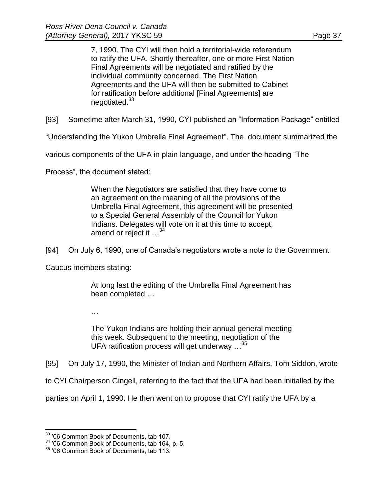7, 1990. The CYI will then hold a territorial-wide referendum to ratify the UFA. Shortly thereafter, one or more First Nation Final Agreements will be negotiated and ratified by the individual community concerned. The First Nation Agreements and the UFA will then be submitted to Cabinet for ratification before additional [Final Agreements] are negotiated.<sup>33</sup>

[93] Sometime after March 31, 1990, CYI published an "Information Package" entitled

"Understanding the Yukon Umbrella Final Agreement". The document summarized the

various components of the UFA in plain language, and under the heading "The

Process", the document stated:

When the Negotiators are satisfied that they have come to an agreement on the meaning of all the provisions of the Umbrella Final Agreement, this agreement will be presented to a Special General Assembly of the Council for Yukon Indians. Delegates will vote on it at this time to accept, amend or reject it  $\ldots$ <sup>34</sup>

[94] On July 6, 1990, one of Canada's negotiators wrote a note to the Government

Caucus members stating:

At long last the editing of the Umbrella Final Agreement has been completed …

…

The Yukon Indians are holding their annual general meeting this week. Subsequent to the meeting, negotiation of the UFA ratification process will get underway ...<sup>35</sup>

[95] On July 17, 1990, the Minister of Indian and Northern Affairs, Tom Siddon, wrote

to CYI Chairperson Gingell, referring to the fact that the UFA had been initialled by the

parties on April 1, 1990. He then went on to propose that CYI ratify the UFA by a

<sup>&</sup>lt;sup>33</sup> '06 Common Book of Documents, tab 107.

<sup>34</sup> '06 Common Book of Documents, tab 164, p. 5.

<sup>&</sup>lt;sup>35</sup> '06 Common Book of Documents, tab 113.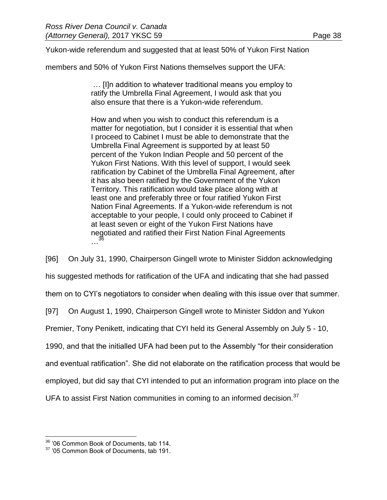Yukon-wide referendum and suggested that at least 50% of Yukon First Nation

members and 50% of Yukon First Nations themselves support the UFA:

… [I]n addition to whatever traditional means you employ to ratify the Umbrella Final Agreement, I would ask that you also ensure that there is a Yukon-wide referendum.

How and when you wish to conduct this referendum is a matter for negotiation, but I consider it is essential that when I proceed to Cabinet I must be able to demonstrate that the Umbrella Final Agreement is supported by at least 50 percent of the Yukon Indian People and 50 percent of the Yukon First Nations. With this level of support, I would seek ratification by Cabinet of the Umbrella Final Agreement, after it has also been ratified by the Government of the Yukon Territory. This ratification would take place along with at least one and preferably three or four ratified Yukon First Nation Final Agreements. If a Yukon-wide referendum is not acceptable to your people, I could only proceed to Cabinet if at least seven or eight of the Yukon First Nations have negotiated and ratified their First Nation Final Agreements …<br>…

[96] On July 31, 1990, Chairperson Gingell wrote to Minister Siddon acknowledging

his suggested methods for ratification of the UFA and indicating that she had passed

them on to CYI's negotiators to consider when dealing with this issue over that summer.

[97] On August 1, 1990, Chairperson Gingell wrote to Minister Siddon and Yukon

Premier, Tony Penikett, indicating that CYI held its General Assembly on July 5 - 10,

1990, and that the initialled UFA had been put to the Assembly "for their consideration

and eventual ratification". She did not elaborate on the ratification process that would be

employed, but did say that CYI intended to put an information program into place on the

UFA to assist First Nation communities in coming to an informed decision.<sup>37</sup>

<sup>&</sup>lt;sup>36</sup> '06 Common Book of Documents, tab 114.

<sup>&</sup>lt;sup>37</sup> '05 Common Book of Documents, tab 191.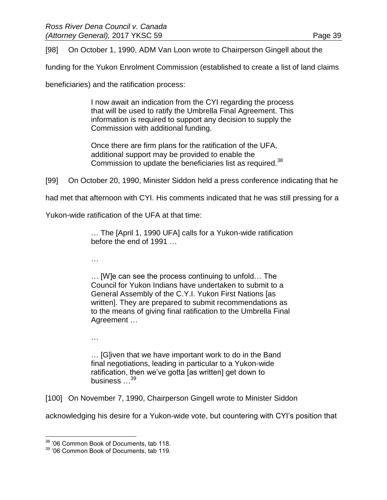[98] On October 1, 1990, ADM Van Loon wrote to Chairperson Gingell about the

funding for the Yukon Enrolment Commission (established to create a list of land claims

beneficiaries) and the ratification process:

I now await an indication from the CYI regarding the process that will be used to ratify the Umbrella Final Agreement. This information is required to support any decision to supply the Commission with additional funding.

Once there are firm plans for the ratification of the UFA, additional support may be provided to enable the Commission to update the beneficiaries list as required.<sup>38</sup>

[99] On October 20, 1990, Minister Siddon held a press conference indicating that he

had met that afternoon with CYI. His comments indicated that he was still pressing for a

Yukon-wide ratification of the UFA at that time:

… The [April 1, 1990 UFA] calls for a Yukon-wide ratification before the end of 1991 …

…

… [W]e can see the process continuing to unfold… The Council for Yukon Indians have undertaken to submit to a General Assembly of the C.Y.I. Yukon First Nations [as written]. They are prepared to submit recommendations as to the means of giving final ratification to the Umbrella Final Agreement …

…

… [G]iven that we have important work to do in the Band final negotiations, leading in particular to a Yukon-wide ratification, then we've gotta [as written] get down to business ...<sup>39</sup>

[100] On November 7, 1990, Chairperson Gingell wrote to Minister Siddon

acknowledging his desire for a Yukon-wide vote, but countering with CYI's position that

<sup>&</sup>lt;sup>38</sup> '06 Common Book of Documents, tab 118.

<sup>&</sup>lt;sup>39</sup> '06 Common Book of Documents, tab 119.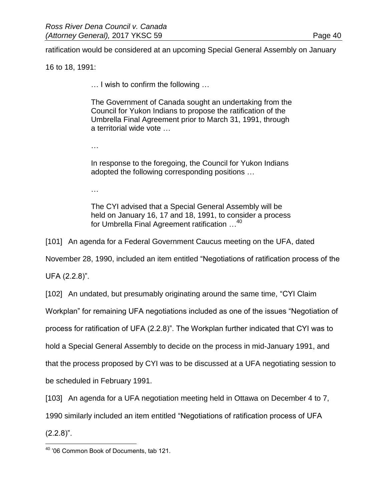ratification would be considered at an upcoming Special General Assembly on January

16 to 18, 1991:

… I wish to confirm the following …

The Government of Canada sought an undertaking from the Council for Yukon Indians to propose the ratification of the Umbrella Final Agreement prior to March 31, 1991, through a territorial wide vote …

…

In response to the foregoing, the Council for Yukon Indians adopted the following corresponding positions …

…

The CYI advised that a Special General Assembly will be held on January 16, 17 and 18, 1991, to consider a process for Umbrella Final Agreement ratification …<sup>40</sup>

[101] An agenda for a Federal Government Caucus meeting on the UFA, dated

November 28, 1990, included an item entitled "Negotiations of ratification process of the

UFA (2.2.8)".

[102] An undated, but presumably originating around the same time, "CYI Claim

Workplan" for remaining UFA negotiations included as one of the issues "Negotiation of

process for ratification of UFA (2.2.8)". The Workplan further indicated that CYI was to

hold a Special General Assembly to decide on the process in mid-January 1991, and

that the process proposed by CYI was to be discussed at a UFA negotiating session to

be scheduled in February 1991.

[103] An agenda for a UFA negotiation meeting held in Ottawa on December 4 to 7,

1990 similarly included an item entitled "Negotiations of ratification process of UFA

 $(2.2.8)$ ".

 $\overline{a}$ <sup>40</sup> '06 Common Book of Documents, tab 121.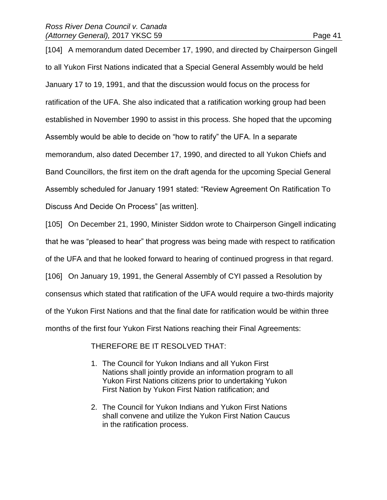[104] A memorandum dated December 17, 1990, and directed by Chairperson Gingell to all Yukon First Nations indicated that a Special General Assembly would be held January 17 to 19, 1991, and that the discussion would focus on the process for ratification of the UFA. She also indicated that a ratification working group had been established in November 1990 to assist in this process. She hoped that the upcoming Assembly would be able to decide on "how to ratify" the UFA. In a separate memorandum, also dated December 17, 1990, and directed to all Yukon Chiefs and Band Councillors, the first item on the draft agenda for the upcoming Special General Assembly scheduled for January 1991 stated: "Review Agreement On Ratification To Discuss And Decide On Process" [as written].

[105] On December 21, 1990, Minister Siddon wrote to Chairperson Gingell indicating that he was "pleased to hear" that progress was being made with respect to ratification of the UFA and that he looked forward to hearing of continued progress in that regard. [106] On January 19, 1991, the General Assembly of CYI passed a Resolution by consensus which stated that ratification of the UFA would require a two-thirds majority of the Yukon First Nations and that the final date for ratification would be within three months of the first four Yukon First Nations reaching their Final Agreements:

THEREFORE BE IT RESOLVED THAT:

- 1. The Council for Yukon Indians and all Yukon First Nations shall jointly provide an information program to all Yukon First Nations citizens prior to undertaking Yukon First Nation by Yukon First Nation ratification; and
- 2. The Council for Yukon Indians and Yukon First Nations shall convene and utilize the Yukon First Nation Caucus in the ratification process.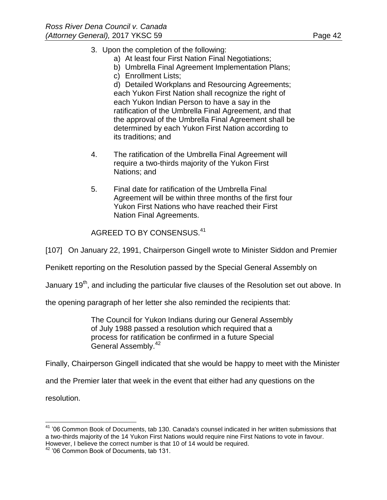- 3. Upon the completion of the following:
	- a) At least four First Nation Final Negotiations;
	- b) Umbrella Final Agreement Implementation Plans;
	- c) Enrollment Lists;

d) Detailed Workplans and Resourcing Agreements; each Yukon First Nation shall recognize the right of each Yukon Indian Person to have a say in the ratification of the Umbrella Final Agreement, and that the approval of the Umbrella Final Agreement shall be determined by each Yukon First Nation according to its traditions; and

- 4. The ratification of the Umbrella Final Agreement will require a two-thirds majority of the Yukon First Nations; and
- 5. Final date for ratification of the Umbrella Final Agreement will be within three months of the first four Yukon First Nations who have reached their First Nation Final Agreements.

AGREED TO BY CONSENSUS.<sup>41</sup>

[107] On January 22, 1991, Chairperson Gingell wrote to Minister Siddon and Premier

Penikett reporting on the Resolution passed by the Special General Assembly on

January 19<sup>th</sup>, and including the particular five clauses of the Resolution set out above. In

the opening paragraph of her letter she also reminded the recipients that:

The Council for Yukon Indians during our General Assembly of July 1988 passed a resolution which required that a process for ratification be confirmed in a future Special General Assembly.<sup>42</sup>

Finally, Chairperson Gingell indicated that she would be happy to meet with the Minister

and the Premier later that week in the event that either had any questions on the

resolution.

<sup>&</sup>lt;sup>41</sup> '06 Common Book of Documents, tab 130. Canada's counsel indicated in her written submissions that a two-thirds majority of the 14 Yukon First Nations would require nine First Nations to vote in favour. However, I believe the correct number is that 10 of 14 would be required.

<sup>&</sup>lt;sup>42</sup> '06 Common Book of Documents, tab 131.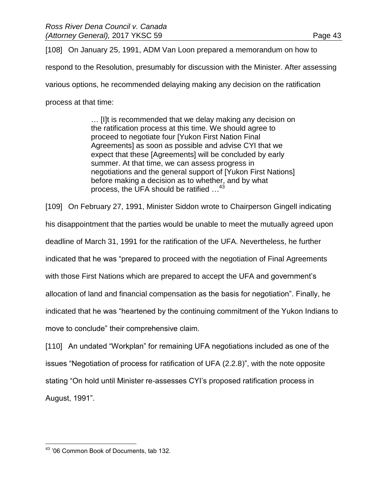[108] On January 25, 1991, ADM Van Loon prepared a memorandum on how to respond to the Resolution, presumably for discussion with the Minister. After assessing various options, he recommended delaying making any decision on the ratification process at that time:

> … [I]t is recommended that we delay making any decision on the ratification process at this time. We should agree to proceed to negotiate four [Yukon First Nation Final Agreements] as soon as possible and advise CYI that we expect that these [Agreements] will be concluded by early summer. At that time, we can assess progress in negotiations and the general support of [Yukon First Nations] before making a decision as to whether, and by what process, the UFA should be ratified ...<sup>43</sup>

[109] On February 27, 1991, Minister Siddon wrote to Chairperson Gingell indicating

his disappointment that the parties would be unable to meet the mutually agreed upon

deadline of March 31, 1991 for the ratification of the UFA. Nevertheless, he further

indicated that he was "prepared to proceed with the negotiation of Final Agreements

with those First Nations which are prepared to accept the UFA and government's

allocation of land and financial compensation as the basis for negotiation". Finally, he

indicated that he was "heartened by the continuing commitment of the Yukon Indians to

move to conclude" their comprehensive claim.

[110] An undated "Workplan" for remaining UFA negotiations included as one of the issues "Negotiation of process for ratification of UFA (2.2.8)", with the note opposite stating "On hold until Minister re-assesses CYI's proposed ratification process in August, 1991".

 $\overline{a}$ <sup>43</sup> '06 Common Book of Documents, tab 132.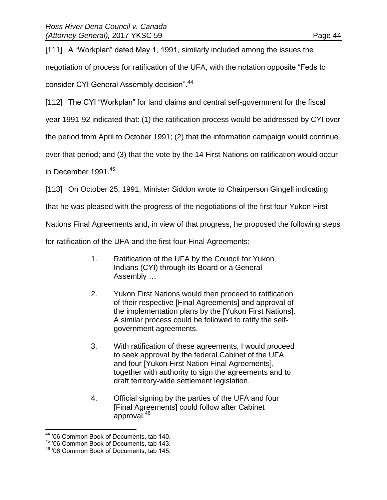[111] A "Workplan" dated May 1, 1991, similarly included among the issues the negotiation of process for ratification of the UFA, with the notation opposite "Feds to consider CYI General Assembly decision".<sup>44</sup>

[112] The CYI "Workplan" for land claims and central self-government for the fiscal

year 1991-92 indicated that: (1) the ratification process would be addressed by CYI over

the period from April to October 1991; (2) that the information campaign would continue

over that period; and (3) that the vote by the 14 First Nations on ratification would occur

in December 1991.<sup>45</sup>

[113] On October 25, 1991, Minister Siddon wrote to Chairperson Gingell indicating

that he was pleased with the progress of the negotiations of the first four Yukon First

Nations Final Agreements and, in view of that progress, he proposed the following steps

for ratification of the UFA and the first four Final Agreements:

- 1. Ratification of the UFA by the Council for Yukon Indians (CYI) through its Board or a General Assembly …
- 2. Yukon First Nations would then proceed to ratification of their respective [Final Agreements] and approval of the implementation plans by the [Yukon First Nations]. A similar process could be followed to ratify the selfgovernment agreements.
- 3. With ratification of these agreements, I would proceed to seek approval by the federal Cabinet of the UFA and four [Yukon First Nation Final Agreements], together with authority to sign the agreements and to draft territory-wide settlement legislation.
- 4. Official signing by the parties of the UFA and four [Final Agreements] could follow after Cabinet approval.<sup>46</sup>

<sup>44</sup> '06 Common Book of Documents, tab 140.

<sup>45</sup> '06 Common Book of Documents, tab 143.

<sup>46</sup> '06 Common Book of Documents, tab 145.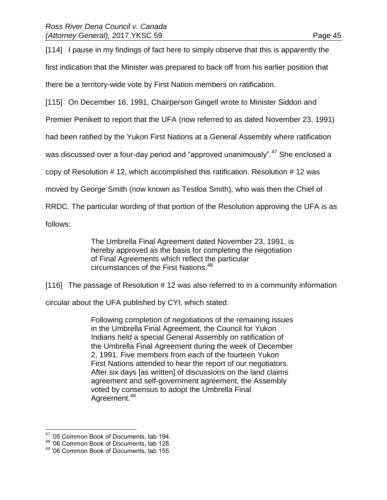[114] I pause in my findings of fact here to simply observe that this is apparently the

first indication that the Minister was prepared to back off from his earlier position that

there be a territory-wide vote by First Nation members on ratification.

[115] On December 16, 1991, Chairperson Gingell wrote to Minister Siddon and

Premier Penikett to report that the UFA (now referred to as dated November 23, 1991)

had been ratified by the Yukon First Nations at a General Assembly where ratification

was discussed over a four-day period and "approved unanimously".<sup>47</sup> She enclosed a

copy of Resolution # 12, which accomplished this ratification. Resolution # 12 was

moved by George Smith (now known as Testloa Smith), who was then the Chief of

RRDC. The particular wording of that portion of the Resolution approving the UFA is as

follows:

 $\overline{a}$ 

The Umbrella Final Agreement dated November 23, 1991, is hereby approved as the basis for completing the negotiation of Final Agreements which reflect the particular circumstances of the First Nations.<sup>48</sup>

[116] The passage of Resolution # 12 was also referred to in a community information

circular about the UFA published by CYI, which stated:

Following completion of negotiations of the remaining issues in the Umbrella Final Agreement, the Council for Yukon Indians held a special General Assembly on ratification of the Umbrella Final Agreement during the week of December 2, 1991. Five members from each of the fourteen Yukon First Nations attended to hear the report of our negotiators. After six days [as written] of discussions on the land claims agreement and self-government agreement, the Assembly voted by consensus to adopt the Umbrella Final Agreement.<sup>49</sup>

<sup>&</sup>lt;sup>47</sup> '05 Common Book of Documents, tab 194.

<sup>48</sup> '06 Common Book of Documents, tab 128.

<sup>&</sup>lt;sup>49</sup> '06 Common Book of Documents, tab 155.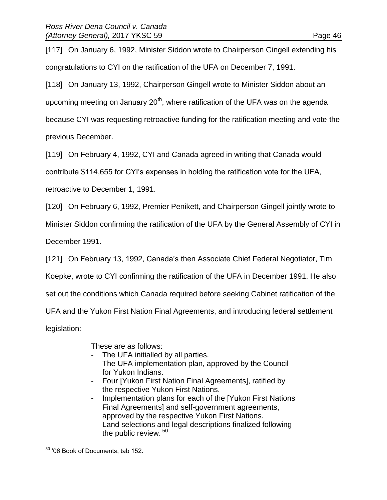[117] On January 6, 1992, Minister Siddon wrote to Chairperson Gingell extending his congratulations to CYI on the ratification of the UFA on December 7, 1991.

[118] On January 13, 1992, Chairperson Gingell wrote to Minister Siddon about an upcoming meeting on January  $20<sup>th</sup>$ , where ratification of the UFA was on the agenda because CYI was requesting retroactive funding for the ratification meeting and vote the previous December.

[119] On February 4, 1992, CYI and Canada agreed in writing that Canada would

contribute \$114,655 for CYI's expenses in holding the ratification vote for the UFA,

retroactive to December 1, 1991.

[120] On February 6, 1992, Premier Penikett, and Chairperson Gingell jointly wrote to

Minister Siddon confirming the ratification of the UFA by the General Assembly of CYI in

December 1991.

[121] On February 13, 1992, Canada's then Associate Chief Federal Negotiator, Tim

Koepke, wrote to CYI confirming the ratification of the UFA in December 1991. He also

set out the conditions which Canada required before seeking Cabinet ratification of the

UFA and the Yukon First Nation Final Agreements, and introducing federal settlement

legislation:

These are as follows:

- The UFA initialled by all parties.
- The UFA implementation plan, approved by the Council for Yukon Indians.
- Four [Yukon First Nation Final Agreements], ratified by the respective Yukon First Nations.
- Implementation plans for each of the [Yukon First Nations Final Agreements] and self-government agreements, approved by the respective Yukon First Nations.
- Land selections and legal descriptions finalized following the public review.  $50$

 $\overline{a}$ <sup>50</sup> '06 Book of Documents, tab 152.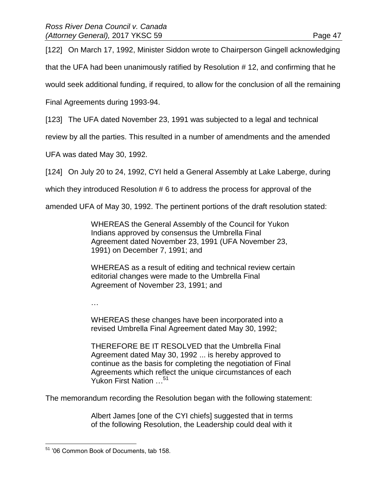[122] On March 17, 1992, Minister Siddon wrote to Chairperson Gingell acknowledging

that the UFA had been unanimously ratified by Resolution # 12, and confirming that he

would seek additional funding, if required, to allow for the conclusion of all the remaining

Final Agreements during 1993-94.

[123] The UFA dated November 23, 1991 was subjected to a legal and technical

review by all the parties. This resulted in a number of amendments and the amended

UFA was dated May 30, 1992.

[124] On July 20 to 24, 1992, CYI held a General Assembly at Lake Laberge, during

which they introduced Resolution # 6 to address the process for approval of the

amended UFA of May 30, 1992. The pertinent portions of the draft resolution stated:

WHEREAS the General Assembly of the Council for Yukon Indians approved by consensus the Umbrella Final Agreement dated November 23, 1991 (UFA November 23, 1991) on December 7, 1991; and

WHEREAS as a result of editing and technical review certain editorial changes were made to the Umbrella Final Agreement of November 23, 1991; and

…

WHEREAS these changes have been incorporated into a revised Umbrella Final Agreement dated May 30, 1992;

THEREFORE BE IT RESOLVED that the Umbrella Final Agreement dated May 30, 1992 ... is hereby approved to continue as the basis for completing the negotiation of Final Agreements which reflect the unique circumstances of each Yukon First Nation …<sup>51</sup>

The memorandum recording the Resolution began with the following statement:

Albert James [one of the CYI chiefs] suggested that in terms of the following Resolution, the Leadership could deal with it

 $\overline{a}$ <sup>51</sup> '06 Common Book of Documents, tab 158.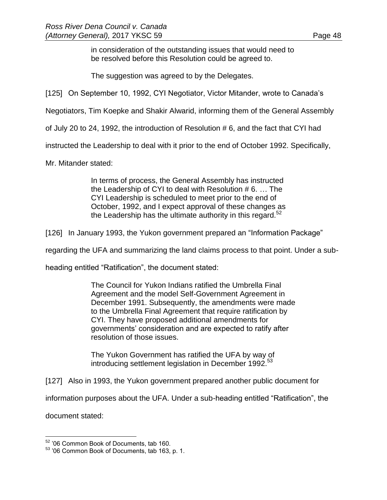in consideration of the outstanding issues that would need to be resolved before this Resolution could be agreed to.

The suggestion was agreed to by the Delegates.

[125] On September 10, 1992, CYI Negotiator, Victor Mitander, wrote to Canada's

Negotiators, Tim Koepke and Shakir Alwarid, informing them of the General Assembly

of July 20 to 24, 1992, the introduction of Resolution # 6, and the fact that CYI had

instructed the Leadership to deal with it prior to the end of October 1992. Specifically,

Mr. Mitander stated:

In terms of process, the General Assembly has instructed the Leadership of CYI to deal with Resolution # 6. … The CYI Leadership is scheduled to meet prior to the end of October, 1992, and I expect approval of these changes as the Leadership has the ultimate authority in this regard.<sup>52</sup>

[126] In January 1993, the Yukon government prepared an "Information Package"

regarding the UFA and summarizing the land claims process to that point. Under a sub-

heading entitled "Ratification", the document stated:

The Council for Yukon Indians ratified the Umbrella Final Agreement and the model Self-Government Agreement in December 1991. Subsequently, the amendments were made to the Umbrella Final Agreement that require ratification by CYI. They have proposed additional amendments for governments' consideration and are expected to ratify after resolution of those issues.

The Yukon Government has ratified the UFA by way of introducing settlement legislation in December 1992.<sup>53</sup>

[127] Also in 1993, the Yukon government prepared another public document for

information purposes about the UFA. Under a sub-heading entitled "Ratification", the

document stated:

 $\overline{a}$ <sup>52</sup> '06 Common Book of Documents, tab 160.

<sup>53</sup> '06 Common Book of Documents, tab 163, p. 1.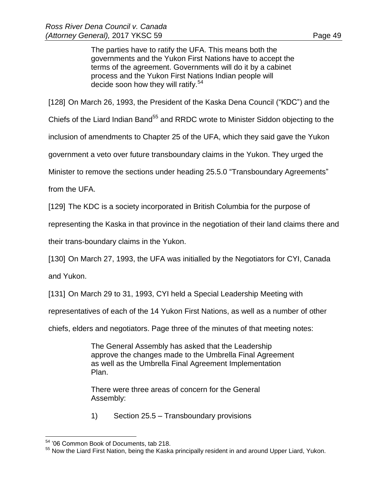The parties have to ratify the UFA. This means both the governments and the Yukon First Nations have to accept the terms of the agreement. Governments will do it by a cabinet process and the Yukon First Nations Indian people will decide soon how they will ratify.<sup>54</sup>

[128] On March 26, 1993, the President of the Kaska Dena Council ("KDC") and the

Chiefs of the Liard Indian Band<sup>55</sup> and RRDC wrote to Minister Siddon objecting to the

inclusion of amendments to Chapter 25 of the UFA, which they said gave the Yukon

government a veto over future transboundary claims in the Yukon. They urged the

Minister to remove the sections under heading 25.5.0 "Transboundary Agreements"

from the UFA.

[129] The KDC is a society incorporated in British Columbia for the purpose of

representing the Kaska in that province in the negotiation of their land claims there and

their trans-boundary claims in the Yukon.

[130] On March 27, 1993, the UFA was initialled by the Negotiators for CYI, Canada

and Yukon.

 $\overline{a}$ 

[131] On March 29 to 31, 1993, CYI held a Special Leadership Meeting with

representatives of each of the 14 Yukon First Nations, as well as a number of other

chiefs, elders and negotiators. Page three of the minutes of that meeting notes:

The General Assembly has asked that the Leadership approve the changes made to the Umbrella Final Agreement as well as the Umbrella Final Agreement Implementation Plan.

There were three areas of concern for the General Assembly:

1) Section 25.5 – Transboundary provisions

<sup>&</sup>lt;sup>54</sup> '06 Common Book of Documents, tab 218.

<sup>55</sup> Now the Liard First Nation, being the Kaska principally resident in and around Upper Liard, Yukon.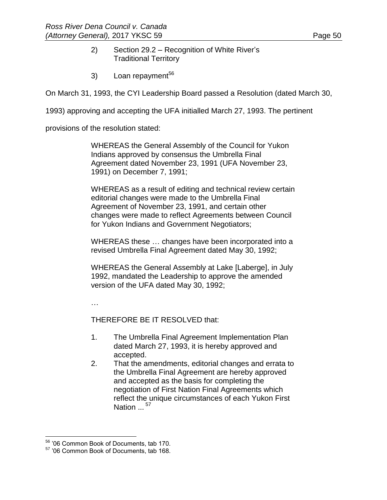- 2) Section 29.2 Recognition of White River's Traditional Territory
- 3) Loan repayment<sup>56</sup>

On March 31, 1993, the CYI Leadership Board passed a Resolution (dated March 30,

1993) approving and accepting the UFA initialled March 27, 1993. The pertinent

provisions of the resolution stated:

WHEREAS the General Assembly of the Council for Yukon Indians approved by consensus the Umbrella Final Agreement dated November 23, 1991 (UFA November 23, 1991) on December 7, 1991;

WHEREAS as a result of editing and technical review certain editorial changes were made to the Umbrella Final Agreement of November 23, 1991, and certain other changes were made to reflect Agreements between Council for Yukon Indians and Government Negotiators;

WHEREAS these … changes have been incorporated into a revised Umbrella Final Agreement dated May 30, 1992;

WHEREAS the General Assembly at Lake [Laberge], in July 1992, mandated the Leadership to approve the amended version of the UFA dated May 30, 1992;

…

THEREFORE BE IT RESOLVED that:

- 1. The Umbrella Final Agreement Implementation Plan dated March 27, 1993, it is hereby approved and accepted.
- 2. That the amendments, editorial changes and errata to the Umbrella Final Agreement are hereby approved and accepted as the basis for completing the negotiation of First Nation Final Agreements which reflect the unique circumstances of each Yukon First Nation ...<sup>57</sup>

<sup>&</sup>lt;sup>56</sup> '06 Common Book of Documents, tab 170.

<sup>57</sup> '06 Common Book of Documents, tab 168.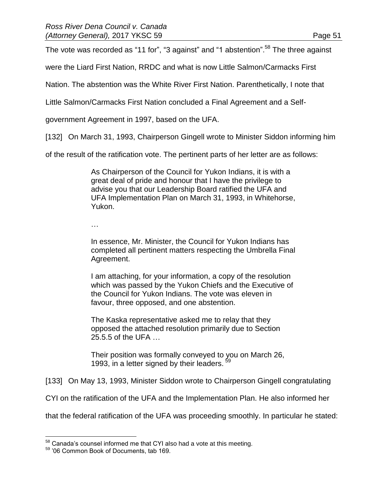The vote was recorded as "11 for", "3 against" and "1 abstention".<sup>58</sup> The three against

were the Liard First Nation, RRDC and what is now Little Salmon/Carmacks First

Nation. The abstention was the White River First Nation. Parenthetically, I note that

Little Salmon/Carmacks First Nation concluded a Final Agreement and a Self-

government Agreement in 1997, based on the UFA.

[132] On March 31, 1993, Chairperson Gingell wrote to Minister Siddon informing him

of the result of the ratification vote. The pertinent parts of her letter are as follows:

As Chairperson of the Council for Yukon Indians, it is with a great deal of pride and honour that I have the privilege to advise you that our Leadership Board ratified the UFA and UFA Implementation Plan on March 31, 1993, in Whitehorse, Yukon.

…

In essence, Mr. Minister, the Council for Yukon Indians has completed all pertinent matters respecting the Umbrella Final Agreement.

I am attaching, for your information, a copy of the resolution which was passed by the Yukon Chiefs and the Executive of the Council for Yukon Indians. The vote was eleven in favour, three opposed, and one abstention.

The Kaska representative asked me to relay that they opposed the attached resolution primarily due to Section 25.5.5 of the UFA …

Their position was formally conveyed to you on March 26, 1993, in a letter signed by their leaders. <sup>59</sup>

[133] On May 13, 1993, Minister Siddon wrote to Chairperson Gingell congratulating

CYI on the ratification of the UFA and the Implementation Plan. He also informed her

that the federal ratification of the UFA was proceeding smoothly. In particular he stated:

 $58$  Canada's counsel informed me that CYI also had a vote at this meeting.

<sup>59</sup> '06 Common Book of Documents, tab 169.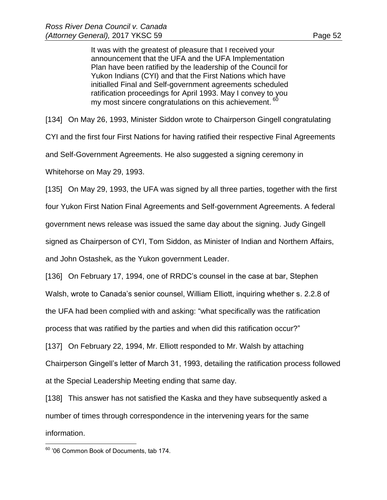It was with the greatest of pleasure that I received your announcement that the UFA and the UFA Implementation Plan have been ratified by the leadership of the Council for Yukon Indians (CYI) and that the First Nations which have initialled Final and Self-government agreements scheduled ratification proceedings for April 1993. May I convey to you my most sincere congratulations on this achievement. 60

[134] On May 26, 1993, Minister Siddon wrote to Chairperson Gingell congratulating

CYI and the first four First Nations for having ratified their respective Final Agreements

and Self-Government Agreements. He also suggested a signing ceremony in

Whitehorse on May 29, 1993.

[135] On May 29, 1993, the UFA was signed by all three parties, together with the first

four Yukon First Nation Final Agreements and Self-government Agreements. A federal

government news release was issued the same day about the signing. Judy Gingell

signed as Chairperson of CYI, Tom Siddon, as Minister of Indian and Northern Affairs,

and John Ostashek, as the Yukon government Leader.

[136] On February 17, 1994, one of RRDC's counsel in the case at bar, Stephen Walsh, wrote to Canada's senior counsel, William Elliott, inquiring whether s. 2.2.8 of the UFA had been complied with and asking: "what specifically was the ratification process that was ratified by the parties and when did this ratification occur?"

[137] On February 22, 1994, Mr. Elliott responded to Mr. Walsh by attaching Chairperson Gingell's letter of March 31, 1993, detailing the ratification process followed at the Special Leadership Meeting ending that same day.

[138] This answer has not satisfied the Kaska and they have subsequently asked a number of times through correspondence in the intervening years for the same information.

 $\overline{a}$ <sup>60</sup> '06 Common Book of Documents, tab 174.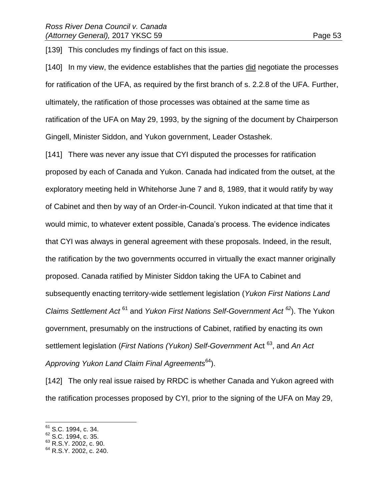[139] This concludes my findings of fact on this issue.

[140] In my view, the evidence establishes that the parties did negotiate the processes for ratification of the UFA, as required by the first branch of s. 2.2.8 of the UFA. Further, ultimately, the ratification of those processes was obtained at the same time as ratification of the UFA on May 29, 1993, by the signing of the document by Chairperson Gingell, Minister Siddon, and Yukon government, Leader Ostashek.

[141] There was never any issue that CYI disputed the processes for ratification proposed by each of Canada and Yukon. Canada had indicated from the outset, at the exploratory meeting held in Whitehorse June 7 and 8, 1989, that it would ratify by way of Cabinet and then by way of an Order-in-Council. Yukon indicated at that time that it would mimic, to whatever extent possible, Canada's process. The evidence indicates that CYI was always in general agreement with these proposals. Indeed, in the result, the ratification by the two governments occurred in virtually the exact manner originally proposed. Canada ratified by Minister Siddon taking the UFA to Cabinet and subsequently enacting territory-wide settlement legislation (*Yukon First Nations Land Claims Settlement Act* <sup>61</sup> and *Yukon First Nations Self-Government Act <sup>62</sup>*). The Yukon government, presumably on the instructions of Cabinet, ratified by enacting its own settlement legislation (*First Nations (Yukon) Self-Government* Act <sup>63</sup>, and An Act *Approving Yukon Land Claim Final Agreements*<sup>64</sup>).

[142] The only real issue raised by RRDC is whether Canada and Yukon agreed with the ratification processes proposed by CYI, prior to the signing of the UFA on May 29,

- $62$  S.C. 1994, c. 35.
- <sup>63</sup> R.S.Y. 2002, c. 90.

 $\overline{a}$  $61$  S.C. 1994, c. 34.

<sup>&</sup>lt;sup>64</sup> R.S.Y. 2002, c. 240.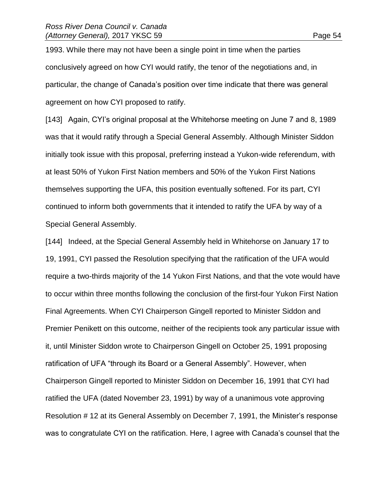1993. While there may not have been a single point in time when the parties conclusively agreed on how CYI would ratify, the tenor of the negotiations and, in particular, the change of Canada's position over time indicate that there was general agreement on how CYI proposed to ratify.

[143] Again, CYI's original proposal at the Whitehorse meeting on June 7 and 8, 1989 was that it would ratify through a Special General Assembly. Although Minister Siddon initially took issue with this proposal, preferring instead a Yukon-wide referendum, with at least 50% of Yukon First Nation members and 50% of the Yukon First Nations themselves supporting the UFA, this position eventually softened. For its part, CYI continued to inform both governments that it intended to ratify the UFA by way of a Special General Assembly.

[144] Indeed, at the Special General Assembly held in Whitehorse on January 17 to 19, 1991, CYI passed the Resolution specifying that the ratification of the UFA would require a two-thirds majority of the 14 Yukon First Nations, and that the vote would have to occur within three months following the conclusion of the first-four Yukon First Nation Final Agreements. When CYI Chairperson Gingell reported to Minister Siddon and Premier Penikett on this outcome, neither of the recipients took any particular issue with it, until Minister Siddon wrote to Chairperson Gingell on October 25, 1991 proposing ratification of UFA "through its Board or a General Assembly". However, when Chairperson Gingell reported to Minister Siddon on December 16, 1991 that CYI had ratified the UFA (dated November 23, 1991) by way of a unanimous vote approving Resolution # 12 at its General Assembly on December 7, 1991, the Minister's response was to congratulate CYI on the ratification. Here, I agree with Canada's counsel that the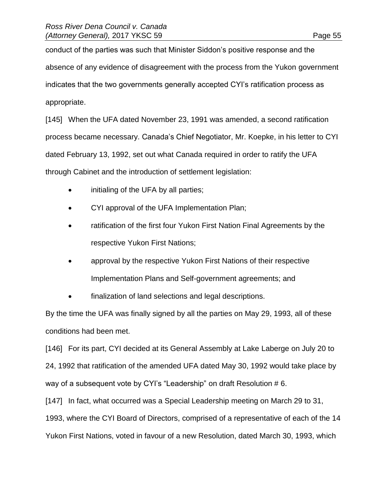conduct of the parties was such that Minister Siddon's positive response and the absence of any evidence of disagreement with the process from the Yukon government indicates that the two governments generally accepted CYI's ratification process as appropriate.

[145] When the UFA dated November 23, 1991 was amended, a second ratification process became necessary. Canada's Chief Negotiator, Mr. Koepke, in his letter to CYI dated February 13, 1992, set out what Canada required in order to ratify the UFA through Cabinet and the introduction of settlement legislation:

- initialing of the UFA by all parties;
- CYI approval of the UFA Implementation Plan;
- ratification of the first four Yukon First Nation Final Agreements by the respective Yukon First Nations;
- approval by the respective Yukon First Nations of their respective Implementation Plans and Self-government agreements; and
- finalization of land selections and legal descriptions.

By the time the UFA was finally signed by all the parties on May 29, 1993, all of these conditions had been met.

[146] For its part, CYI decided at its General Assembly at Lake Laberge on July 20 to 24, 1992 that ratification of the amended UFA dated May 30, 1992 would take place by way of a subsequent vote by CYI's "Leadership" on draft Resolution #6.

[147] In fact, what occurred was a Special Leadership meeting on March 29 to 31,

1993, where the CYI Board of Directors, comprised of a representative of each of the 14 Yukon First Nations, voted in favour of a new Resolution, dated March 30, 1993, which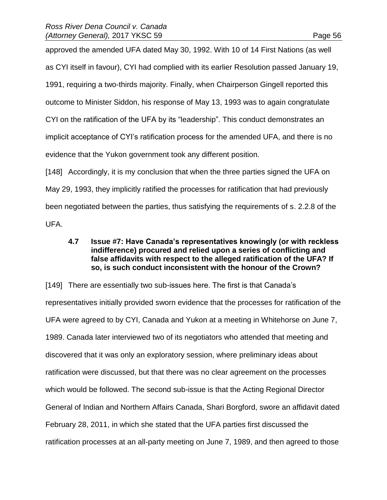approved the amended UFA dated May 30, 1992. With 10 of 14 First Nations (as well as CYI itself in favour), CYI had complied with its earlier Resolution passed January 19, 1991, requiring a two-thirds majority. Finally, when Chairperson Gingell reported this outcome to Minister Siddon, his response of May 13, 1993 was to again congratulate CYI on the ratification of the UFA by its "leadership". This conduct demonstrates an implicit acceptance of CYI's ratification process for the amended UFA, and there is no evidence that the Yukon government took any different position. [148] Accordingly, it is my conclusion that when the three parties signed the UFA on May 29, 1993, they implicitly ratified the processes for ratification that had previously been negotiated between the parties, thus satisfying the requirements of s. 2.2.8 of the UFA.

## **4.7 Issue #7: Have Canada's representatives knowingly (or with reckless indifference) procured and relied upon a series of conflicting and false affidavits with respect to the alleged ratification of the UFA? If so, is such conduct inconsistent with the honour of the Crown?**

[149] There are essentially two sub-issues here. The first is that Canada's representatives initially provided sworn evidence that the processes for ratification of the UFA were agreed to by CYI, Canada and Yukon at a meeting in Whitehorse on June 7, 1989. Canada later interviewed two of its negotiators who attended that meeting and discovered that it was only an exploratory session, where preliminary ideas about ratification were discussed, but that there was no clear agreement on the processes which would be followed. The second sub-issue is that the Acting Regional Director General of Indian and Northern Affairs Canada, Shari Borgford, swore an affidavit dated February 28, 2011, in which she stated that the UFA parties first discussed the ratification processes at an all-party meeting on June 7, 1989, and then agreed to those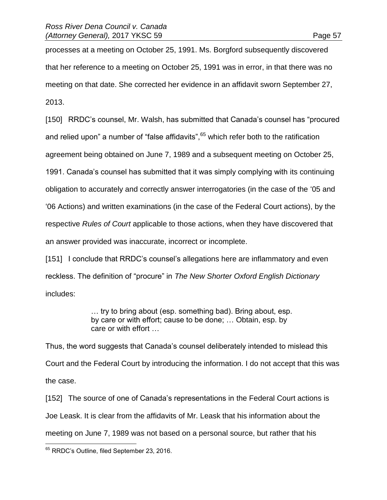processes at a meeting on October 25, 1991. Ms. Borgford subsequently discovered that her reference to a meeting on October 25, 1991 was in error, in that there was no meeting on that date. She corrected her evidence in an affidavit sworn September 27, 2013.

[150] RRDC's counsel, Mr. Walsh, has submitted that Canada's counsel has "procured and relied upon" a number of "false affidavits", $65$  which refer both to the ratification agreement being obtained on June 7, 1989 and a subsequent meeting on October 25, 1991. Canada's counsel has submitted that it was simply complying with its continuing obligation to accurately and correctly answer interrogatories (in the case of the '05 and '06 Actions) and written examinations (in the case of the Federal Court actions), by the respective *Rules of Court* applicable to those actions, when they have discovered that an answer provided was inaccurate, incorrect or incomplete.

[151] I conclude that RRDC's counsel's allegations here are inflammatory and even reckless. The definition of "procure" in *The New Shorter Oxford English Dictionary* includes:

> … try to bring about (esp. something bad). Bring about, esp. by care or with effort; cause to be done; … Obtain, esp. by care or with effort …

Thus, the word suggests that Canada's counsel deliberately intended to mislead this Court and the Federal Court by introducing the information. I do not accept that this was the case.

[152] The source of one of Canada's representations in the Federal Court actions is Joe Leask. It is clear from the affidavits of Mr. Leask that his information about the meeting on June 7, 1989 was not based on a personal source, but rather that his

 $\overline{a}$ <sup>65</sup> RRDC's Outline, filed September 23, 2016.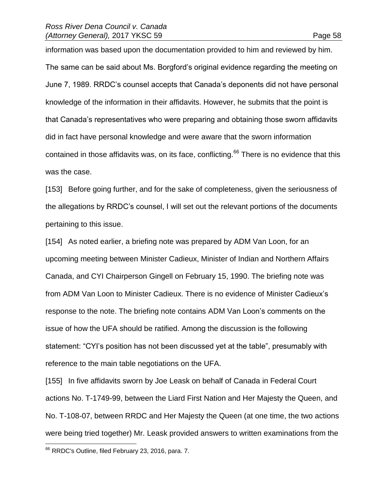information was based upon the documentation provided to him and reviewed by him. The same can be said about Ms. Borgford's original evidence regarding the meeting on June 7, 1989. RRDC's counsel accepts that Canada's deponents did not have personal knowledge of the information in their affidavits. However, he submits that the point is that Canada's representatives who were preparing and obtaining those sworn affidavits did in fact have personal knowledge and were aware that the sworn information contained in those affidavits was, on its face, conflicting. $66$  There is no evidence that this was the case.

[153] Before going further, and for the sake of completeness, given the seriousness of the allegations by RRDC's counsel, I will set out the relevant portions of the documents pertaining to this issue.

[154] As noted earlier, a briefing note was prepared by ADM Van Loon, for an upcoming meeting between Minister Cadieux, Minister of Indian and Northern Affairs Canada, and CYI Chairperson Gingell on February 15, 1990. The briefing note was from ADM Van Loon to Minister Cadieux. There is no evidence of Minister Cadieux's response to the note. The briefing note contains ADM Van Loon's comments on the issue of how the UFA should be ratified. Among the discussion is the following statement: "CYI's position has not been discussed yet at the table", presumably with reference to the main table negotiations on the UFA.

[155] In five affidavits sworn by Joe Leask on behalf of Canada in Federal Court actions No. T-1749-99, between the Liard First Nation and Her Majesty the Queen, and No. T-108-07, between RRDC and Her Majesty the Queen (at one time, the two actions were being tried together) Mr. Leask provided answers to written examinations from the

<sup>&</sup>lt;sup>66</sup> RRDC's Outline, filed February 23, 2016, para. 7.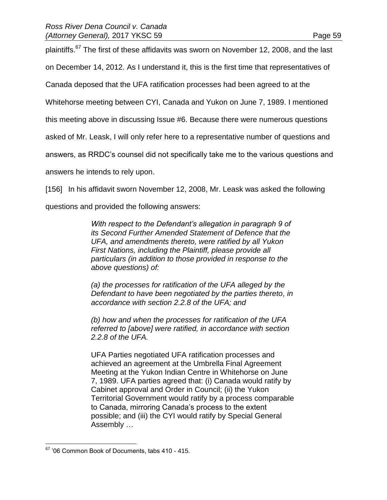plaintiffs.<sup>67</sup> The first of these affidavits was sworn on November 12, 2008, and the last on December 14, 2012. As I understand it, this is the first time that representatives of Canada deposed that the UFA ratification processes had been agreed to at the Whitehorse meeting between CYI, Canada and Yukon on June 7, 1989. I mentioned this meeting above in discussing Issue #6. Because there were numerous questions asked of Mr. Leask, I will only refer here to a representative number of questions and answers, as RRDC's counsel did not specifically take me to the various questions and

answers he intends to rely upon.

[156] In his affidavit sworn November 12, 2008, Mr. Leask was asked the following

questions and provided the following answers:

*With respect to the Defendant's allegation in paragraph 9 of its Second Further Amended Statement of Defence that the UFA, and amendments thereto, were ratified by all Yukon First Nations, including the Plaintiff, please provide all particulars (in addition to those provided in response to the above questions) of:*

*(a) the processes for ratification of the UFA alleged by the Defendant to have been negotiated by the parties thereto, in accordance with section 2.2.8 of the UFA; and*

*(b) how and when the processes for ratification of the UFA referred to [above] were ratified, in accordance with section 2.2.8 of the UFA.*

UFA Parties negotiated UFA ratification processes and achieved an agreement at the Umbrella Final Agreement Meeting at the Yukon Indian Centre in Whitehorse on June 7, 1989. UFA parties agreed that: (i) Canada would ratify by Cabinet approval and Order in Council; (ii) the Yukon Territorial Government would ratify by a process comparable to Canada, mirroring Canada's process to the extent possible; and (iii) the CYI would ratify by Special General Assembly …

 $\overline{a}$  $67$  '06 Common Book of Documents, tabs 410 - 415.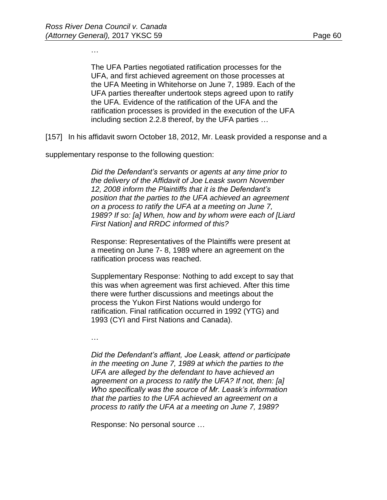…

The UFA Parties negotiated ratification processes for the UFA, and first achieved agreement on those processes at the UFA Meeting in Whitehorse on June 7, 1989. Each of the UFA parties thereafter undertook steps agreed upon to ratify the UFA. Evidence of the ratification of the UFA and the ratification processes is provided in the execution of the UFA including section 2.2.8 thereof, by the UFA parties …

[157] In his affidavit sworn October 18, 2012, Mr. Leask provided a response and a

supplementary response to the following question:

*Did the Defendant's servants or agents at any time prior to the delivery of the Affidavit of Joe Leask sworn November 12, 2008 inform the Plaintiffs that it is the Defendant's position that the parties to the UFA achieved an agreement on a process to ratify the UFA at a meeting on June 7, 1989? If so: [a] When, how and by whom were each of [Liard First Nation] and RRDC informed of this?*

Response: Representatives of the Plaintiffs were present at a meeting on June 7- 8, 1989 where an agreement on the ratification process was reached.

Supplementary Response: Nothing to add except to say that this was when agreement was first achieved. After this time there were further discussions and meetings about the process the Yukon First Nations would undergo for ratification. Final ratification occurred in 1992 (YTG) and 1993 (CYI and First Nations and Canada).

…

*Did the Defendant's affiant, Joe Leask, attend or participate in the meeting on June 7, 1989 at which the parties to the UFA are alleged by the defendant to have achieved an agreement on a process to ratify the UFA? If not, then: [a] Who specifically was the source of Mr. Leask's information that the parties to the UFA achieved an agreement on a process to ratify the UFA at a meeting on June 7, 1989?*

Response: No personal source …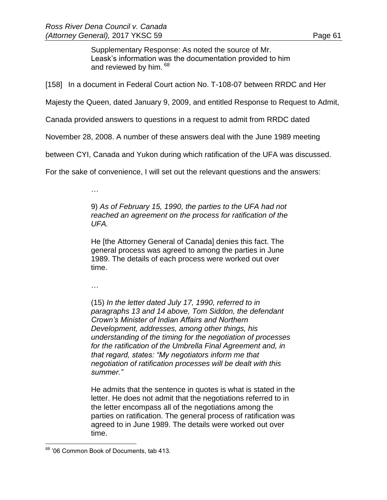Supplementary Response: As noted the source of Mr. Leask's information was the documentation provided to him and reviewed by him.  $68$ 

[158] In a document in Federal Court action No. T-108-07 between RRDC and Her

Majesty the Queen, dated January 9, 2009, and entitled Response to Request to Admit,

Canada provided answers to questions in a request to admit from RRDC dated

November 28, 2008. A number of these answers deal with the June 1989 meeting

between CYI, Canada and Yukon during which ratification of the UFA was discussed.

For the sake of convenience, I will set out the relevant questions and the answers:

…

9) *As of February 15, 1990, the parties to the UFA had not reached an agreement on the process for ratification of the UFA.* 

He [the Attorney General of Canada] denies this fact. The general process was agreed to among the parties in June 1989. The details of each process were worked out over time.

…

(15) *In the letter dated July 17, 1990, referred to in paragraphs 13 and 14 above, Tom Siddon, the defendant Crown's Minister of Indian Affairs and Northern Development, addresses, among other things, his understanding of the timing for the negotiation of processes for the ratification of the Umbrella Final Agreement and, in that regard, states: "My negotiators inform me that negotiation of ratification processes will be dealt with this summer."*

He admits that the sentence in quotes is what is stated in the letter. He does not admit that the negotiations referred to in the letter encompass all of the negotiations among the parties on ratification. The general process of ratification was agreed to in June 1989. The details were worked out over time.

 $\overline{a}$ 68 '06 Common Book of Documents, tab 413.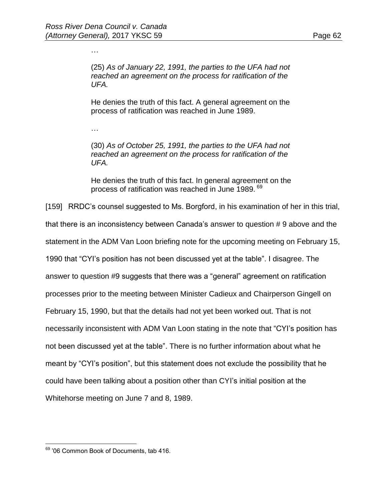…

(25) *As of January 22, 1991, the parties to the UFA had not reached an agreement on the process for ratification of the UFA.*

He denies the truth of this fact. A general agreement on the process of ratification was reached in June 1989.

…

(30) *As of October 25, 1991, the parties to the UFA had not reached an agreement on the process for ratification of the UFA.*

He denies the truth of this fact. In general agreement on the process of ratification was reached in June 1989. <sup>69</sup>

[159] RRDC's counsel suggested to Ms. Borgford, in his examination of her in this trial, that there is an inconsistency between Canada's answer to question # 9 above and the statement in the ADM Van Loon briefing note for the upcoming meeting on February 15, 1990 that "CYI's position has not been discussed yet at the table". I disagree. The answer to question #9 suggests that there was a "general" agreement on ratification processes prior to the meeting between Minister Cadieux and Chairperson Gingell on February 15, 1990, but that the details had not yet been worked out. That is not necessarily inconsistent with ADM Van Loon stating in the note that "CYI's position has not been discussed yet at the table". There is no further information about what he meant by "CYI's position", but this statement does not exclude the possibility that he could have been talking about a position other than CYI's initial position at the Whitehorse meeting on June 7 and 8, 1989.

 $\overline{a}$ <sup>69</sup> '06 Common Book of Documents, tab 416.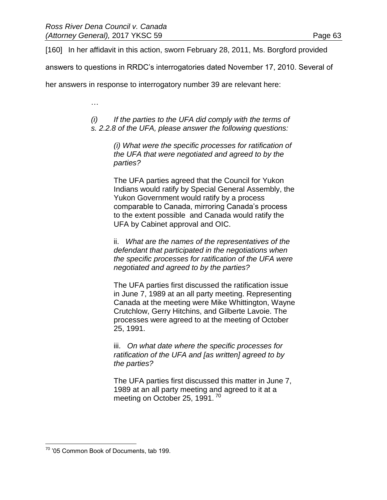[160] In her affidavit in this action, sworn February 28, 2011, Ms. Borgford provided

answers to questions in RRDC's interrogatories dated November 17, 2010. Several of

her answers in response to interrogatory number 39 are relevant here:

…

*(i) If the parties to the UFA did comply with the terms of s. 2.2.8 of the UFA, please answer the following questions:*

> *(i) What were the specific processes for ratification of the UFA that were negotiated and agreed to by the parties?*

The UFA parties agreed that the Council for Yukon Indians would ratify by Special General Assembly, the Yukon Government would ratify by a process comparable to Canada, mirroring Canada's process to the extent possible and Canada would ratify the UFA by Cabinet approval and OIC.

ii. *What are the names of the representatives of the defendant that participated in the negotiations when the specific processes for ratification of the UFA were negotiated and agreed to by the parties?*

The UFA parties first discussed the ratification issue in June 7, 1989 at an all party meeting. Representing Canada at the meeting were Mike Whittington, Wayne Crutchlow, Gerry Hitchins, and Gilberte Lavoie. The processes were agreed to at the meeting of October 25, 1991.

iii. *On what date where the specific processes for ratification of the UFA and [as written] agreed to by the parties?*

The UFA parties first discussed this matter in June 7, 1989 at an all party meeting and agreed to it at a meeting on October 25, 1991.<sup>70</sup>

 $\overline{a}$ <sup>70</sup> '05 Common Book of Documents, tab 199.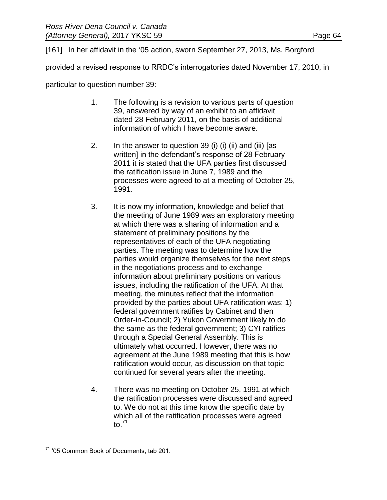[161] In her affidavit in the '05 action, sworn September 27, 2013, Ms. Borgford

provided a revised response to RRDC's interrogatories dated November 17, 2010, in

particular to question number 39:

- 1. The following is a revision to various parts of question 39, answered by way of an exhibit to an affidavit dated 28 February 2011, on the basis of additional information of which I have become aware.
- 2. In the answer to question 39 (i) (i) (ii) and (iii) [as written] in the defendant's response of 28 February 2011 it is stated that the UFA parties first discussed the ratification issue in June 7, 1989 and the processes were agreed to at a meeting of October 25, 1991.
- 3. It is now my information, knowledge and belief that the meeting of June 1989 was an exploratory meeting at which there was a sharing of information and a statement of preliminary positions by the representatives of each of the UFA negotiating parties. The meeting was to determine how the parties would organize themselves for the next steps in the negotiations process and to exchange information about preliminary positions on various issues, including the ratification of the UFA. At that meeting, the minutes reflect that the information provided by the parties about UFA ratification was: 1) federal government ratifies by Cabinet and then Order-in-Council; 2) Yukon Government likely to do the same as the federal government; 3) CYI ratifies through a Special General Assembly. This is ultimately what occurred. However, there was no agreement at the June 1989 meeting that this is how ratification would occur, as discussion on that topic continued for several years after the meeting.
- 4. There was no meeting on October 25, 1991 at which the ratification processes were discussed and agreed to. We do not at this time know the specific date by which all of the ratification processes were agreed to. $71$

 $\overline{a}$ <sup>71</sup> '05 Common Book of Documents, tab 201.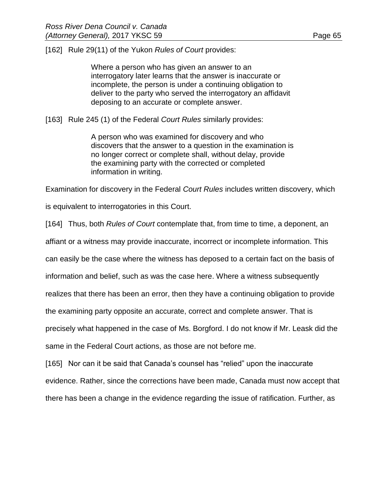[162] Rule 29(11) of the Yukon *Rules of Court* provides:

Where a person who has given an answer to an interrogatory later learns that the answer is inaccurate or incomplete, the person is under a continuing obligation to deliver to the party who served the interrogatory an affidavit deposing to an accurate or complete answer.

[163] Rule 245 (1) of the Federal *Court Rules* similarly provides:

A person who was examined for discovery and who discovers that the answer to a question in the examination is no longer correct or complete shall, without delay, provide the examining party with the corrected or completed information in writing.

Examination for discovery in the Federal *Court Rules* includes written discovery, which

is equivalent to interrogatories in this Court.

[164] Thus, both *Rules of Court* contemplate that, from time to time, a deponent, an

affiant or a witness may provide inaccurate, incorrect or incomplete information. This

can easily be the case where the witness has deposed to a certain fact on the basis of

information and belief, such as was the case here. Where a witness subsequently

realizes that there has been an error, then they have a continuing obligation to provide

the examining party opposite an accurate, correct and complete answer. That is

precisely what happened in the case of Ms. Borgford. I do not know if Mr. Leask did the

same in the Federal Court actions, as those are not before me.

[165] Nor can it be said that Canada's counsel has "relied" upon the inaccurate evidence. Rather, since the corrections have been made, Canada must now accept that there has been a change in the evidence regarding the issue of ratification. Further, as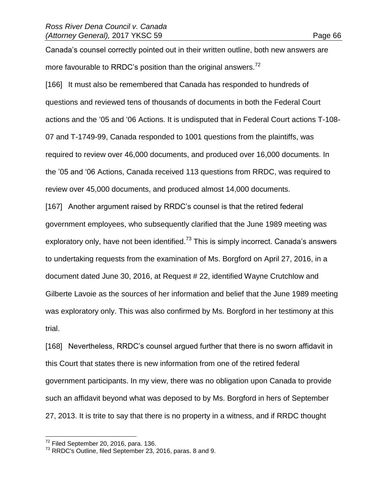Canada's counsel correctly pointed out in their written outline, both new answers are more favourable to RRDC's position than the original answers.<sup>72</sup>

[166] It must also be remembered that Canada has responded to hundreds of questions and reviewed tens of thousands of documents in both the Federal Court actions and the '05 and '06 Actions. It is undisputed that in Federal Court actions T-108- 07 and T-1749-99, Canada responded to 1001 questions from the plaintiffs, was required to review over 46,000 documents, and produced over 16,000 documents. In the '05 and '06 Actions, Canada received 113 questions from RRDC, was required to review over 45,000 documents, and produced almost 14,000 documents.

[167] Another argument raised by RRDC's counsel is that the retired federal government employees, who subsequently clarified that the June 1989 meeting was exploratory only, have not been identified.<sup>73</sup> This is simply incorrect. Canada's answers to undertaking requests from the examination of Ms. Borgford on April 27, 2016, in a document dated June 30, 2016, at Request # 22, identified Wayne Crutchlow and Gilberte Lavoie as the sources of her information and belief that the June 1989 meeting was exploratory only. This was also confirmed by Ms. Borgford in her testimony at this trial.

[168] Nevertheless, RRDC's counsel argued further that there is no sworn affidavit in this Court that states there is new information from one of the retired federal government participants. In my view, there was no obligation upon Canada to provide such an affidavit beyond what was deposed to by Ms. Borgford in hers of September 27, 2013. It is trite to say that there is no property in a witness, and if RRDC thought

 $72$  Filed September 20, 2016, para. 136.

 $^{73}$  RRDC's Outline, filed September 23, 2016, paras. 8 and 9.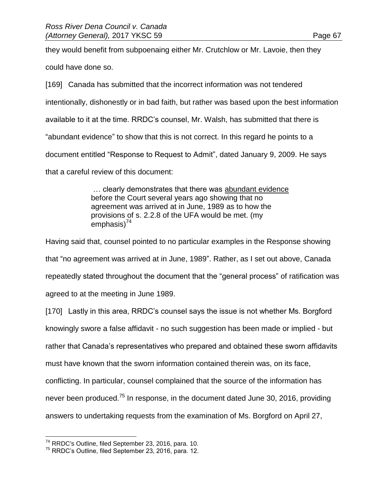they would benefit from subpoenaing either Mr. Crutchlow or Mr. Lavoie, then they

could have done so.

[169] Canada has submitted that the incorrect information was not tendered intentionally, dishonestly or in bad faith, but rather was based upon the best information available to it at the time. RRDC's counsel, Mr. Walsh, has submitted that there is "abundant evidence" to show that this is not correct. In this regard he points to a document entitled "Response to Request to Admit", dated January 9, 2009. He says that a careful review of this document:

> … clearly demonstrates that there was abundant evidence before the Court several years ago showing that no agreement was arrived at in June, 1989 as to how the provisions of s. 2.2.8 of the UFA would be met. (my emphasis $^{74}$

Having said that, counsel pointed to no particular examples in the Response showing that "no agreement was arrived at in June, 1989". Rather, as I set out above, Canada repeatedly stated throughout the document that the "general process" of ratification was agreed to at the meeting in June 1989.

[170] Lastly in this area, RRDC's counsel says the issue is not whether Ms. Borgford knowingly swore a false affidavit - no such suggestion has been made or implied - but rather that Canada's representatives who prepared and obtained these sworn affidavits must have known that the sworn information contained therein was, on its face, conflicting. In particular, counsel complained that the source of the information has never been produced.<sup>75</sup> In response, in the document dated June 30, 2016, providing answers to undertaking requests from the examination of Ms. Borgford on April 27,

 $74$  RRDC's Outline, filed September 23, 2016, para. 10.

<sup>75</sup> RRDC's Outline, filed September 23, 2016, para. 12.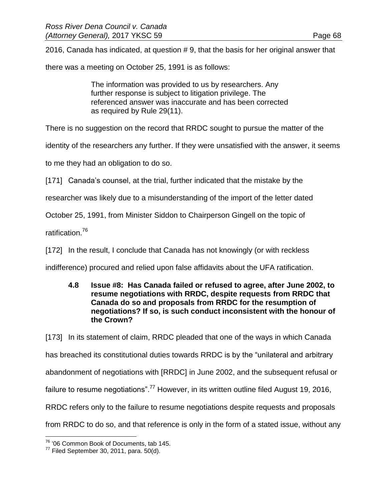2016, Canada has indicated, at question # 9, that the basis for her original answer that

there was a meeting on October 25, 1991 is as follows:

The information was provided to us by researchers. Any further response is subject to litigation privilege. The referenced answer was inaccurate and has been corrected as required by Rule 29(11).

There is no suggestion on the record that RRDC sought to pursue the matter of the

identity of the researchers any further. If they were unsatisfied with the answer, it seems

to me they had an obligation to do so.

[171] Canada's counsel, at the trial, further indicated that the mistake by the

researcher was likely due to a misunderstanding of the import of the letter dated

October 25, 1991, from Minister Siddon to Chairperson Gingell on the topic of

ratification.<sup>76</sup>

[172] In the result, I conclude that Canada has not knowingly (or with reckless

indifference) procured and relied upon false affidavits about the UFA ratification.

## **4.8 Issue #8: Has Canada failed or refused to agree, after June 2002, to resume negotiations with RRDC, despite requests from RRDC that Canada do so and proposals from RRDC for the resumption of negotiations? If so, is such conduct inconsistent with the honour of the Crown?**

[173] In its statement of claim, RRDC pleaded that one of the ways in which Canada has breached its constitutional duties towards RRDC is by the "unilateral and arbitrary abandonment of negotiations with [RRDC] in June 2002, and the subsequent refusal or failure to resume negotiations".<sup>77</sup> However, in its written outline filed August 19, 2016, RRDC refers only to the failure to resume negotiations despite requests and proposals from RRDC to do so, and that reference is only in the form of a stated issue, without any

 $\overline{a}$ <sup>76</sup> '06 Common Book of Documents, tab 145.

 $77$  Filed September 30, 2011, para. 50(d).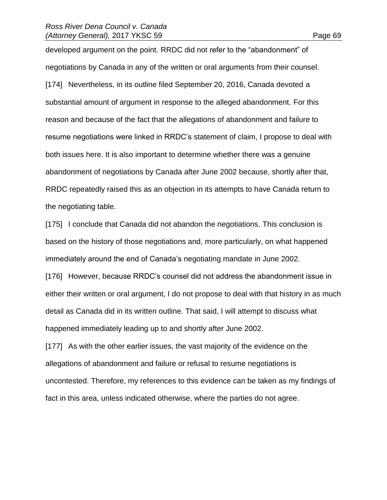developed argument on the point. RRDC did not refer to the "abandonment" of negotiations by Canada in any of the written or oral arguments from their counsel. [174] Nevertheless, in its outline filed September 20, 2016, Canada devoted a substantial amount of argument in response to the alleged abandonment. For this reason and because of the fact that the allegations of abandonment and failure to resume negotiations were linked in RRDC's statement of claim, I propose to deal with both issues here. It is also important to determine whether there was a genuine abandonment of negotiations by Canada after June 2002 because, shortly after that, RRDC repeatedly raised this as an objection in its attempts to have Canada return to the negotiating table.

[175] I conclude that Canada did not abandon the negotiations. This conclusion is based on the history of those negotiations and, more particularly, on what happened immediately around the end of Canada's negotiating mandate in June 2002.

[176] However, because RRDC's counsel did not address the abandonment issue in either their written or oral argument, I do not propose to deal with that history in as much detail as Canada did in its written outline. That said, I will attempt to discuss what happened immediately leading up to and shortly after June 2002.

[177] As with the other earlier issues, the vast majority of the evidence on the allegations of abandonment and failure or refusal to resume negotiations is uncontested. Therefore, my references to this evidence can be taken as my findings of fact in this area, unless indicated otherwise, where the parties do not agree.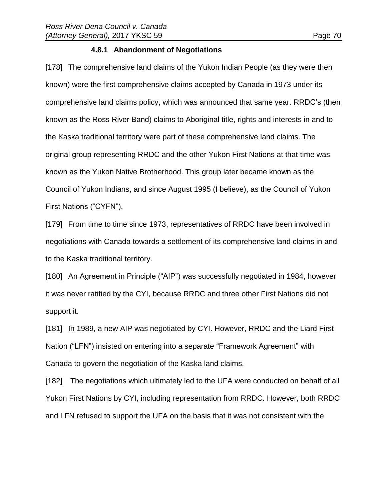## **4.8.1 Abandonment of Negotiations**

[178] The comprehensive land claims of the Yukon Indian People (as they were then known) were the first comprehensive claims accepted by Canada in 1973 under its comprehensive land claims policy, which was announced that same year. RRDC's (then known as the Ross River Band) claims to Aboriginal title, rights and interests in and to the Kaska traditional territory were part of these comprehensive land claims. The original group representing RRDC and the other Yukon First Nations at that time was known as the Yukon Native Brotherhood. This group later became known as the Council of Yukon Indians, and since August 1995 (I believe), as the Council of Yukon First Nations ("CYFN").

[179] From time to time since 1973, representatives of RRDC have been involved in negotiations with Canada towards a settlement of its comprehensive land claims in and to the Kaska traditional territory.

[180] An Agreement in Principle ("AIP") was successfully negotiated in 1984, however it was never ratified by the CYI, because RRDC and three other First Nations did not support it.

[181] In 1989, a new AIP was negotiated by CYI. However, RRDC and the Liard First Nation ("LFN") insisted on entering into a separate "Framework Agreement" with Canada to govern the negotiation of the Kaska land claims.

[182] The negotiations which ultimately led to the UFA were conducted on behalf of all Yukon First Nations by CYI, including representation from RRDC. However, both RRDC and LFN refused to support the UFA on the basis that it was not consistent with the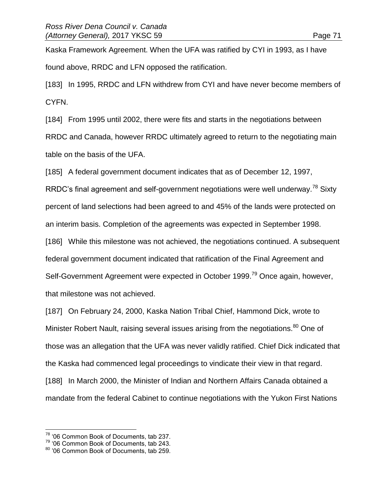Kaska Framework Agreement. When the UFA was ratified by CYI in 1993, as I have found above, RRDC and LFN opposed the ratification.

[183] In 1995, RRDC and LFN withdrew from CYI and have never become members of CYFN.

[184] From 1995 until 2002, there were fits and starts in the negotiations between

RRDC and Canada, however RRDC ultimately agreed to return to the negotiating main table on the basis of the UFA.

[185] A federal government document indicates that as of December 12, 1997,

RRDC's final agreement and self-government negotiations were well underway.<sup>78</sup> Sixty percent of land selections had been agreed to and 45% of the lands were protected on an interim basis. Completion of the agreements was expected in September 1998.

[186] While this milestone was not achieved, the negotiations continued. A subsequent federal government document indicated that ratification of the Final Agreement and Self-Government Agreement were expected in October 1999.<sup>79</sup> Once again, however, that milestone was not achieved.

[187] On February 24, 2000, Kaska Nation Tribal Chief, Hammond Dick, wrote to Minister Robert Nault, raising several issues arising from the negotiations.<sup>80</sup> One of those was an allegation that the UFA was never validly ratified. Chief Dick indicated that the Kaska had commenced legal proceedings to vindicate their view in that regard. [188] In March 2000, the Minister of Indian and Northern Affairs Canada obtained a mandate from the federal Cabinet to continue negotiations with the Yukon First Nations

<sup>&</sup>lt;sup>78</sup> '06 Common Book of Documents, tab 237.

<sup>&</sup>lt;sup>79</sup> '06 Common Book of Documents, tab 243.

<sup>80 &#</sup>x27;06 Common Book of Documents, tab 259.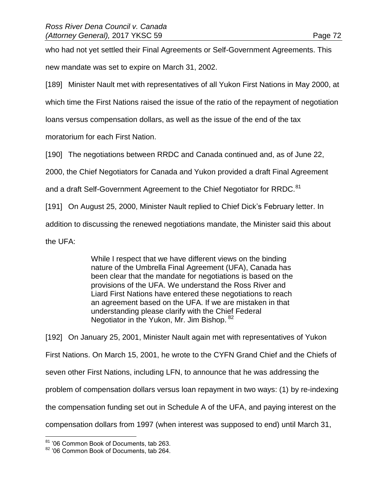who had not yet settled their Final Agreements or Self-Government Agreements. This new mandate was set to expire on March 31, 2002.

[189] Minister Nault met with representatives of all Yukon First Nations in May 2000, at

which time the First Nations raised the issue of the ratio of the repayment of negotiation

loans versus compensation dollars, as well as the issue of the end of the tax

moratorium for each First Nation.

[190] The negotiations between RRDC and Canada continued and, as of June 22,

2000, the Chief Negotiators for Canada and Yukon provided a draft Final Agreement

and a draft Self-Government Agreement to the Chief Negotiator for RRDC.<sup>81</sup>

[191] On August 25, 2000, Minister Nault replied to Chief Dick's February letter. In

addition to discussing the renewed negotiations mandate, the Minister said this about

the UFA:

 $\overline{a}$ 

While I respect that we have different views on the binding nature of the Umbrella Final Agreement (UFA), Canada has been clear that the mandate for negotiations is based on the provisions of the UFA. We understand the Ross River and Liard First Nations have entered these negotiations to reach an agreement based on the UFA. If we are mistaken in that understanding please clarify with the Chief Federal Negotiator in the Yukon, Mr. Jim Bishop. <sup>82</sup>

[192] On January 25, 2001, Minister Nault again met with representatives of Yukon First Nations. On March 15, 2001, he wrote to the CYFN Grand Chief and the Chiefs of seven other First Nations, including LFN, to announce that he was addressing the problem of compensation dollars versus loan repayment in two ways: (1) by re-indexing the compensation funding set out in Schedule A of the UFA, and paying interest on the compensation dollars from 1997 (when interest was supposed to end) until March 31,

<sup>&</sup>lt;sup>81</sup> '06 Common Book of Documents, tab 263.

<sup>82 &#</sup>x27;06 Common Book of Documents, tab 264.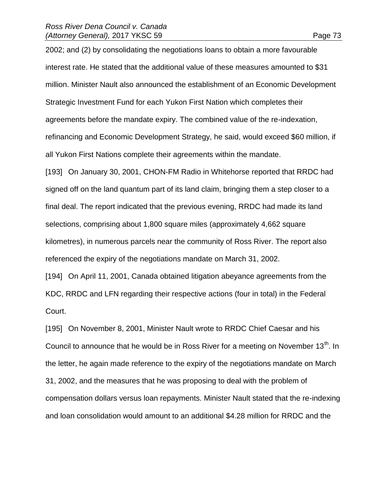2002; and (2) by consolidating the negotiations loans to obtain a more favourable interest rate. He stated that the additional value of these measures amounted to \$31 million. Minister Nault also announced the establishment of an Economic Development Strategic Investment Fund for each Yukon First Nation which completes their agreements before the mandate expiry. The combined value of the re-indexation, refinancing and Economic Development Strategy, he said, would exceed \$60 million, if all Yukon First Nations complete their agreements within the mandate. [193] On January 30, 2001, CHON-FM Radio in Whitehorse reported that RRDC had signed off on the land quantum part of its land claim, bringing them a step closer to a final deal. The report indicated that the previous evening, RRDC had made its land selections, comprising about 1,800 square miles (approximately 4,662 square kilometres), in numerous parcels near the community of Ross River. The report also

[194] On April 11, 2001, Canada obtained litigation abeyance agreements from the KDC, RRDC and LFN regarding their respective actions (four in total) in the Federal Court.

referenced the expiry of the negotiations mandate on March 31, 2002.

[195] On November 8, 2001, Minister Nault wrote to RRDC Chief Caesar and his Council to announce that he would be in Ross River for a meeting on November  $13<sup>th</sup>$ . In the letter, he again made reference to the expiry of the negotiations mandate on March 31, 2002, and the measures that he was proposing to deal with the problem of compensation dollars versus loan repayments. Minister Nault stated that the re-indexing and loan consolidation would amount to an additional \$4.28 million for RRDC and the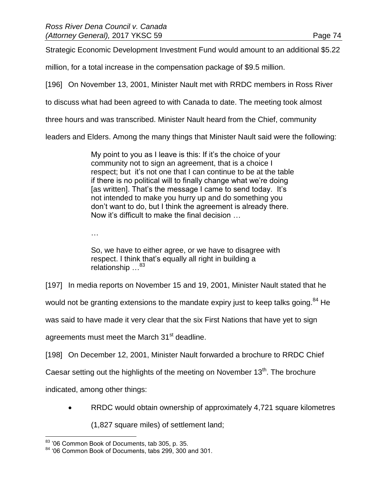Strategic Economic Development Investment Fund would amount to an additional \$5.22

million, for a total increase in the compensation package of \$9.5 million.

[196] On November 13, 2001, Minister Nault met with RRDC members in Ross River

to discuss what had been agreed to with Canada to date. The meeting took almost

three hours and was transcribed. Minister Nault heard from the Chief, community

leaders and Elders. Among the many things that Minister Nault said were the following:

My point to you as I leave is this: If it's the choice of your community not to sign an agreement, that is a choice I respect; but it's not one that I can continue to be at the table if there is no political will to finally change what we're doing [as written]. That's the message I came to send today. It's not intended to make you hurry up and do something you don't want to do, but I think the agreement is already there. Now it's difficult to make the final decision …

…

So, we have to either agree, or we have to disagree with respect. I think that's equally all right in building a relationship …<sup>83</sup>

[197] In media reports on November 15 and 19, 2001, Minister Nault stated that he

would not be granting extensions to the mandate expiry just to keep talks going.<sup>84</sup> He

was said to have made it very clear that the six First Nations that have yet to sign

agreements must meet the March 31<sup>st</sup> deadline.

[198] On December 12, 2001, Minister Nault forwarded a brochure to RRDC Chief

Caesar setting out the highlights of the meeting on November  $13<sup>th</sup>$ . The brochure

indicated, among other things:

 $\overline{a}$ 

• RRDC would obtain ownership of approximately 4,721 square kilometres (1,827 square miles) of settlement land;

<sup>&</sup>lt;sup>83</sup> '06 Common Book of Documents, tab 305, p. 35.

<sup>84 &#</sup>x27;06 Common Book of Documents, tabs 299, 300 and 301.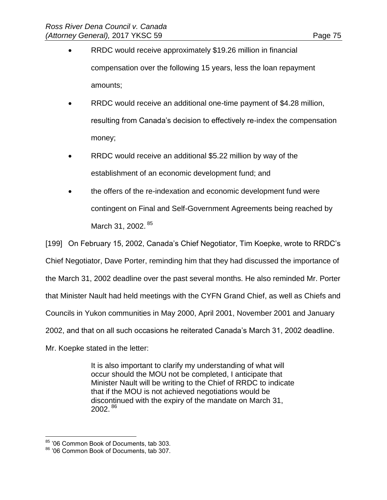- RRDC would receive approximately \$19.26 million in financial compensation over the following 15 years, less the loan repayment amounts;
- RRDC would receive an additional one-time payment of \$4.28 million, resulting from Canada's decision to effectively re-index the compensation money;
- RRDC would receive an additional \$5.22 million by way of the establishment of an economic development fund; and
- the offers of the re-indexation and economic development fund were contingent on Final and Self-Government Agreements being reached by March 31, 2002. <sup>85</sup>

[199] On February 15, 2002, Canada's Chief Negotiator, Tim Koepke, wrote to RRDC's Chief Negotiator, Dave Porter, reminding him that they had discussed the importance of the March 31, 2002 deadline over the past several months. He also reminded Mr. Porter that Minister Nault had held meetings with the CYFN Grand Chief, as well as Chiefs and Councils in Yukon communities in May 2000, April 2001, November 2001 and January 2002, and that on all such occasions he reiterated Canada's March 31, 2002 deadline. Mr. Koepke stated in the letter:

> It is also important to clarify my understanding of what will occur should the MOU not be completed, I anticipate that Minister Nault will be writing to the Chief of RRDC to indicate that if the MOU is not achieved negotiations would be discontinued with the expiry of the mandate on March 31, 2002. <sup>86</sup>

<sup>&</sup>lt;sup>85</sup> '06 Common Book of Documents, tab 303.

<sup>86 &#</sup>x27;06 Common Book of Documents, tab 307.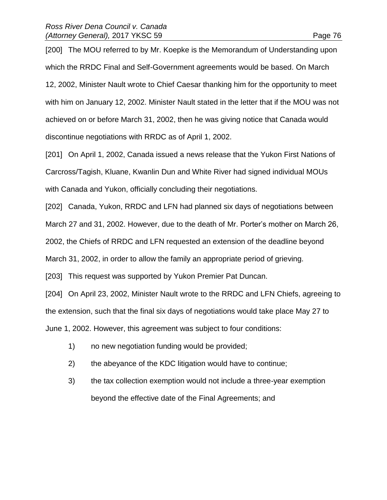[200] The MOU referred to by Mr. Koepke is the Memorandum of Understanding upon which the RRDC Final and Self-Government agreements would be based. On March 12, 2002, Minister Nault wrote to Chief Caesar thanking him for the opportunity to meet with him on January 12, 2002. Minister Nault stated in the letter that if the MOU was not achieved on or before March 31, 2002, then he was giving notice that Canada would discontinue negotiations with RRDC as of April 1, 2002.

[201] On April 1, 2002, Canada issued a news release that the Yukon First Nations of Carcross/Tagish, Kluane, Kwanlin Dun and White River had signed individual MOUs with Canada and Yukon, officially concluding their negotiations.

[202] Canada, Yukon, RRDC and LFN had planned six days of negotiations between March 27 and 31, 2002. However, due to the death of Mr. Porter's mother on March 26, 2002, the Chiefs of RRDC and LFN requested an extension of the deadline beyond March 31, 2002, in order to allow the family an appropriate period of grieving. [203] This request was supported by Yukon Premier Pat Duncan.

[204] On April 23, 2002, Minister Nault wrote to the RRDC and LFN Chiefs, agreeing to the extension, such that the final six days of negotiations would take place May 27 to June 1, 2002. However, this agreement was subject to four conditions:

- 1) no new negotiation funding would be provided;
- 2) the abeyance of the KDC litigation would have to continue;
- 3) the tax collection exemption would not include a three-year exemption beyond the effective date of the Final Agreements; and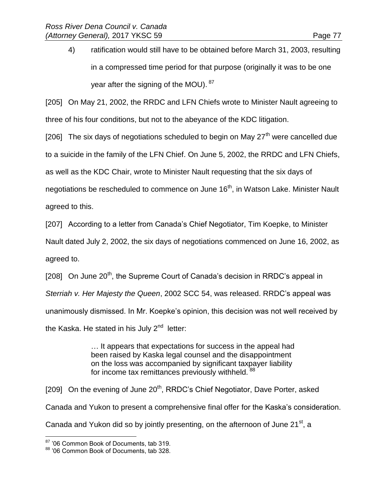[205] On May 21, 2002, the RRDC and LFN Chiefs wrote to Minister Nault agreeing to three of his four conditions, but not to the abeyance of the KDC litigation.

[206] The six days of negotiations scheduled to begin on May  $27<sup>th</sup>$  were cancelled due to a suicide in the family of the LFN Chief. On June 5, 2002, the RRDC and LFN Chiefs, as well as the KDC Chair, wrote to Minister Nault requesting that the six days of negotiations be rescheduled to commence on June  $16<sup>th</sup>$ , in Watson Lake. Minister Nault agreed to this.

[207] According to a letter from Canada's Chief Negotiator, Tim Koepke, to Minister

Nault dated July 2, 2002, the six days of negotiations commenced on June 16, 2002, as agreed to.

[208] On June 20<sup>th</sup>, the Supreme Court of Canada's decision in RRDC's appeal in *Sterriah v. Her Majesty the Queen*, 2002 SCC 54, was released. RRDC's appeal was unanimously dismissed. In Mr. Koepke's opinion, this decision was not well received by the Kaska. He stated in his July  $2<sup>nd</sup>$  letter:

> … It appears that expectations for success in the appeal had been raised by Kaska legal counsel and the disappointment on the loss was accompanied by significant taxpayer liability for income tax remittances previously withheld. 88

[209] On the evening of June 20<sup>th</sup>, RRDC's Chief Negotiator, Dave Porter, asked Canada and Yukon to present a comprehensive final offer for the Kaska's consideration. Canada and Yukon did so by jointly presenting, on the afternoon of June  $21<sup>st</sup>$ , a

<sup>&</sup>lt;sup>87</sup> '06 Common Book of Documents, tab 319.

<sup>88 &#</sup>x27;06 Common Book of Documents, tab 328.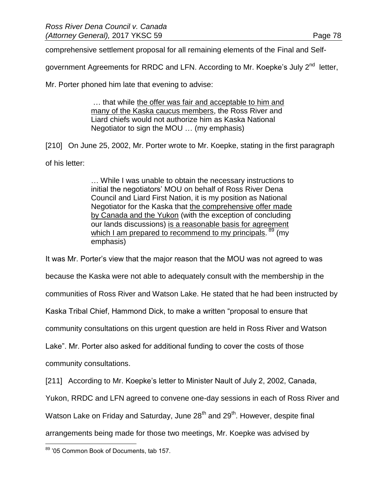comprehensive settlement proposal for all remaining elements of the Final and Self-

government Agreements for RRDC and LFN. According to Mr. Koepke's July 2<sup>nd</sup> letter,

Mr. Porter phoned him late that evening to advise:

… that while the offer was fair and acceptable to him and many of the Kaska caucus members, the Ross River and Liard chiefs would not authorize him as Kaska National Negotiator to sign the MOU … (my emphasis)

[210] On June 25, 2002, Mr. Porter wrote to Mr. Koepke, stating in the first paragraph of his letter:

> … While I was unable to obtain the necessary instructions to initial the negotiators' MOU on behalf of Ross River Dena Council and Liard First Nation, it is my position as National Negotiator for the Kaska that the comprehensive offer made by Canada and the Yukon (with the exception of concluding our lands discussions) is a reasonable basis for agreement which I am prepared to recommend to my principals. <sup>89</sup> (my emphasis)

It was Mr. Porter's view that the major reason that the MOU was not agreed to was because the Kaska were not able to adequately consult with the membership in the communities of Ross River and Watson Lake. He stated that he had been instructed by Kaska Tribal Chief, Hammond Dick, to make a written "proposal to ensure that community consultations on this urgent question are held in Ross River and Watson Lake". Mr. Porter also asked for additional funding to cover the costs of those community consultations.

[211] According to Mr. Koepke's letter to Minister Nault of July 2, 2002, Canada,

Yukon, RRDC and LFN agreed to convene one-day sessions in each of Ross River and

Watson Lake on Friday and Saturday, June 28<sup>th</sup> and 29<sup>th</sup>. However, despite final

arrangements being made for those two meetings, Mr. Koepke was advised by

 $\overline{a}$ 89 '05 Common Book of Documents, tab 157.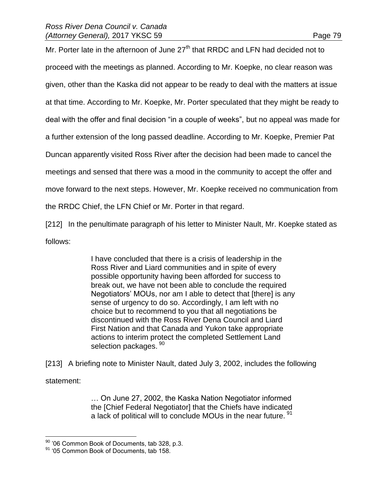proceed with the meetings as planned. According to Mr. Koepke, no clear reason was given, other than the Kaska did not appear to be ready to deal with the matters at issue at that time. According to Mr. Koepke, Mr. Porter speculated that they might be ready to deal with the offer and final decision "in a couple of weeks", but no appeal was made for a further extension of the long passed deadline. According to Mr. Koepke, Premier Pat Duncan apparently visited Ross River after the decision had been made to cancel the meetings and sensed that there was a mood in the community to accept the offer and move forward to the next steps. However, Mr. Koepke received no communication from the RRDC Chief, the LFN Chief or Mr. Porter in that regard.

[212] In the penultimate paragraph of his letter to Minister Nault, Mr. Koepke stated as follows:

> I have concluded that there is a crisis of leadership in the Ross River and Liard communities and in spite of every possible opportunity having been afforded for success to break out, we have not been able to conclude the required Negotiators' MOUs, nor am I able to detect that [there] is any sense of urgency to do so. Accordingly, I am left with no choice but to recommend to you that all negotiations be discontinued with the Ross River Dena Council and Liard First Nation and that Canada and Yukon take appropriate actions to interim protect the completed Settlement Land selection packages. 90

[213] A briefing note to Minister Nault, dated July 3, 2002, includes the following statement:

> … On June 27, 2002, the Kaska Nation Negotiator informed the [Chief Federal Negotiator] that the Chiefs have indicated a lack of political will to conclude MOUs in the near future. <sup>91</sup>

 $90$  '06 Common Book of Documents, tab 328, p.3.

<sup>&</sup>lt;sup>91</sup> '05 Common Book of Documents, tab 158.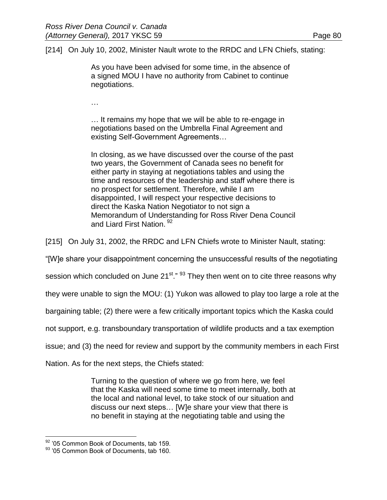[214] On July 10, 2002, Minister Nault wrote to the RRDC and LFN Chiefs, stating:

As you have been advised for some time, in the absence of a signed MOU I have no authority from Cabinet to continue negotiations.

…

… It remains my hope that we will be able to re-engage in negotiations based on the Umbrella Final Agreement and existing Self-Government Agreements…

In closing, as we have discussed over the course of the past two years, the Government of Canada sees no benefit for either party in staying at negotiations tables and using the time and resources of the leadership and staff where there is no prospect for settlement. Therefore, while I am disappointed, I will respect your respective decisions to direct the Kaska Nation Negotiator to not sign a Memorandum of Understanding for Ross River Dena Council and Liard First Nation. 92

[215] On July 31, 2002, the RRDC and LFN Chiefs wrote to Minister Nault, stating:

"[W]e share your disappointment concerning the unsuccessful results of the negotiating

session which concluded on June 21<sup>st</sup>." <sup>93</sup> They then went on to cite three reasons why

they were unable to sign the MOU: (1) Yukon was allowed to play too large a role at the

bargaining table; (2) there were a few critically important topics which the Kaska could

not support, e.g. transboundary transportation of wildlife products and a tax exemption

issue; and (3) the need for review and support by the community members in each First

Nation. As for the next steps, the Chiefs stated:

Turning to the question of where we go from here, we feel that the Kaska will need some time to meet internally, both at the local and national level, to take stock of our situation and discuss our next steps… [W]e share your view that there is no benefit in staying at the negotiating table and using the

<sup>&</sup>lt;sup>92</sup> '05 Common Book of Documents, tab 159.

<sup>93 &#</sup>x27;05 Common Book of Documents, tab 160.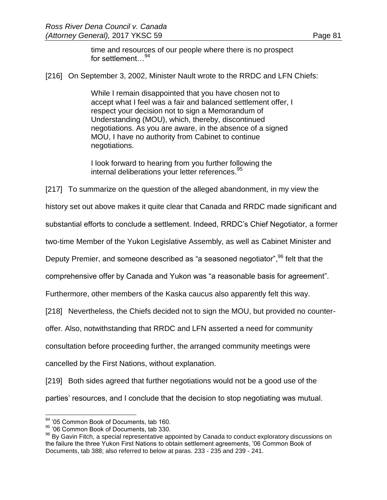time and resources of our people where there is no prospect for settlement.  $^{94}$ 

[216] On September 3, 2002, Minister Nault wrote to the RRDC and LFN Chiefs:

While I remain disappointed that you have chosen not to accept what I feel was a fair and balanced settlement offer, I respect your decision not to sign a Memorandum of Understanding (MOU), which, thereby, discontinued negotiations. As you are aware, in the absence of a signed MOU, I have no authority from Cabinet to continue negotiations.

I look forward to hearing from you further following the internal deliberations your letter references.<sup>95</sup>

[217] To summarize on the question of the alleged abandonment, in my view the

history set out above makes it quite clear that Canada and RRDC made significant and

substantial efforts to conclude a settlement. Indeed, RRDC's Chief Negotiator, a former

two-time Member of the Yukon Legislative Assembly, as well as Cabinet Minister and

Deputy Premier, and someone described as "a seasoned negotiator",<sup>96</sup> felt that the

comprehensive offer by Canada and Yukon was "a reasonable basis for agreement".

Furthermore, other members of the Kaska caucus also apparently felt this way.

[218] Nevertheless, the Chiefs decided not to sign the MOU, but provided no counter-

offer. Also, notwithstanding that RRDC and LFN asserted a need for community

consultation before proceeding further, the arranged community meetings were

cancelled by the First Nations, without explanation.

[219] Both sides agreed that further negotiations would not be a good use of the parties' resources, and I conclude that the decision to stop negotiating was mutual.

 $\overline{a}$ <sup>94</sup> '05 Common Book of Documents, tab 160.

<sup>95 &#</sup>x27;06 Common Book of Documents, tab 330.

<sup>&</sup>lt;sup>96</sup> By Gavin Fitch, a special representative appointed by Canada to conduct exploratory discussions on the failure the three Yukon First Nations to obtain settlement agreements, '06 Common Book of Documents, tab 388; also referred to below at paras. 233 - 235 and 239 - 241.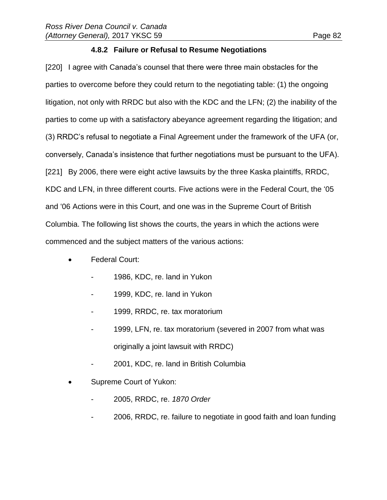# **4.8.2 Failure or Refusal to Resume Negotiations**

[220] I agree with Canada's counsel that there were three main obstacles for the parties to overcome before they could return to the negotiating table: (1) the ongoing litigation, not only with RRDC but also with the KDC and the LFN; (2) the inability of the parties to come up with a satisfactory abeyance agreement regarding the litigation; and (3) RRDC's refusal to negotiate a Final Agreement under the framework of the UFA (or, conversely, Canada's insistence that further negotiations must be pursuant to the UFA). [221] By 2006, there were eight active lawsuits by the three Kaska plaintiffs, RRDC, KDC and LFN, in three different courts. Five actions were in the Federal Court, the '05 and '06 Actions were in this Court, and one was in the Supreme Court of British Columbia. The following list shows the courts, the years in which the actions were commenced and the subject matters of the various actions:

- Federal Court:
	- 1986, KDC, re. land in Yukon
	- 1999, KDC, re. land in Yukon
	- 1999, RRDC, re. tax moratorium
	- 1999, LFN, re. tax moratorium (severed in 2007 from what was originally a joint lawsuit with RRDC)
	- 2001, KDC, re. land in British Columbia
- Supreme Court of Yukon:
	- 2005, RRDC, re. *1870 Order*
	- 2006, RRDC, re. failure to negotiate in good faith and loan funding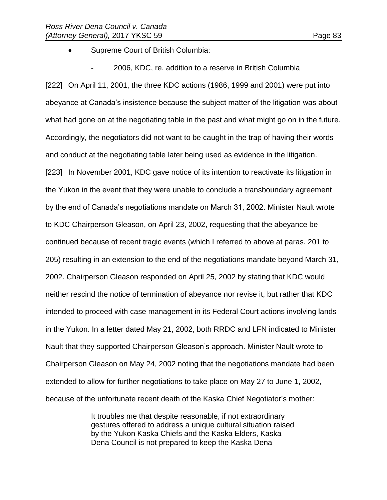- Supreme Court of British Columbia:
- 2006, KDC, re. addition to a reserve in British Columbia

[222] On April 11, 2001, the three KDC actions (1986, 1999 and 2001) were put into abeyance at Canada's insistence because the subject matter of the litigation was about what had gone on at the negotiating table in the past and what might go on in the future. Accordingly, the negotiators did not want to be caught in the trap of having their words and conduct at the negotiating table later being used as evidence in the litigation. [223] In November 2001, KDC gave notice of its intention to reactivate its litigation in the Yukon in the event that they were unable to conclude a transboundary agreement by the end of Canada's negotiations mandate on March 31, 2002. Minister Nault wrote to KDC Chairperson Gleason, on April 23, 2002, requesting that the abeyance be continued because of recent tragic events (which I referred to above at paras. 201 to 205) resulting in an extension to the end of the negotiations mandate beyond March 31, 2002. Chairperson Gleason responded on April 25, 2002 by stating that KDC would neither rescind the notice of termination of abeyance nor revise it, but rather that KDC intended to proceed with case management in its Federal Court actions involving lands in the Yukon. In a letter dated May 21, 2002, both RRDC and LFN indicated to Minister Nault that they supported Chairperson Gleason's approach. Minister Nault wrote to Chairperson Gleason on May 24, 2002 noting that the negotiations mandate had been extended to allow for further negotiations to take place on May 27 to June 1, 2002, because of the unfortunate recent death of the Kaska Chief Negotiator's mother:

> It troubles me that despite reasonable, if not extraordinary gestures offered to address a unique cultural situation raised by the Yukon Kaska Chiefs and the Kaska Elders, Kaska Dena Council is not prepared to keep the Kaska Dena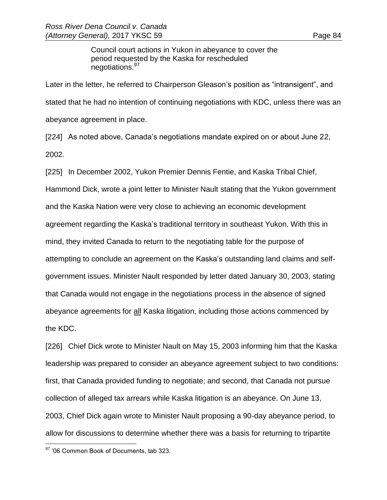Council court actions in Yukon in abeyance to cover the period requested by the Kaska for rescheduled negotiations.<sup>97</sup>

Later in the letter, he referred to Chairperson Gleason's position as "intransigent", and stated that he had no intention of continuing negotiations with KDC, unless there was an abeyance agreement in place.

[224] As noted above, Canada's negotiations mandate expired on or about June 22, 2002.

[225] In December 2002, Yukon Premier Dennis Fentie, and Kaska Tribal Chief,

Hammond Dick, wrote a joint letter to Minister Nault stating that the Yukon government and the Kaska Nation were very close to achieving an economic development agreement regarding the Kaska's traditional territory in southeast Yukon. With this in mind, they invited Canada to return to the negotiating table for the purpose of attempting to conclude an agreement on the Kaska's outstanding land claims and selfgovernment issues. Minister Nault responded by letter dated January 30, 2003, stating that Canada would not engage in the negotiations process in the absence of signed abeyance agreements for all Kaska litigation, including those actions commenced by the KDC.

[226] Chief Dick wrote to Minister Nault on May 15, 2003 informing him that the Kaska leadership was prepared to consider an abeyance agreement subject to two conditions: first, that Canada provided funding to negotiate; and second, that Canada not pursue collection of alleged tax arrears while Kaska litigation is an abeyance. On June 13, 2003, Chief Dick again wrote to Minister Nault proposing a 90-day abeyance period, to allow for discussions to determine whether there was a basis for returning to tripartite

 $\overline{a}$ 97 '06 Common Book of Documents, tab 323.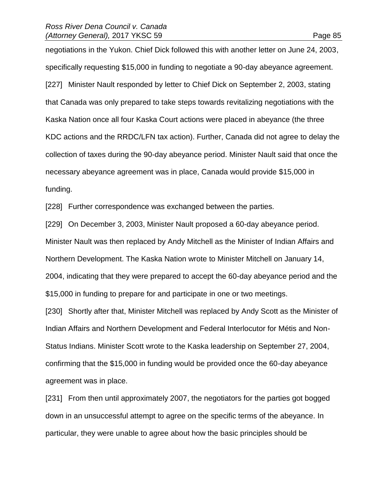negotiations in the Yukon. Chief Dick followed this with another letter on June 24, 2003, specifically requesting \$15,000 in funding to negotiate a 90-day abeyance agreement. [227] Minister Nault responded by letter to Chief Dick on September 2, 2003, stating that Canada was only prepared to take steps towards revitalizing negotiations with the Kaska Nation once all four Kaska Court actions were placed in abeyance (the three KDC actions and the RRDC/LFN tax action). Further, Canada did not agree to delay the collection of taxes during the 90-day abeyance period. Minister Nault said that once the necessary abeyance agreement was in place, Canada would provide \$15,000 in funding.

[228] Further correspondence was exchanged between the parties.

[229] On December 3, 2003, Minister Nault proposed a 60-day abeyance period. Minister Nault was then replaced by Andy Mitchell as the Minister of Indian Affairs and Northern Development. The Kaska Nation wrote to Minister Mitchell on January 14, 2004, indicating that they were prepared to accept the 60-day abeyance period and the \$15,000 in funding to prepare for and participate in one or two meetings.

[230] Shortly after that, Minister Mitchell was replaced by Andy Scott as the Minister of Indian Affairs and Northern Development and Federal Interlocutor for Métis and Non-Status Indians. Minister Scott wrote to the Kaska leadership on September 27, 2004, confirming that the \$15,000 in funding would be provided once the 60-day abeyance agreement was in place.

[231] From then until approximately 2007, the negotiators for the parties got bogged down in an unsuccessful attempt to agree on the specific terms of the abeyance. In particular, they were unable to agree about how the basic principles should be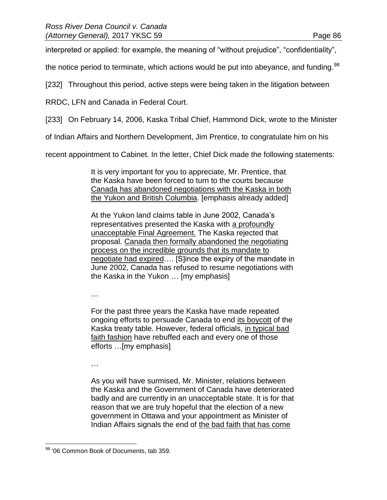interpreted or applied: for example, the meaning of "without prejudice", "confidentiality",

the notice period to terminate, which actions would be put into abeyance, and funding.<sup>98</sup>

[232] Throughout this period, active steps were being taken in the litigation between

RRDC, LFN and Canada in Federal Court.

[233] On February 14, 2006, Kaska Tribal Chief, Hammond Dick, wrote to the Minister

of Indian Affairs and Northern Development, Jim Prentice, to congratulate him on his

recent appointment to Cabinet. In the letter, Chief Dick made the following statements:

It is very important for you to appreciate, Mr. Prentice, that the Kaska have been forced to turn to the courts because Canada has abandoned negotiations with the Kaska in both the Yukon and British Columbia. [emphasis already added]

At the Yukon land claims table in June 2002, Canada's representatives presented the Kaska with a profoundly unacceptable Final Agreement. The Kaska rejected that proposal. Canada then formally abandoned the negotiating process on the incredible grounds that its mandate to negotiate had expired…. [S]ince the expiry of the mandate in June 2002, Canada has refused to resume negotiations with the Kaska in the Yukon … [my emphasis]

…

For the past three years the Kaska have made repeated ongoing efforts to persuade Canada to end its boycott of the Kaska treaty table. However, federal officials, in typical bad faith fashion have rebuffed each and every one of those efforts …[my emphasis]

…

As you will have surmised, Mr. Minister, relations between the Kaska and the Government of Canada have deteriorated badly and are currently in an unacceptable state. It is for that reason that we are truly hopeful that the election of a new government in Ottawa and your appointment as Minister of Indian Affairs signals the end of the bad faith that has come

 $\overline{a}$ 98 '06 Common Book of Documents, tab 359.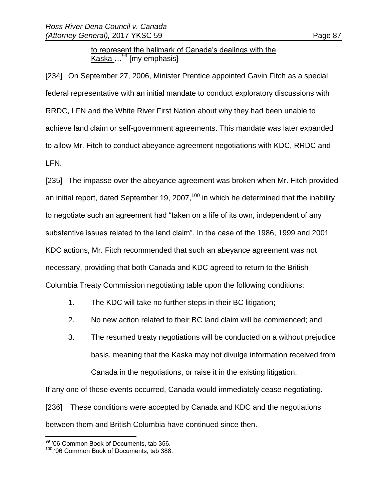## to represent the hallmark of Canada's dealings with the Kaska ...<sup>99</sup> [my emphasis]

[234] On September 27, 2006, Minister Prentice appointed Gavin Fitch as a special federal representative with an initial mandate to conduct exploratory discussions with RRDC, LFN and the White River First Nation about why they had been unable to achieve land claim or self-government agreements. This mandate was later expanded to allow Mr. Fitch to conduct abeyance agreement negotiations with KDC, RRDC and LFN.

[235] The impasse over the abeyance agreement was broken when Mr. Fitch provided an initial report, dated September 19, 2007,<sup>100</sup> in which he determined that the inability to negotiate such an agreement had "taken on a life of its own, independent of any substantive issues related to the land claim". In the case of the 1986, 1999 and 2001 KDC actions, Mr. Fitch recommended that such an abeyance agreement was not necessary, providing that both Canada and KDC agreed to return to the British Columbia Treaty Commission negotiating table upon the following conditions:

- 1. The KDC will take no further steps in their BC litigation;
- 2. No new action related to their BC land claim will be commenced; and
- 3. The resumed treaty negotiations will be conducted on a without prejudice basis, meaning that the Kaska may not divulge information received from Canada in the negotiations, or raise it in the existing litigation.

If any one of these events occurred, Canada would immediately cease negotiating. [236] These conditions were accepted by Canada and KDC and the negotiations between them and British Columbia have continued since then.

<sup>&</sup>lt;sup>99</sup> '06 Common Book of Documents, tab 356.

<sup>100</sup> '06 Common Book of Documents, tab 388.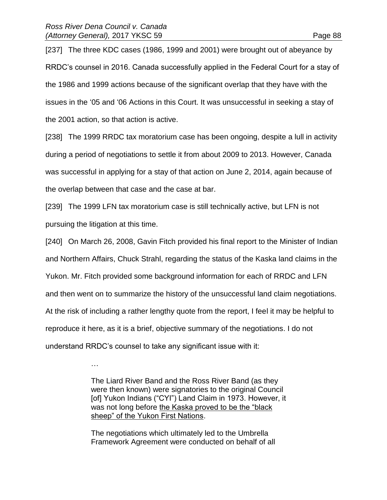…

[237] The three KDC cases (1986, 1999 and 2001) were brought out of abeyance by RRDC's counsel in 2016. Canada successfully applied in the Federal Court for a stay of the 1986 and 1999 actions because of the significant overlap that they have with the issues in the '05 and '06 Actions in this Court. It was unsuccessful in seeking a stay of the 2001 action, so that action is active.

[238] The 1999 RRDC tax moratorium case has been ongoing, despite a lull in activity during a period of negotiations to settle it from about 2009 to 2013. However, Canada was successful in applying for a stay of that action on June 2, 2014, again because of the overlap between that case and the case at bar.

[239] The 1999 LFN tax moratorium case is still technically active, but LFN is not pursuing the litigation at this time.

[240] On March 26, 2008, Gavin Fitch provided his final report to the Minister of Indian and Northern Affairs, Chuck Strahl, regarding the status of the Kaska land claims in the Yukon. Mr. Fitch provided some background information for each of RRDC and LFN and then went on to summarize the history of the unsuccessful land claim negotiations. At the risk of including a rather lengthy quote from the report, I feel it may be helpful to reproduce it here, as it is a brief, objective summary of the negotiations. I do not understand RRDC's counsel to take any significant issue with it:

> The Liard River Band and the Ross River Band (as they were then known) were signatories to the original Council [of] Yukon Indians ("CYI") Land Claim in 1973. However, it was not long before the Kaska proved to be the "black sheep" of the Yukon First Nations.

The negotiations which ultimately led to the Umbrella Framework Agreement were conducted on behalf of all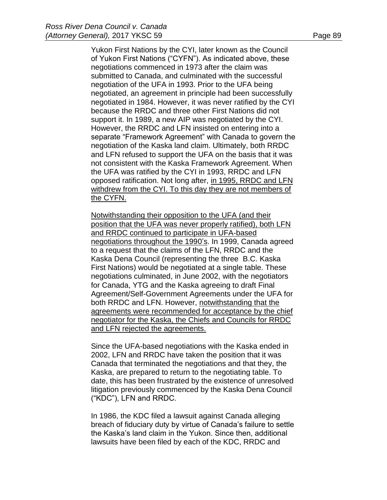Yukon First Nations by the CYI, later known as the Council of Yukon First Nations ("CYFN"). As indicated above, these negotiations commenced in 1973 after the claim was submitted to Canada, and culminated with the successful negotiation of the UFA in 1993. Prior to the UFA being negotiated, an agreement in principle had been successfully negotiated in 1984. However, it was never ratified by the CYI because the RRDC and three other First Nations did not support it. In 1989, a new AIP was negotiated by the CYI. However, the RRDC and LFN insisted on entering into a separate "Framework Agreement" with Canada to govern the negotiation of the Kaska land claim. Ultimately, both RRDC and LFN refused to support the UFA on the basis that it was not consistent with the Kaska Framework Agreement. When the UFA was ratified by the CYI in 1993, RRDC and LFN opposed ratification. Not long after, in 1995, RRDC and LFN withdrew from the CYI. To this day they are not members of the CYFN.

Notwithstanding their opposition to the UFA (and their position that the UFA was never properly ratified), both LFN and RRDC continued to participate in UFA-based negotiations throughout the 1990's. In 1999, Canada agreed to a request that the claims of the LFN, RRDC and the Kaska Dena Council (representing the three B.C. Kaska First Nations) would be negotiated at a single table. These negotiations culminated, in June 2002, with the negotiators for Canada, YTG and the Kaska agreeing to draft Final Agreement/Self-Government Agreements under the UFA for both RRDC and LFN. However, notwithstanding that the agreements were recommended for acceptance by the chief negotiator for the Kaska, the Chiefs and Councils for RRDC and LFN rejected the agreements.

Since the UFA-based negotiations with the Kaska ended in 2002, LFN and RRDC have taken the position that it was Canada that terminated the negotiations and that they, the Kaska, are prepared to return to the negotiating table. To date, this has been frustrated by the existence of unresolved litigation previously commenced by the Kaska Dena Council ("KDC"), LFN and RRDC.

In 1986, the KDC filed a lawsuit against Canada alleging breach of fiduciary duty by virtue of Canada's failure to settle the Kaska's land claim in the Yukon. Since then, additional lawsuits have been filed by each of the KDC, RRDC and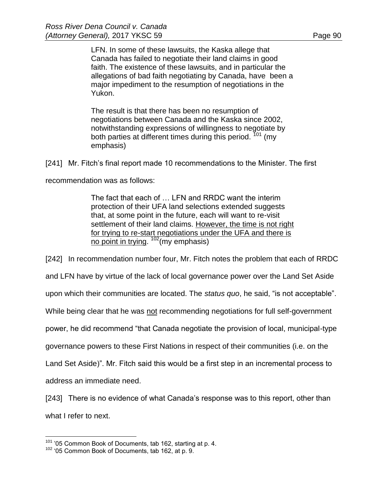LFN. In some of these lawsuits, the Kaska allege that Canada has failed to negotiate their land claims in good faith. The existence of these lawsuits, and in particular the allegations of bad faith negotiating by Canada, have been a major impediment to the resumption of negotiations in the Yukon.

The result is that there has been no resumption of negotiations between Canada and the Kaska since 2002, notwithstanding expressions of willingness to negotiate by both parties at different times during this period. <sup>101</sup> (my emphasis)

[241] Mr. Fitch's final report made 10 recommendations to the Minister. The first

recommendation was as follows:

The fact that each of … LFN and RRDC want the interim protection of their UFA land selections extended suggests that, at some point in the future, each will want to re-visit settlement of their land claims. However, the time is not right for trying to re-start negotiations under the UFA and there is no point in trying. <sup>102</sup>(my emphasis)

[242] In recommendation number four, Mr. Fitch notes the problem that each of RRDC

and LFN have by virtue of the lack of local governance power over the Land Set Aside

upon which their communities are located. The *status quo*, he said, "is not acceptable".

While being clear that he was not recommending negotiations for full self-government

power, he did recommend "that Canada negotiate the provision of local, municipal-type

governance powers to these First Nations in respect of their communities (i.e. on the

Land Set Aside)". Mr. Fitch said this would be a first step in an incremental process to

address an immediate need.

 $\overline{a}$ 

[243] There is no evidence of what Canada's response was to this report, other than what I refer to next.

 $101$  '05 Common Book of Documents, tab 162, starting at p. 4.

<sup>&</sup>lt;sup>102</sup> '05 Common Book of Documents, tab 162, at p. 9.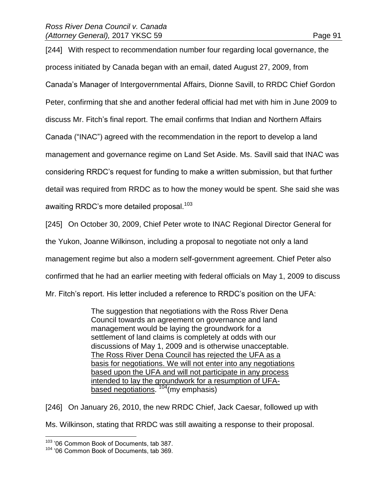[244] With respect to recommendation number four regarding local governance, the process initiated by Canada began with an email, dated August 27, 2009, from Canada's Manager of Intergovernmental Affairs, Dionne Savill, to RRDC Chief Gordon Peter, confirming that she and another federal official had met with him in June 2009 to discuss Mr. Fitch's final report. The email confirms that Indian and Northern Affairs Canada ("INAC") agreed with the recommendation in the report to develop a land management and governance regime on Land Set Aside. Ms. Savill said that INAC was considering RRDC's request for funding to make a written submission, but that further detail was required from RRDC as to how the money would be spent. She said she was awaiting RRDC's more detailed proposal.<sup>103</sup> [245] On October 30, 2009, Chief Peter wrote to INAC Regional Director General for

the Yukon, Joanne Wilkinson, including a proposal to negotiate not only a land management regime but also a modern self-government agreement. Chief Peter also confirmed that he had an earlier meeting with federal officials on May 1, 2009 to discuss Mr. Fitch's report. His letter included a reference to RRDC's position on the UFA:

> The suggestion that negotiations with the Ross River Dena Council towards an agreement on governance and land management would be laying the groundwork for a settlement of land claims is completely at odds with our discussions of May 1, 2009 and is otherwise unacceptable. The Ross River Dena Council has rejected the UFA as a basis for negotiations. We will not enter into any negotiations based upon the UFA and will not participate in any process intended to lay the groundwork for a resumption of UFAbased negotiations.<sup>104</sup>(my emphasis)

[246] On January 26, 2010, the new RRDC Chief, Jack Caesar, followed up with Ms. Wilkinson, stating that RRDC was still awaiting a response to their proposal.

<sup>&</sup>lt;sup>103</sup> '06 Common Book of Documents, tab 387.

<sup>&</sup>lt;sup>104</sup> '06 Common Book of Documents, tab 369.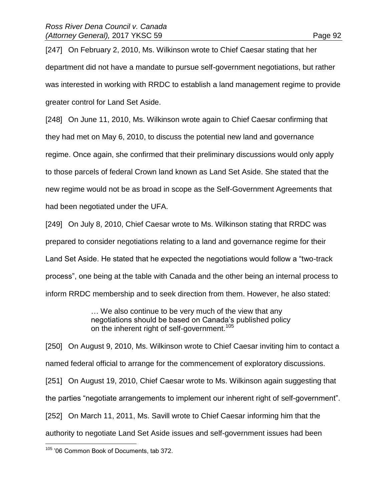[247] On February 2, 2010, Ms. Wilkinson wrote to Chief Caesar stating that her department did not have a mandate to pursue self-government negotiations, but rather was interested in working with RRDC to establish a land management regime to provide greater control for Land Set Aside.

[248] On June 11, 2010, Ms. Wilkinson wrote again to Chief Caesar confirming that they had met on May 6, 2010, to discuss the potential new land and governance regime. Once again, she confirmed that their preliminary discussions would only apply to those parcels of federal Crown land known as Land Set Aside. She stated that the new regime would not be as broad in scope as the Self-Government Agreements that had been negotiated under the UFA.

[249] On July 8, 2010, Chief Caesar wrote to Ms. Wilkinson stating that RRDC was prepared to consider negotiations relating to a land and governance regime for their Land Set Aside. He stated that he expected the negotiations would follow a "two-track process", one being at the table with Canada and the other being an internal process to inform RRDC membership and to seek direction from them. However, he also stated:

> … We also continue to be very much of the view that any negotiations should be based on Canada's published policy on the inherent right of self-government.<sup>105</sup>

[250] On August 9, 2010, Ms. Wilkinson wrote to Chief Caesar inviting him to contact a named federal official to arrange for the commencement of exploratory discussions. [251] On August 19, 2010, Chief Caesar wrote to Ms. Wilkinson again suggesting that the parties "negotiate arrangements to implement our inherent right of self-government". [252] On March 11, 2011, Ms. Savill wrote to Chief Caesar informing him that the authority to negotiate Land Set Aside issues and self-government issues had been

 $\overline{a}$ <sup>105</sup> '06 Common Book of Documents, tab 372.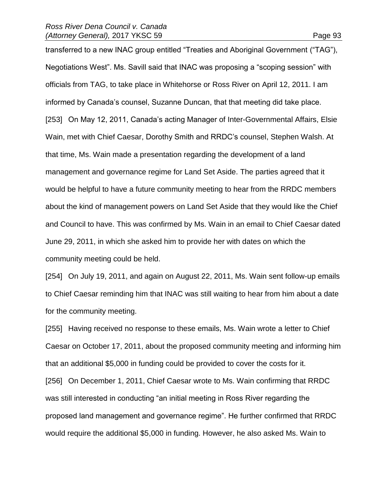transferred to a new INAC group entitled "Treaties and Aboriginal Government ("TAG"), Negotiations West". Ms. Savill said that INAC was proposing a "scoping session" with officials from TAG, to take place in Whitehorse or Ross River on April 12, 2011. I am informed by Canada's counsel, Suzanne Duncan, that that meeting did take place. [253] On May 12, 2011, Canada's acting Manager of Inter-Governmental Affairs, Elsie Wain, met with Chief Caesar, Dorothy Smith and RRDC's counsel, Stephen Walsh. At that time, Ms. Wain made a presentation regarding the development of a land management and governance regime for Land Set Aside. The parties agreed that it would be helpful to have a future community meeting to hear from the RRDC members about the kind of management powers on Land Set Aside that they would like the Chief and Council to have. This was confirmed by Ms. Wain in an email to Chief Caesar dated June 29, 2011, in which she asked him to provide her with dates on which the community meeting could be held.

[254] On July 19, 2011, and again on August 22, 2011, Ms. Wain sent follow-up emails to Chief Caesar reminding him that INAC was still waiting to hear from him about a date for the community meeting.

[255] Having received no response to these emails, Ms. Wain wrote a letter to Chief Caesar on October 17, 2011, about the proposed community meeting and informing him that an additional \$5,000 in funding could be provided to cover the costs for it. [256] On December 1, 2011, Chief Caesar wrote to Ms. Wain confirming that RRDC was still interested in conducting "an initial meeting in Ross River regarding the proposed land management and governance regime". He further confirmed that RRDC would require the additional \$5,000 in funding. However, he also asked Ms. Wain to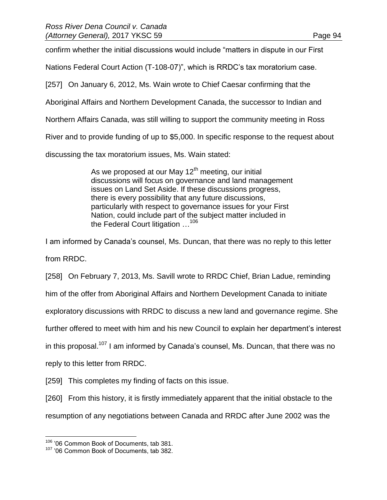confirm whether the initial discussions would include "matters in dispute in our First

Nations Federal Court Action (T-108-07)", which is RRDC's tax moratorium case.

[257] On January 6, 2012, Ms. Wain wrote to Chief Caesar confirming that the

Aboriginal Affairs and Northern Development Canada, the successor to Indian and

Northern Affairs Canada, was still willing to support the community meeting in Ross

River and to provide funding of up to \$5,000. In specific response to the request about

discussing the tax moratorium issues, Ms. Wain stated:

As we proposed at our May  $12<sup>th</sup>$  meeting, our initial discussions will focus on governance and land management issues on Land Set Aside. If these discussions progress, there is every possibility that any future discussions, particularly with respect to governance issues for your First Nation, could include part of the subject matter included in the Federal Court litigation …<sup>106</sup>

I am informed by Canada's counsel, Ms. Duncan, that there was no reply to this letter from RRDC.

[258] On February 7, 2013, Ms. Savill wrote to RRDC Chief, Brian Ladue, reminding

him of the offer from Aboriginal Affairs and Northern Development Canada to initiate

exploratory discussions with RRDC to discuss a new land and governance regime. She

further offered to meet with him and his new Council to explain her department's interest

in this proposal.<sup>107</sup> I am informed by Canada's counsel, Ms. Duncan, that there was no

reply to this letter from RRDC.

[259] This completes my finding of facts on this issue.

[260] From this history, it is firstly immediately apparent that the initial obstacle to the

resumption of any negotiations between Canada and RRDC after June 2002 was the

<sup>&</sup>lt;sup>106</sup> '06 Common Book of Documents, tab 381.

<sup>&</sup>lt;sup>107</sup> '06 Common Book of Documents, tab 382.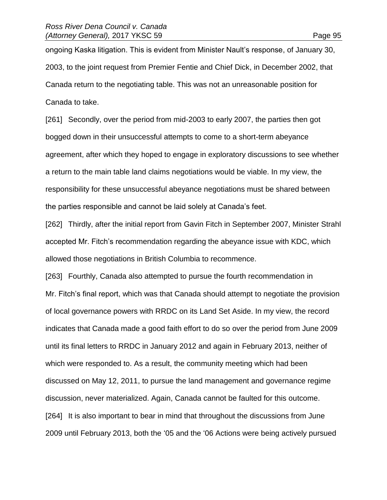ongoing Kaska litigation. This is evident from Minister Nault's response, of January 30, 2003, to the joint request from Premier Fentie and Chief Dick, in December 2002, that Canada return to the negotiating table. This was not an unreasonable position for Canada to take.

[261] Secondly, over the period from mid-2003 to early 2007, the parties then got bogged down in their unsuccessful attempts to come to a short-term abeyance agreement, after which they hoped to engage in exploratory discussions to see whether a return to the main table land claims negotiations would be viable. In my view, the responsibility for these unsuccessful abeyance negotiations must be shared between the parties responsible and cannot be laid solely at Canada's feet.

[262] Thirdly, after the initial report from Gavin Fitch in September 2007, Minister Strahl accepted Mr. Fitch's recommendation regarding the abeyance issue with KDC, which allowed those negotiations in British Columbia to recommence.

[263] Fourthly, Canada also attempted to pursue the fourth recommendation in Mr. Fitch's final report, which was that Canada should attempt to negotiate the provision of local governance powers with RRDC on its Land Set Aside. In my view, the record indicates that Canada made a good faith effort to do so over the period from June 2009 until its final letters to RRDC in January 2012 and again in February 2013, neither of which were responded to. As a result, the community meeting which had been discussed on May 12, 2011, to pursue the land management and governance regime discussion, never materialized. Again, Canada cannot be faulted for this outcome. [264] It is also important to bear in mind that throughout the discussions from June 2009 until February 2013, both the '05 and the '06 Actions were being actively pursued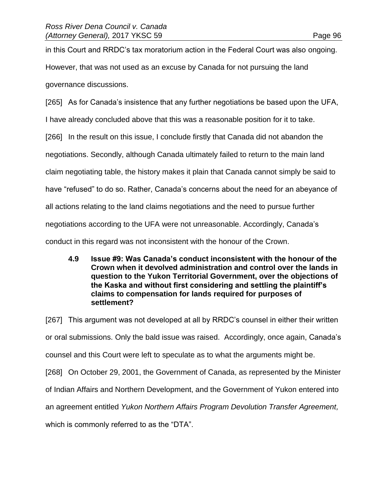in this Court and RRDC's tax moratorium action in the Federal Court was also ongoing. However, that was not used as an excuse by Canada for not pursuing the land governance discussions.

[265] As for Canada's insistence that any further negotiations be based upon the UFA,

I have already concluded above that this was a reasonable position for it to take.

[266] In the result on this issue, I conclude firstly that Canada did not abandon the

negotiations. Secondly, although Canada ultimately failed to return to the main land

claim negotiating table, the history makes it plain that Canada cannot simply be said to

have "refused" to do so. Rather, Canada's concerns about the need for an abeyance of

all actions relating to the land claims negotiations and the need to pursue further

negotiations according to the UFA were not unreasonable. Accordingly, Canada's

conduct in this regard was not inconsistent with the honour of the Crown.

**4.9 Issue #9: Was Canada's conduct inconsistent with the honour of the Crown when it devolved administration and control over the lands in question to the Yukon Territorial Government, over the objections of the Kaska and without first considering and settling the plaintiff's claims to compensation for lands required for purposes of settlement?**

[267] This argument was not developed at all by RRDC's counsel in either their written or oral submissions. Only the bald issue was raised. Accordingly, once again, Canada's counsel and this Court were left to speculate as to what the arguments might be. [268] On October 29, 2001, the Government of Canada, as represented by the Minister of Indian Affairs and Northern Development, and the Government of Yukon entered into an agreement entitled *Yukon Northern Affairs Program Devolution Transfer Agreement,* which is commonly referred to as the "DTA".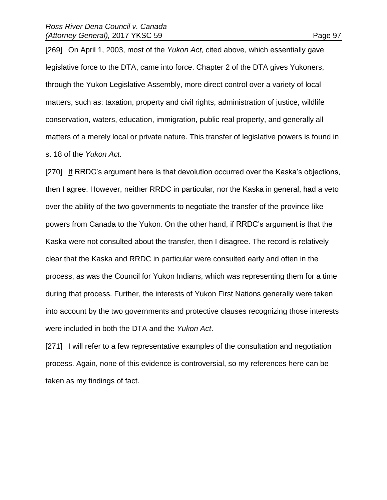[269] On April 1, 2003, most of the *Yukon Act,* cited above, which essentially gave legislative force to the DTA, came into force. Chapter 2 of the DTA gives Yukoners, through the Yukon Legislative Assembly, more direct control over a variety of local matters, such as: taxation, property and civil rights, administration of justice, wildlife conservation, waters, education, immigration, public real property, and generally all matters of a merely local or private nature. This transfer of legislative powers is found in

s. 18 of the *Yukon Act.*

[270] If RRDC's argument here is that devolution occurred over the Kaska's objections, then I agree. However, neither RRDC in particular, nor the Kaska in general, had a veto over the ability of the two governments to negotiate the transfer of the province-like powers from Canada to the Yukon. On the other hand, if RRDC's argument is that the Kaska were not consulted about the transfer, then I disagree. The record is relatively clear that the Kaska and RRDC in particular were consulted early and often in the process, as was the Council for Yukon Indians, which was representing them for a time during that process. Further, the interests of Yukon First Nations generally were taken into account by the two governments and protective clauses recognizing those interests were included in both the DTA and the *Yukon Act*.

[271] I will refer to a few representative examples of the consultation and negotiation process. Again, none of this evidence is controversial, so my references here can be taken as my findings of fact.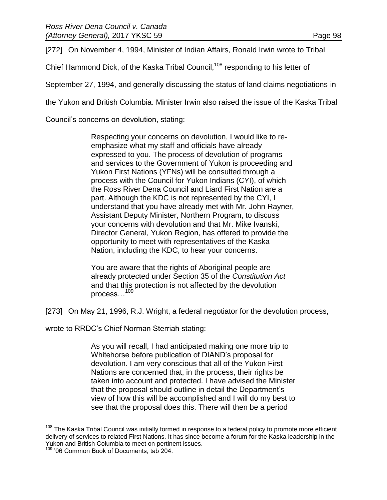[272] On November 4, 1994, Minister of Indian Affairs, Ronald Irwin wrote to Tribal

Chief Hammond Dick, of the Kaska Tribal Council,<sup>108</sup> responding to his letter of

September 27, 1994, and generally discussing the status of land claims negotiations in

the Yukon and British Columbia. Minister Irwin also raised the issue of the Kaska Tribal

Council's concerns on devolution, stating:

Respecting your concerns on devolution, I would like to reemphasize what my staff and officials have already expressed to you. The process of devolution of programs and services to the Government of Yukon is proceeding and Yukon First Nations (YFNs) will be consulted through a process with the Council for Yukon Indians (CYI), of which the Ross River Dena Council and Liard First Nation are a part. Although the KDC is not represented by the CYI, I understand that you have already met with Mr. John Rayner, Assistant Deputy Minister, Northern Program, to discuss your concerns with devolution and that Mr. Mike Ivanski, Director General, Yukon Region, has offered to provide the opportunity to meet with representatives of the Kaska Nation, including the KDC, to hear your concerns.

You are aware that the rights of Aboriginal people are already protected under Section 35 of the *Constitution Act* and that this protection is not affected by the devolution process...<sup>109</sup>

[273] On May 21, 1996, R.J. Wright, a federal negotiator for the devolution process,

wrote to RRDC's Chief Norman Sterriah stating:

As you will recall, I had anticipated making one more trip to Whitehorse before publication of DIAND's proposal for devolution. I am very conscious that all of the Yukon First Nations are concerned that, in the process, their rights be taken into account and protected. I have advised the Minister that the proposal should outline in detail the Department's view of how this will be accomplished and I will do my best to see that the proposal does this. There will then be a period

<sup>&</sup>lt;sup>108</sup> The Kaska Tribal Council was initially formed in response to a federal policy to promote more efficient delivery of services to related First Nations. It has since become a forum for the Kaska leadership in the Yukon and British Columbia to meet on pertinent issues.

<sup>109</sup> '06 Common Book of Documents, tab 204.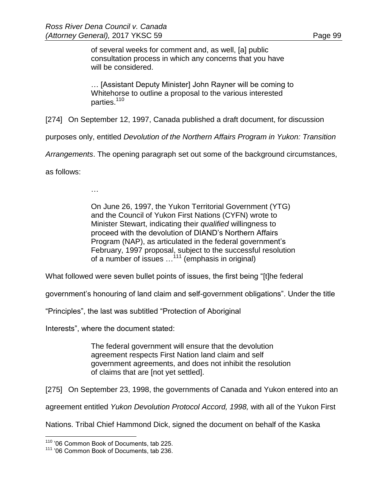of several weeks for comment and, as well, [a] public consultation process in which any concerns that you have will be considered.

… [Assistant Deputy Minister] John Rayner will be coming to Whitehorse to outline a proposal to the various interested parties.<sup>110</sup>

[274] On September 12, 1997, Canada published a draft document, for discussion

purposes only, entitled *Devolution of the Northern Affairs Program in Yukon: Transition* 

*Arrangements*. The opening paragraph set out some of the background circumstances,

as follows:

…

On June 26, 1997, the Yukon Territorial Government (YTG) and the Council of Yukon First Nations (CYFN) wrote to Minister Stewart, indicating their *qualified* willingness to proceed with the devolution of DIAND's Northern Affairs Program (NAP), as articulated in the federal government's February, 1997 proposal, subject to the successful resolution of a number of issues ...<sup>111</sup> (emphasis in original)

What followed were seven bullet points of issues, the first being "[t]he federal

government's honouring of land claim and self-government obligations". Under the title

"Principles", the last was subtitled "Protection of Aboriginal

Interests", where the document stated:

The federal government will ensure that the devolution agreement respects First Nation land claim and self government agreements, and does not inhibit the resolution of claims that are [not yet settled].

[275] On September 23, 1998, the governments of Canada and Yukon entered into an

agreement entitled *Yukon Devolution Protocol Accord, 1998,* with all of the Yukon First

Nations. Tribal Chief Hammond Dick, signed the document on behalf of the Kaska

<sup>&</sup>lt;sup>110</sup> '06 Common Book of Documents, tab 225.

<sup>&</sup>lt;sup>111</sup> '06 Common Book of Documents, tab 236.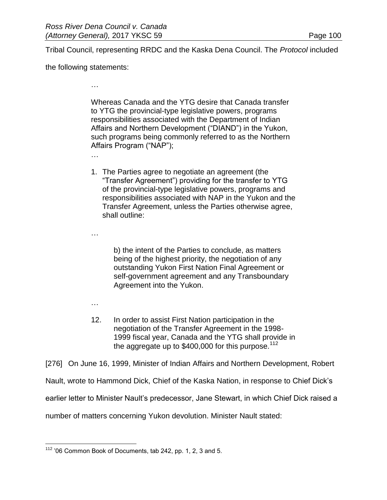Tribal Council, representing RRDC and the Kaska Dena Council. The *Protocol* included

the following statements:

…

Whereas Canada and the YTG desire that Canada transfer to YTG the provincial-type legislative powers, programs responsibilities associated with the Department of Indian Affairs and Northern Development ("DIAND") in the Yukon, such programs being commonly referred to as the Northern Affairs Program ("NAP");

- …
- 1. The Parties agree to negotiate an agreement (the "Transfer Agreement") providing for the transfer to YTG of the provincial-type legislative powers, programs and responsibilities associated with NAP in the Yukon and the Transfer Agreement, unless the Parties otherwise agree, shall outline:

b) the intent of the Parties to conclude, as matters being of the highest priority, the negotiation of any outstanding Yukon First Nation Final Agreement or self-government agreement and any Transboundary Agreement into the Yukon.

…

…

12. In order to assist First Nation participation in the negotiation of the Transfer Agreement in the 1998- 1999 fiscal year, Canada and the YTG shall provide in the aggregate up to \$400,000 for this purpose.<sup>112</sup>

[276] On June 16, 1999, Minister of Indian Affairs and Northern Development, Robert

Nault, wrote to Hammond Dick, Chief of the Kaska Nation, in response to Chief Dick's

earlier letter to Minister Nault's predecessor, Jane Stewart, in which Chief Dick raised a

number of matters concerning Yukon devolution. Minister Nault stated:

 $\overline{a}$  $112$  '06 Common Book of Documents, tab 242, pp. 1, 2, 3 and 5.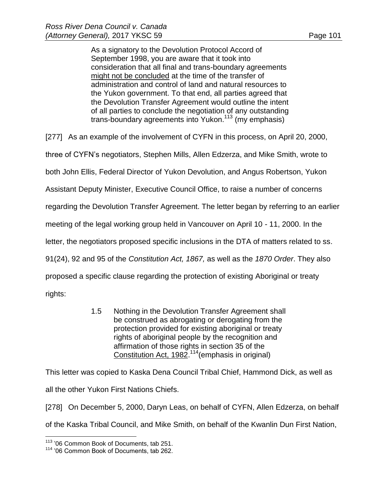As a signatory to the Devolution Protocol Accord of September 1998, you are aware that it took into consideration that all final and trans-boundary agreements might not be concluded at the time of the transfer of administration and control of land and natural resources to the Yukon government. To that end, all parties agreed that the Devolution Transfer Agreement would outline the intent of all parties to conclude the negotiation of any outstanding trans-boundary agreements into Yukon.<sup>113</sup> (my emphasis)

[277] As an example of the involvement of CYFN in this process, on April 20, 2000,

three of CYFN's negotiators, Stephen Mills, Allen Edzerza, and Mike Smith, wrote to

both John Ellis, Federal Director of Yukon Devolution, and Angus Robertson, Yukon

Assistant Deputy Minister, Executive Council Office, to raise a number of concerns

regarding the Devolution Transfer Agreement. The letter began by referring to an earlier

meeting of the legal working group held in Vancouver on April 10 - 11, 2000. In the

letter, the negotiators proposed specific inclusions in the DTA of matters related to ss.

91(24), 92 and 95 of the *Constitution Act, 1867,* as well as the *1870 Order*. They also

proposed a specific clause regarding the protection of existing Aboriginal or treaty

rights:

 $\overline{a}$ 

1.5 Nothing in the Devolution Transfer Agreement shall be construed as abrogating or derogating from the protection provided for existing aboriginal or treaty rights of aboriginal people by the recognition and affirmation of those rights in section 35 of the Constitution Act, 1982.<sup>114</sup> (emphasis in original)

This letter was copied to Kaska Dena Council Tribal Chief, Hammond Dick, as well as all the other Yukon First Nations Chiefs.

[278] On December 5, 2000, Daryn Leas, on behalf of CYFN, Allen Edzerza, on behalf of the Kaska Tribal Council, and Mike Smith, on behalf of the Kwanlin Dun First Nation,

<sup>&</sup>lt;sup>113</sup> '06 Common Book of Documents, tab 251.

<sup>114</sup> '06 Common Book of Documents, tab 262.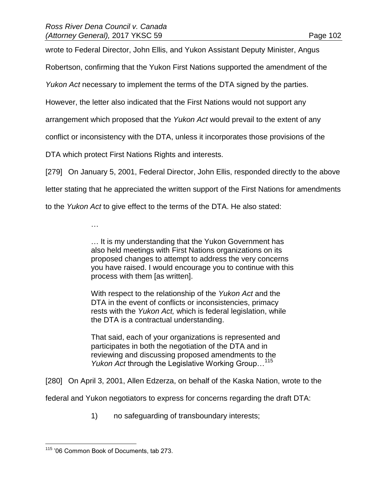wrote to Federal Director, John Ellis, and Yukon Assistant Deputy Minister, Angus

Robertson, confirming that the Yukon First Nations supported the amendment of the

*Yukon Act* necessary to implement the terms of the DTA signed by the parties.

However, the letter also indicated that the First Nations would not support any

arrangement which proposed that the *Yukon Act* would prevail to the extent of any

conflict or inconsistency with the DTA, unless it incorporates those provisions of the

DTA which protect First Nations Rights and interests.

[279] On January 5, 2001, Federal Director, John Ellis, responded directly to the above

letter stating that he appreciated the written support of the First Nations for amendments

to the *Yukon Act* to give effect to the terms of the DTA. He also stated:

…

… It is my understanding that the Yukon Government has also held meetings with First Nations organizations on its proposed changes to attempt to address the very concerns you have raised. I would encourage you to continue with this process with them [as written].

With respect to the relationship of the *Yukon Act* and the DTA in the event of conflicts or inconsistencies, primacy rests with the *Yukon Act,* which is federal legislation, while the DTA is a contractual understanding.

That said, each of your organizations is represented and participates in both the negotiation of the DTA and in reviewing and discussing proposed amendments to the *Yukon Act* through the Legislative Working Group…<sup>115</sup>

[280] On April 3, 2001, Allen Edzerza, on behalf of the Kaska Nation, wrote to the

federal and Yukon negotiators to express for concerns regarding the draft DTA:

1) no safeguarding of transboundary interests;

 $\overline{a}$ <sup>115</sup> '06 Common Book of Documents, tab 273.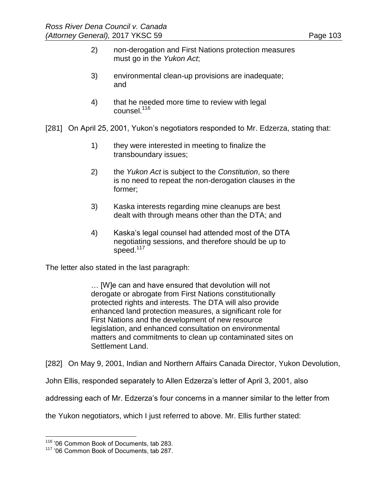- 2) non-derogation and First Nations protection measures must go in the *Yukon Act*;
- 3) environmental clean-up provisions are inadequate; and
- 4) that he needed more time to review with legal counsel.<sup>116</sup>

[281] On April 25, 2001, Yukon's negotiators responded to Mr. Edzerza, stating that:

- 1) they were interested in meeting to finalize the transboundary issues;
- 2) the *Yukon Act* is subject to the *Constitution*, so there is no need to repeat the non-derogation clauses in the former;
- 3) Kaska interests regarding mine cleanups are best dealt with through means other than the DTA; and
- 4) Kaska's legal counsel had attended most of the DTA negotiating sessions, and therefore should be up to speed.<sup>117</sup>

The letter also stated in the last paragraph:

… [W]e can and have ensured that devolution will not derogate or abrogate from First Nations constitutionally protected rights and interests. The DTA will also provide enhanced land protection measures, a significant role for First Nations and the development of new resource legislation, and enhanced consultation on environmental matters and commitments to clean up contaminated sites on Settlement Land.

[282] On May 9, 2001, Indian and Northern Affairs Canada Director, Yukon Devolution,

John Ellis, responded separately to Allen Edzerza's letter of April 3, 2001, also

addressing each of Mr. Edzerza's four concerns in a manner similar to the letter from

the Yukon negotiators, which I just referred to above. Mr. Ellis further stated:

<sup>&</sup>lt;sup>116</sup> '06 Common Book of Documents, tab 283.

<sup>117</sup> '06 Common Book of Documents, tab 287.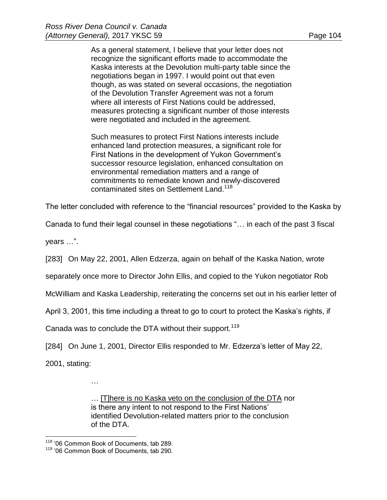As a general statement, I believe that your letter does not recognize the significant efforts made to accommodate the Kaska interests at the Devolution multi-party table since the negotiations began in 1997. I would point out that even though, as was stated on several occasions, the negotiation of the Devolution Transfer Agreement was not a forum where all interests of First Nations could be addressed, measures protecting a significant number of those interests were negotiated and included in the agreement.

Such measures to protect First Nations interests include enhanced land protection measures, a significant role for First Nations in the development of Yukon Government's successor resource legislation, enhanced consultation on environmental remediation matters and a range of commitments to remediate known and newly-discovered contaminated sites on Settlement Land.<sup>118</sup>

The letter concluded with reference to the "financial resources" provided to the Kaska by

Canada to fund their legal counsel in these negotiations "… in each of the past 3 fiscal

years …".

[283] On May 22, 2001, Allen Edzerza, again on behalf of the Kaska Nation, wrote

separately once more to Director John Ellis, and copied to the Yukon negotiator Rob

McWilliam and Kaska Leadership, reiterating the concerns set out in his earlier letter of

April 3, 2001, this time including a threat to go to court to protect the Kaska's rights, if

Canada was to conclude the DTA without their support.<sup>119</sup>

[284] On June 1, 2001, Director Ellis responded to Mr. Edzerza's letter of May 22,

2001, stating:

 $\overline{a}$ 

… [T]here is no Kaska veto on the conclusion of the DTA nor is there any intent to not respond to the First Nations' identified Devolution-related matters prior to the conclusion of the DTA.

…

<sup>&</sup>lt;sup>118</sup> '06 Common Book of Documents, tab 289.

<sup>119</sup> '06 Common Book of Documents, tab 290.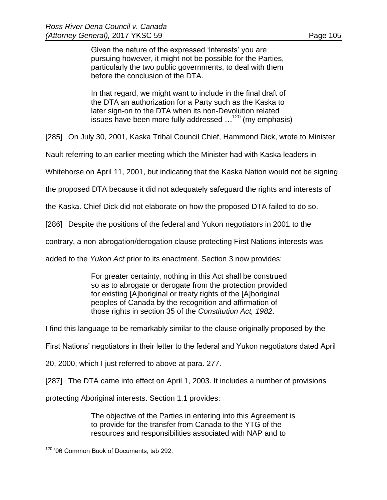Given the nature of the expressed 'interests' you are pursuing however, it might not be possible for the Parties, particularly the two public governments, to deal with them before the conclusion of the DTA.

In that regard, we might want to include in the final draft of the DTA an authorization for a Party such as the Kaska to later sign-on to the DTA when its non-Devolution related issues have been more fully addressed ...<sup>120</sup> (my emphasis)

[285] On July 30, 2001, Kaska Tribal Council Chief, Hammond Dick, wrote to Minister

Nault referring to an earlier meeting which the Minister had with Kaska leaders in

Whitehorse on April 11, 2001, but indicating that the Kaska Nation would not be signing

the proposed DTA because it did not adequately safeguard the rights and interests of

the Kaska. Chief Dick did not elaborate on how the proposed DTA failed to do so.

[286] Despite the positions of the federal and Yukon negotiators in 2001 to the

contrary, a non-abrogation/derogation clause protecting First Nations interests was

added to the *Yukon Act* prior to its enactment. Section 3 now provides:

For greater certainty, nothing in this Act shall be construed so as to abrogate or derogate from the protection provided for existing [A]boriginal or treaty rights of the [A]boriginal peoples of Canada by the recognition and affirmation of those rights in section 35 of the *Constitution Act, 1982*.

I find this language to be remarkably similar to the clause originally proposed by the

First Nations' negotiators in their letter to the federal and Yukon negotiators dated April

20, 2000, which I just referred to above at para. 277.

[287] The DTA came into effect on April 1, 2003. It includes a number of provisions

protecting Aboriginal interests. Section 1.1 provides:

The objective of the Parties in entering into this Agreement is to provide for the transfer from Canada to the YTG of the resources and responsibilities associated with NAP and to

 $\overline{a}$ <sup>120</sup> '06 Common Book of Documents, tab 292.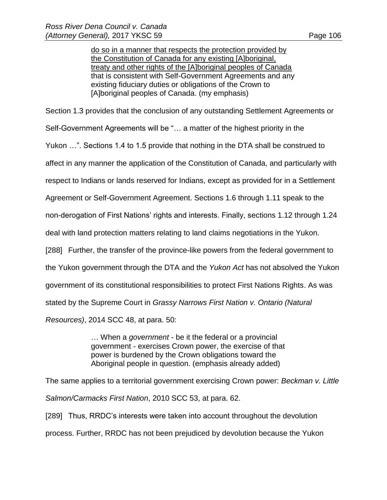do so in a manner that respects the protection provided by the Constitution of Canada for any existing [A]boriginal, treaty and other rights of the [A]boriginal peoples of Canada that is consistent with Self-Government Agreements and any existing fiduciary duties or obligations of the Crown to [A]boriginal peoples of Canada. (my emphasis)

Section 1.3 provides that the conclusion of any outstanding Settlement Agreements or

Self-Government Agreements will be "… a matter of the highest priority in the

Yukon …". Sections 1.4 to 1.5 provide that nothing in the DTA shall be construed to

affect in any manner the application of the Constitution of Canada, and particularly with

respect to Indians or lands reserved for Indians, except as provided for in a Settlement

Agreement or Self-Government Agreement. Sections 1.6 through 1.11 speak to the

non-derogation of First Nations' rights and interests. Finally, sections 1.12 through 1.24

deal with land protection matters relating to land claims negotiations in the Yukon.

[288] Further, the transfer of the province-like powers from the federal government to

the Yukon government through the DTA and the *Yukon Act* has not absolved the Yukon

government of its constitutional responsibilities to protect First Nations Rights. As was

stated by the Supreme Court in *Grassy Narrows First Nation v. Ontario (Natural* 

*Resources)*, 2014 SCC 48, at para. 50:

… When a *government* - be it the federal or a provincial government - exercises Crown power, the exercise of that power is burdened by the Crown obligations toward the Aboriginal people in question. (emphasis already added)

The same applies to a territorial government exercising Crown power: *Beckman v. Little Salmon/Carmacks First Nation*, 2010 SCC 53, at para. 62.

[289] Thus, RRDC's interests were taken into account throughout the devolution

process. Further, RRDC has not been prejudiced by devolution because the Yukon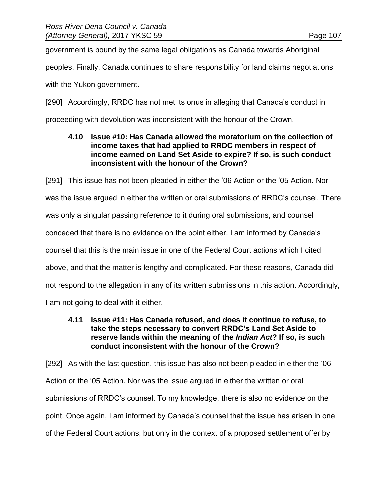government is bound by the same legal obligations as Canada towards Aboriginal peoples. Finally, Canada continues to share responsibility for land claims negotiations with the Yukon government.

[290] Accordingly, RRDC has not met its onus in alleging that Canada's conduct in

proceeding with devolution was inconsistent with the honour of the Crown.

## **4.10 Issue #10: Has Canada allowed the moratorium on the collection of income taxes that had applied to RRDC members in respect of income earned on Land Set Aside to expire? If so, is such conduct inconsistent with the honour of the Crown?**

[291] This issue has not been pleaded in either the '06 Action or the '05 Action. Nor was the issue argued in either the written or oral submissions of RRDC's counsel. There was only a singular passing reference to it during oral submissions, and counsel conceded that there is no evidence on the point either. I am informed by Canada's counsel that this is the main issue in one of the Federal Court actions which I cited above, and that the matter is lengthy and complicated. For these reasons, Canada did not respond to the allegation in any of its written submissions in this action. Accordingly, I am not going to deal with it either.

### **4.11 Issue #11: Has Canada refused, and does it continue to refuse, to take the steps necessary to convert RRDC's Land Set Aside to reserve lands within the meaning of the** *Indian Act***? If so, is such conduct inconsistent with the honour of the Crown?**

[292] As with the last question, this issue has also not been pleaded in either the '06 Action or the '05 Action. Nor was the issue argued in either the written or oral submissions of RRDC's counsel. To my knowledge, there is also no evidence on the point. Once again, I am informed by Canada's counsel that the issue has arisen in one of the Federal Court actions, but only in the context of a proposed settlement offer by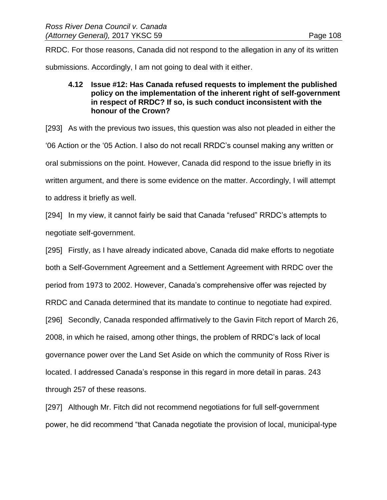RRDC. For those reasons, Canada did not respond to the allegation in any of its written submissions. Accordingly, I am not going to deal with it either.

### **4.12 Issue #12: Has Canada refused requests to implement the published policy on the implementation of the inherent right of self-government in respect of RRDC? If so, is such conduct inconsistent with the honour of the Crown?**

[293] As with the previous two issues, this question was also not pleaded in either the '06 Action or the '05 Action. I also do not recall RRDC's counsel making any written or oral submissions on the point. However, Canada did respond to the issue briefly in its written argument, and there is some evidence on the matter. Accordingly, I will attempt to address it briefly as well.

[294] In my view, it cannot fairly be said that Canada "refused" RRDC's attempts to negotiate self-government.

[295] Firstly, as I have already indicated above, Canada did make efforts to negotiate both a Self-Government Agreement and a Settlement Agreement with RRDC over the period from 1973 to 2002. However, Canada's comprehensive offer was rejected by RRDC and Canada determined that its mandate to continue to negotiate had expired. [296] Secondly, Canada responded affirmatively to the Gavin Fitch report of March 26, 2008, in which he raised, among other things, the problem of RRDC's lack of local governance power over the Land Set Aside on which the community of Ross River is located. I addressed Canada's response in this regard in more detail in paras. 243 through 257 of these reasons.

[297] Although Mr. Fitch did not recommend negotiations for full self-government power, he did recommend "that Canada negotiate the provision of local, municipal-type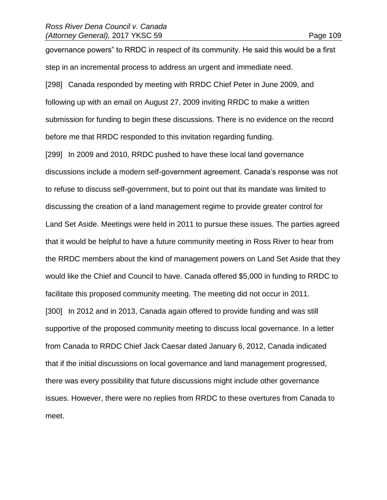governance powers" to RRDC in respect of its community. He said this would be a first step in an incremental process to address an urgent and immediate need. [298] Canada responded by meeting with RRDC Chief Peter in June 2009, and following up with an email on August 27, 2009 inviting RRDC to make a written submission for funding to begin these discussions. There is no evidence on the record before me that RRDC responded to this invitation regarding funding.

[299] In 2009 and 2010, RRDC pushed to have these local land governance discussions include a modern self-government agreement. Canada's response was not to refuse to discuss self-government, but to point out that its mandate was limited to discussing the creation of a land management regime to provide greater control for Land Set Aside. Meetings were held in 2011 to pursue these issues. The parties agreed that it would be helpful to have a future community meeting in Ross River to hear from the RRDC members about the kind of management powers on Land Set Aside that they would like the Chief and Council to have. Canada offered \$5,000 in funding to RRDC to facilitate this proposed community meeting. The meeting did not occur in 2011. [300] In 2012 and in 2013, Canada again offered to provide funding and was still supportive of the proposed community meeting to discuss local governance. In a letter from Canada to RRDC Chief Jack Caesar dated January 6, 2012, Canada indicated that if the initial discussions on local governance and land management progressed, there was every possibility that future discussions might include other governance issues. However, there were no replies from RRDC to these overtures from Canada to meet.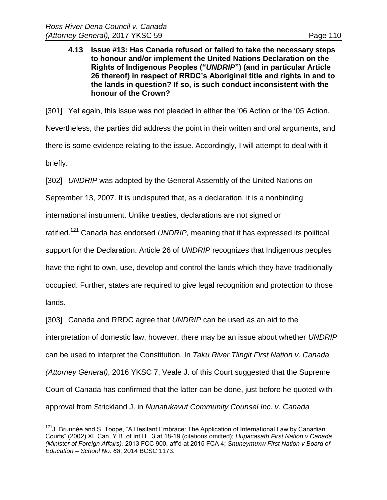$\overline{a}$ 

**4.13 Issue #13: Has Canada refused or failed to take the necessary steps to honour and/or implement the United Nations Declaration on the Rights of Indigenous Peoples ("***UNDRIP***") (and in particular Article 26 thereof) in respect of RRDC's Aboriginal title and rights in and to the lands in question? If so, is such conduct inconsistent with the honour of the Crown?**

[301] Yet again, this issue was not pleaded in either the '06 Action or the '05 Action. Nevertheless, the parties did address the point in their written and oral arguments, and there is some evidence relating to the issue. Accordingly, I will attempt to deal with it briefly.

[302] *UNDRIP* was adopted by the General Assembly of the United Nations on

September 13, 2007. It is undisputed that, as a declaration, it is a nonbinding

international instrument. Unlike treaties, declarations are not signed or

ratified.<sup>121</sup> Canada has endorsed *UNDRIP,* meaning that it has expressed its political

support for the Declaration. Article 26 of *UNDRIP* recognizes that Indigenous peoples

have the right to own, use, develop and control the lands which they have traditionally

occupied. Further, states are required to give legal recognition and protection to those lands.

[303] Canada and RRDC agree that *UNDRIP* can be used as an aid to the interpretation of domestic law, however, there may be an issue about whether *UNDRIP* can be used to interpret the Constitution. In *Taku River Tlingit First Nation v. Canada (Attorney General)*, 2016 YKSC 7, Veale J. of this Court suggested that the Supreme Court of Canada has confirmed that the latter can be done, just before he quoted with approval from Strickland J. in *Nunatukavut Community Counsel Inc. v. Canada* 

<sup>&</sup>lt;sup>121</sup>J. Brunnée and S. Toope, "A Hesitant Embrace: The Application of International Law by Canadian Courts" (2002) XL Can. Y.B. of Int'l L. 3 at 18-19 (citations omitted); *Hupacasath First Nation v Canada (Minister of Foreign Affairs),* 2013 FCC 900, aff'd at 2015 FCA 4; *Snuneymuxw First Nation v Board of Education – School No. 68*, 2014 BCSC 1173.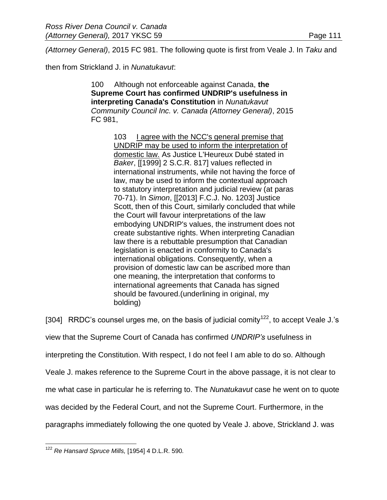*(Attorney General)*, 2015 FC 981. The following quote is first from Veale J. In *Taku* and

then from Strickland J. in *Nunatukavut*:

100 Although not enforceable against Canada, **the Supreme Court has confirmed UNDRIP's usefulness in interpreting Canada's Constitution** in *Nunatukavut Community Council Inc. v. Canada (Attorney General)*, [2015](https://www.lexisnexis.com/ca/legal/search/runRemoteLink.do?A=0.9083138577091842&bct=A&service=citation&risb=21_T26107600088&langcountry=CA&linkInfo=F%23CA%23FC%23sel1%252015%25year%252015%25decisiondate%252015%25onum%25981%25)  [FC 981,](https://www.lexisnexis.com/ca/legal/search/runRemoteLink.do?A=0.9083138577091842&bct=A&service=citation&risb=21_T26107600088&langcountry=CA&linkInfo=F%23CA%23FC%23sel1%252015%25year%252015%25decisiondate%252015%25onum%25981%25)

> 103 Lagree with the NCC's general premise that UNDRIP may be used to inform the interpretation of domestic law. As Justice L'Heureux Dubé stated in *Baker*, [\[\[1999\] 2 S.C.R. 817\]](https://www.lexisnexis.com/ca/legal/search/runRemoteLink.do?A=0.6417746190970005&bct=A&service=citation&risb=21_T26107600088&langcountry=CA&linkInfo=F%23CA%23SCR%23vol%252%25sel1%251999%25page%25817%25year%251999%25sel2%252%25) values reflected in international instruments, while not having the force of law, may be used to inform the contextual approach to statutory interpretation and judicial review (at paras 70-71). In *Simon*, [\[\[2013\] F.C.J. No. 1203\]](https://www.lexisnexis.com/ca/legal/search/runRemoteLink.do?A=0.6300371173585231&bct=A&service=citation&risb=21_T26107600088&langcountry=CA&linkInfo=F%23CA%23FCJ%23ref%251203%25sel1%252013%25year%252013%25) Justice Scott, then of this Court, similarly concluded that while the Court will favour interpretations of the law embodying UNDRIP's values, the instrument does not create substantive rights. When interpreting Canadian law there is a rebuttable presumption that Canadian legislation is enacted in conformity to Canada's international obligations. Consequently, when a provision of domestic law can be ascribed more than one meaning, the interpretation that conforms to international agreements that Canada has signed should be favoured.(underlining in original, my bolding)

[304] RRDC's counsel urges me, on the basis of judicial comity<sup>122</sup>, to accept Veale J.'s view that the Supreme Court of Canada has confirmed *UNDRIP's* usefulness in interpreting the Constitution. With respect, I do not feel I am able to do so. Although Veale J. makes reference to the Supreme Court in the above passage, it is not clear to me what case in particular he is referring to. The *Nunatukavut* case he went on to quote was decided by the Federal Court, and not the Supreme Court. Furthermore, in the paragraphs immediately following the one quoted by Veale J. above, Strickland J. was

 $\overline{\phantom{a}}$ <sup>122</sup> *Re Hansard Spruce Mills,* [1954] 4 D.L.R. 590*.*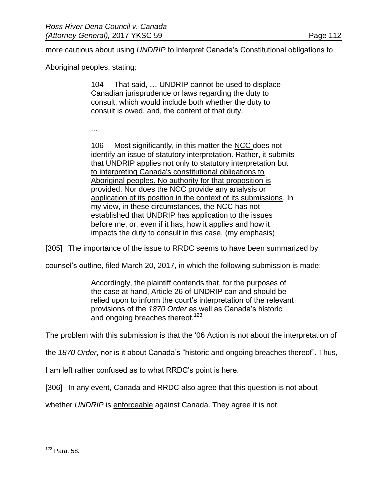more cautious about using *UNDRIP* to interpret Canada's Constitutional obligations to

Aboriginal peoples, stating:

104 That said, … UNDRIP cannot be used to displace Canadian jurisprudence or laws regarding the duty to consult, which would include both whether the duty to consult is owed, and, the content of that duty.

...

106 Most significantly, in this matter the NCC does not identify an issue of statutory interpretation. Rather, it submits that UNDRIP applies not only to statutory interpretation but to interpreting Canada's constitutional obligations to Aboriginal peoples. No authority for that proposition is provided. Nor does the NCC provide any analysis or application of its position in the context of its submissions. In my view, in these circumstances, the NCC has not established that UNDRIP has application to the issues before me, or, even if it has, how it applies and how it impacts the duty to consult in this case. (my emphasis)

[305] The importance of the issue to RRDC seems to have been summarized by

counsel's outline, filed March 20, 2017, in which the following submission is made:

Accordingly, the plaintiff contends that, for the purposes of the case at hand, Article 26 of UNDRIP can and should be relied upon to inform the court's interpretation of the relevant provisions of the *1870 Order* as well as Canada's historic and ongoing breaches thereof.<sup>123</sup>

The problem with this submission is that the '06 Action is not about the interpretation of

the *1870 Order*, nor is it about Canada's "historic and ongoing breaches thereof". Thus,

I am left rather confused as to what RRDC's point is here.

[306] In any event, Canada and RRDC also agree that this question is not about

whether *UNDRIP* is enforceable against Canada. They agree it is not.

 $\overline{a}$ <sup>123</sup> Para. 58.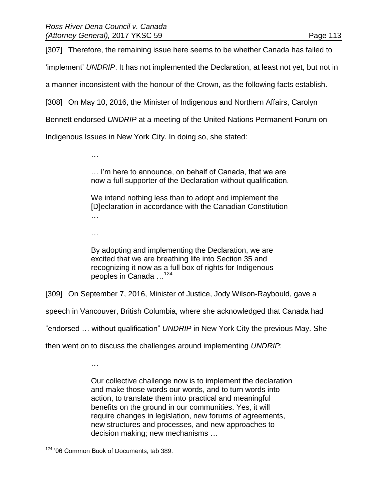[307] Therefore, the remaining issue here seems to be whether Canada has failed to

'implement' *UNDRIP*. It has not implemented the Declaration, at least not yet, but not in

a manner inconsistent with the honour of the Crown, as the following facts establish.

[308] On May 10, 2016, the Minister of Indigenous and Northern Affairs, Carolyn

Bennett endorsed *UNDRIP* at a meeting of the United Nations Permanent Forum on

Indigenous Issues in New York City. In doing so, she stated:

… I'm here to announce, on behalf of Canada, that we are now a full supporter of the Declaration without qualification.

We intend nothing less than to adopt and implement the [D]eclaration in accordance with the Canadian Constitution …

…

…

By adopting and implementing the Declaration, we are excited that we are breathing life into Section 35 and recognizing it now as a full box of rights for Indigenous peoples in Canada …<sup>124</sup>

[309] On September 7, 2016, Minister of Justice, Jody Wilson-Raybould, gave a

speech in Vancouver, British Columbia, where she acknowledged that Canada had

"endorsed … without qualification" *UNDRIP* in New York City the previous May. She

then went on to discuss the challenges around implementing *UNDRIP*:

…

Our collective challenge now is to implement the declaration and make those words our words, and to turn words into action, to translate them into practical and meaningful benefits on the ground in our communities. Yes, it will require changes in legislation, new forums of agreements, new structures and processes, and new approaches to decision making; new mechanisms …

 $\overline{a}$ <sup>124</sup> '06 Common Book of Documents, tab 389.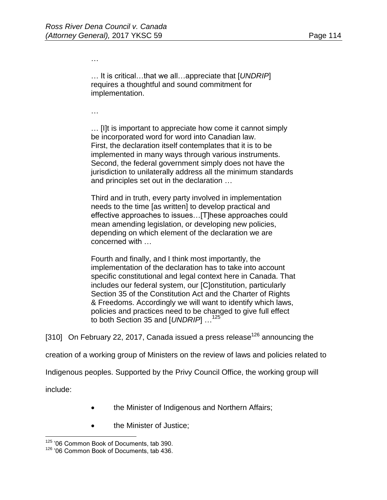…

… It is critical…that we all…appreciate that [*UNDRIP*] requires a thoughtful and sound commitment for implementation.

…

… [I]t is important to appreciate how come it cannot simply be incorporated word for word into Canadian law. First, the declaration itself contemplates that it is to be implemented in many ways through various instruments. Second, the federal government simply does not have the jurisdiction to unilaterally address all the minimum standards and principles set out in the declaration …

Third and in truth, every party involved in implementation needs to the time [as written] to develop practical and effective approaches to issues…[T]hese approaches could mean amending legislation, or developing new policies, depending on which element of the declaration we are concerned with …

Fourth and finally, and I think most importantly, the implementation of the declaration has to take into account specific constitutional and legal context here in Canada. That includes our federal system, our [C]onstitution, particularly Section 35 of the Constitution Act and the Charter of Rights & Freedoms. Accordingly we will want to identify which laws, policies and practices need to be changed to give full effect to both Section 35 and [*UNDRIP*] …<sup>125</sup>

[310] On February 22, 2017, Canada issued a press release<sup>126</sup> announcing the

creation of a working group of Ministers on the review of laws and policies related to

Indigenous peoples. Supported by the Privy Council Office, the working group will

include:

 $\overline{a}$ 

- the Minister of Indigenous and Northern Affairs;
- the Minister of Justice;

<sup>&</sup>lt;sup>125</sup> '06 Common Book of Documents, tab 390.

<sup>&</sup>lt;sup>126</sup> '06 Common Book of Documents, tab 436.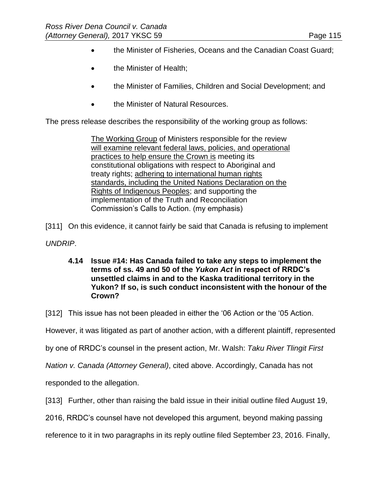- the Minister of Fisheries, Oceans and the Canadian Coast Guard;
- the Minister of Health;
- the Minister of Families, Children and Social Development; and
- the Minister of Natural Resources.

The press release describes the responsibility of the working group as follows:

The Working Group of Ministers responsible for the review will examine relevant federal laws, policies, and operational practices to help ensure the Crown is meeting its constitutional obligations with respect to Aboriginal and treaty rights; adhering to international human rights standards, including the United Nations Declaration on the Rights of Indigenous Peoples; and supporting the implementation of the Truth and Reconciliation Commission's Calls to Action. (my emphasis)

[311] On this evidence, it cannot fairly be said that Canada is refusing to implement

*UNDRIP*.

**4.14 Issue #14: Has Canada failed to take any steps to implement the terms of ss. 49 and 50 of the** *Yukon Act* **in respect of RRDC's unsettled claims in and to the Kaska traditional territory in the Yukon? If so, is such conduct inconsistent with the honour of the Crown?**

[312] This issue has not been pleaded in either the '06 Action or the '05 Action.

However, it was litigated as part of another action, with a different plaintiff, represented

by one of RRDC's counsel in the present action, Mr. Walsh: *Taku River Tlingit First* 

*Nation v. Canada (Attorney General)*, cited above. Accordingly, Canada has not

responded to the allegation.

[313] Further, other than raising the bald issue in their initial outline filed August 19,

2016, RRDC's counsel have not developed this argument, beyond making passing

reference to it in two paragraphs in its reply outline filed September 23, 2016. Finally,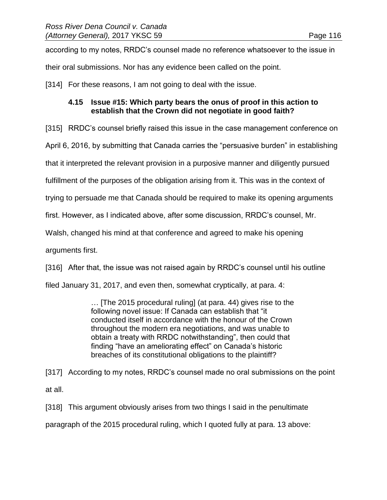according to my notes, RRDC's counsel made no reference whatsoever to the issue in

their oral submissions. Nor has any evidence been called on the point.

[314] For these reasons, I am not going to deal with the issue.

## **4.15 Issue #15: Which party bears the onus of proof in this action to establish that the Crown did not negotiate in good faith?**

[315] RRDC's counsel briefly raised this issue in the case management conference on

April 6, 2016, by submitting that Canada carries the "persuasive burden" in establishing

that it interpreted the relevant provision in a purposive manner and diligently pursued

fulfillment of the purposes of the obligation arising from it. This was in the context of

trying to persuade me that Canada should be required to make its opening arguments

first. However, as I indicated above, after some discussion, RRDC's counsel, Mr.

Walsh, changed his mind at that conference and agreed to make his opening

arguments first.

[316] After that, the issue was not raised again by RRDC's counsel until his outline

filed January 31, 2017, and even then, somewhat cryptically, at para. 4:

… [The 2015 procedural ruling] (at para. 44) gives rise to the following novel issue: If Canada can establish that "it conducted itself in accordance with the honour of the Crown throughout the modern era negotiations, and was unable to obtain a treaty with RRDC notwithstanding", then could that finding "have an ameliorating effect" on Canada's historic breaches of its constitutional obligations to the plaintiff?

[317] According to my notes, RRDC's counsel made no oral submissions on the point at all.

[318] This argument obviously arises from two things I said in the penultimate paragraph of the 2015 procedural ruling, which I quoted fully at para. 13 above: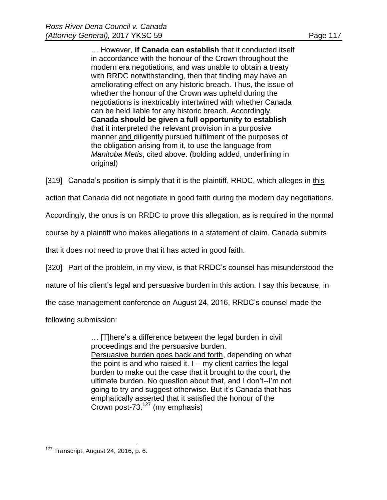… However, **if Canada can establish** that it conducted itself in accordance with the honour of the Crown throughout the modern era negotiations, and was unable to obtain a treaty with RRDC notwithstanding, then that finding may have an ameliorating effect on any historic breach. Thus, the issue of whether the honour of the Crown was upheld during the negotiations is inextricably intertwined with whether Canada can be held liable for any historic breach. Accordingly, **Canada should be given a full opportunity to establish** that it interpreted the relevant provision in a purposive manner and diligently pursued fulfilment of the purposes of the obligation arising from it, to use the language from *Manitoba Metis*, cited above. (bolding added, underlining in original)

[319] Canada's position is simply that it is the plaintiff, RRDC, which alleges in this

action that Canada did not negotiate in good faith during the modern day negotiations.

Accordingly, the onus is on RRDC to prove this allegation, as is required in the normal

course by a plaintiff who makes allegations in a statement of claim. Canada submits

that it does not need to prove that it has acted in good faith.

[320] Part of the problem, in my view, is that RRDC's counsel has misunderstood the

nature of his client's legal and persuasive burden in this action. I say this because, in

the case management conference on August 24, 2016, RRDC's counsel made the

following submission:

… [T]here's a difference between the legal burden in civil proceedings and the persuasive burden. Persuasive burden goes back and forth, depending on what the point is and who raised it. I -- my client carries the legal burden to make out the case that it brought to the court, the ultimate burden. No question about that, and I don't--I'm not going to try and suggest otherwise. But it's Canada that has emphatically asserted that it satisfied the honour of the Crown post-73.<sup>127</sup> (my emphasis)

 $\overline{a}$  $127$  Transcript, August 24, 2016, p. 6.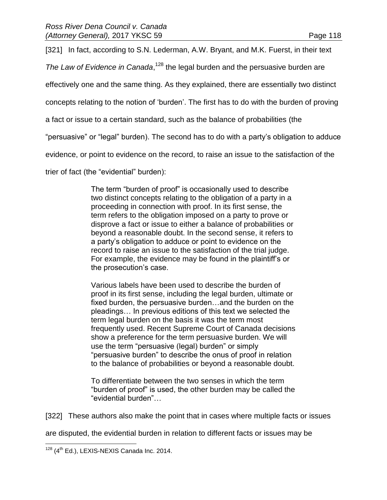[321] In fact, according to S.N. Lederman, A.W. Bryant, and M.K. Fuerst, in their text

The Law of Evidence in Canada,<sup>128</sup> the legal burden and the persuasive burden are

effectively one and the same thing. As they explained, there are essentially two distinct

concepts relating to the notion of 'burden'. The first has to do with the burden of proving

a fact or issue to a certain standard, such as the balance of probabilities (the

"persuasive" or "legal" burden). The second has to do with a party's obligation to adduce

evidence, or point to evidence on the record, to raise an issue to the satisfaction of the

trier of fact (the "evidential" burden):

The term "burden of proof" is occasionally used to describe two distinct concepts relating to the obligation of a party in a proceeding in connection with proof. In its first sense, the term refers to the obligation imposed on a party to prove or disprove a fact or issue to either a balance of probabilities or beyond a reasonable doubt. In the second sense, it refers to a party's obligation to adduce or point to evidence on the record to raise an issue to the satisfaction of the trial judge. For example, the evidence may be found in the plaintiff's or the prosecution's case.

Various labels have been used to describe the burden of proof in its first sense, including the legal burden, ultimate or fixed burden, the persuasive burden…and the burden on the pleadings… In previous editions of this text we selected the term legal burden on the basis it was the term most frequently used. Recent Supreme Court of Canada decisions show a preference for the term persuasive burden. We will use the term "persuasive (legal) burden" or simply "persuasive burden" to describe the onus of proof in relation to the balance of probabilities or beyond a reasonable doubt.

To differentiate between the two senses in which the term "burden of proof" is used, the other burden may be called the "evidential burden"…

[322] These authors also make the point that in cases where multiple facts or issues

are disputed, the evidential burden in relation to different facts or issues may be

 $\overline{a}$  $128$  (4<sup>th</sup> Ed.), LEXIS-NEXIS Canada Inc. 2014.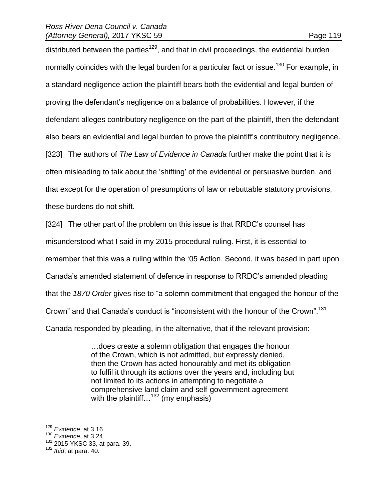distributed between the parties<sup>129</sup>, and that in civil proceedings, the evidential burden normally coincides with the legal burden for a particular fact or issue.<sup>130</sup> For example, in a standard negligence action the plaintiff bears both the evidential and legal burden of proving the defendant's negligence on a balance of probabilities. However, if the defendant alleges contributory negligence on the part of the plaintiff, then the defendant also bears an evidential and legal burden to prove the plaintiff's contributory negligence. [323] The authors of *The Law of Evidence in Canada* further make the point that it is often misleading to talk about the 'shifting' of the evidential or persuasive burden, and that except for the operation of presumptions of law or rebuttable statutory provisions, these burdens do not shift.

[324] The other part of the problem on this issue is that RRDC's counsel has misunderstood what I said in my 2015 procedural ruling. First, it is essential to remember that this was a ruling within the '05 Action. Second, it was based in part upon Canada's amended statement of defence in response to RRDC's amended pleading that the *1870 Order* gives rise to "a solemn commitment that engaged the honour of the Crown" and that Canada's conduct is "inconsistent with the honour of the Crown".<sup>131</sup> Canada responded by pleading, in the alternative, that if the relevant provision:

> …does create a solemn obligation that engages the honour of the Crown, which is not admitted, but expressly denied, then the Crown has acted honourably and met its obligation to fulfil it through its actions over the years and, including but not limited to its actions in attempting to negotiate a comprehensive land claim and self-government agreement with the plaintiff…<sup>132</sup> (my emphasis)

 $\overline{a}$ <sup>129</sup> *Evidence*, at 3.16.

<sup>130</sup> *Evidence*, at 3.24.

<sup>131 2015</sup> YKSC 33, at para. 39.

<sup>132</sup> *Ibid*, at para. 40.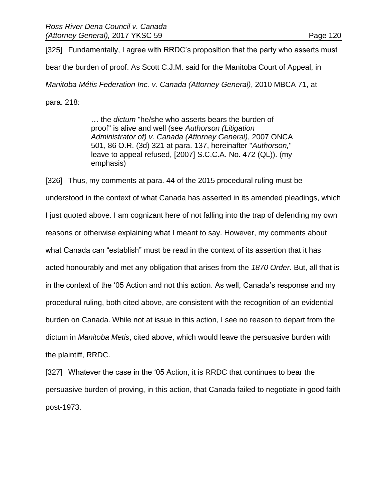[325] Fundamentally, I agree with RRDC's proposition that the party who asserts must bear the burden of proof. As Scott C.J.M. said for the Manitoba Court of Appeal, in *Manitoba Métis Federation Inc. v. Canada (Attorney General)*, 2010 MBCA 71, at para. 218:

> … the *dictum* "he/she who asserts bears the burden of proof" is alive and well (see *Authorson (Litigation Administrator of) v. Canada (Attorney General)*, [2007 ONCA](http://www.lexisnexis.com/ca/legal/search/runRemoteLink.do?A=0.2814962604708968&bct=A&service=citation&risb=21_T26164722187&langcountry=CA&linkInfo=F%23CA%23ONCA%23sel1%252007%25year%252007%25decisiondate%252007%25onum%25501%25)  [501,](http://www.lexisnexis.com/ca/legal/search/runRemoteLink.do?A=0.2814962604708968&bct=A&service=citation&risb=21_T26164722187&langcountry=CA&linkInfo=F%23CA%23ONCA%23sel1%252007%25year%252007%25decisiondate%252007%25onum%25501%25) [86 O.R. \(3d\) 321](http://www.lexisnexis.com/ca/legal/search/runRemoteLink.do?A=0.9702209547600106&bct=A&service=citation&risb=21_T26164722187&langcountry=CA&linkInfo=F%23CA%23OR3%23vol%2586%25page%25321%25sel2%2586%25) at para. 137, hereinafter "*Authorson,*" leave to appeal refused, [\[2007\] S.C.C.A. No. 472](http://www.lexisnexis.com/ca/legal/search/runRemoteLink.do?A=0.6781820603550784&bct=A&service=citation&risb=21_T26164722187&langcountry=CA&linkInfo=F%23CA%23SCCA%23ref%25472%25sel1%252007%25year%252007%25) (QL)). (my emphasis)

[326] Thus, my comments at para. 44 of the 2015 procedural ruling must be understood in the context of what Canada has asserted in its amended pleadings, which I just quoted above. I am cognizant here of not falling into the trap of defending my own reasons or otherwise explaining what I meant to say. However, my comments about what Canada can "establish" must be read in the context of its assertion that it has acted honourably and met any obligation that arises from the *1870 Order.* But, all that is in the context of the '05 Action and not this action. As well, Canada's response and my procedural ruling, both cited above, are consistent with the recognition of an evidential burden on Canada. While not at issue in this action, I see no reason to depart from the dictum in *Manitoba Metis*, cited above, which would leave the persuasive burden with the plaintiff, RRDC.

[327] Whatever the case in the '05 Action, it is RRDC that continues to bear the persuasive burden of proving, in this action, that Canada failed to negotiate in good faith post-1973.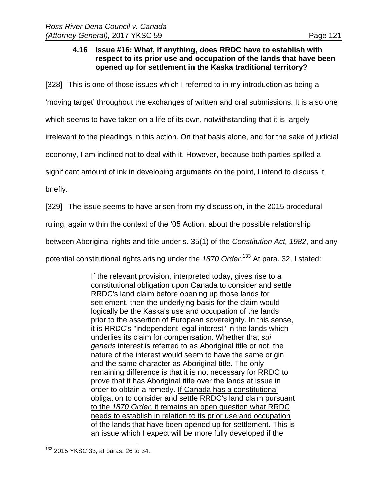### **4.16 Issue #16: What, if anything, does RRDC have to establish with respect to its prior use and occupation of the lands that have been opened up for settlement in the Kaska traditional territory?**

[328] This is one of those issues which I referred to in my introduction as being a

'moving target' throughout the exchanges of written and oral submissions. It is also one

which seems to have taken on a life of its own, notwithstanding that it is largely

irrelevant to the pleadings in this action. On that basis alone, and for the sake of judicial

economy, I am inclined not to deal with it. However, because both parties spilled a

significant amount of ink in developing arguments on the point, I intend to discuss it

briefly.

[329] The issue seems to have arisen from my discussion, in the 2015 procedural

ruling, again within the context of the '05 Action, about the possible relationship

between Aboriginal rights and title under s. 35(1) of the *Constitution Act, 1982*, and any

potential constitutional rights arising under the *1870 Order.* <sup>133</sup> At para. 32, I stated:

If the relevant provision, interpreted today, gives rise to a constitutional obligation upon Canada to consider and settle RRDC's land claim before opening up those lands for settlement, then the underlying basis for the claim would logically be the Kaska's use and occupation of the lands prior to the assertion of European sovereignty. In this sense, it is RRDC's "independent legal interest" in the lands which underlies its claim for compensation. Whether that *sui generis* interest is referred to as Aboriginal title or not, the nature of the interest would seem to have the same origin and the same character as Aboriginal title. The only remaining difference is that it is not necessary for RRDC to prove that it has Aboriginal title over the lands at issue in order to obtain a remedy. If Canada has a constitutional obligation to consider and settle RRDC's land claim pursuant to the *1870 Order,* it remains an open question what RRDC needs to establish in relation to its prior use and occupation of the lands that have been opened up for settlement. This is an issue which I expect will be more fully developed if the

 $\overline{a}$ <sup>133</sup> 2015 YKSC 33, at paras. 26 to 34.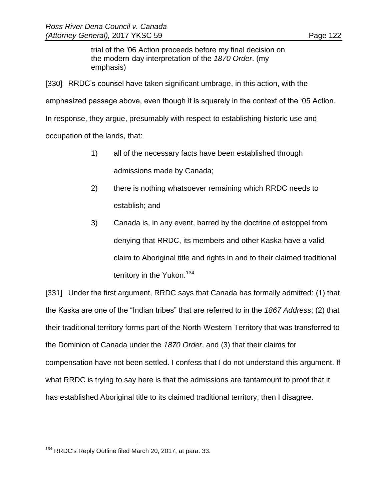trial of the '06 Action proceeds before my final decision on the modern-day interpretation of the *1870 Order*. (my emphasis)

[330] RRDC's counsel have taken significant umbrage, in this action, with the emphasized passage above, even though it is squarely in the context of the '05 Action. In response, they argue, presumably with respect to establishing historic use and occupation of the lands, that:

- 1) all of the necessary facts have been established through admissions made by Canada;
- 2) there is nothing whatsoever remaining which RRDC needs to establish; and
- 3) Canada is, in any event, barred by the doctrine of estoppel from denying that RRDC, its members and other Kaska have a valid claim to Aboriginal title and rights in and to their claimed traditional territory in the Yukon.  $134$

[331] Under the first argument, RRDC says that Canada has formally admitted: (1) that the Kaska are one of the "Indian tribes" that are referred to in the *1867 Address*; (2) that their traditional territory forms part of the North-Western Territory that was transferred to the Dominion of Canada under the *1870 Order*, and (3) that their claims for compensation have not been settled. I confess that I do not understand this argument. If what RRDC is trying to say here is that the admissions are tantamount to proof that it has established Aboriginal title to its claimed traditional territory, then I disagree.

 $\overline{a}$ <sup>134</sup> RRDC's Reply Outline filed March 20, 2017, at para. 33.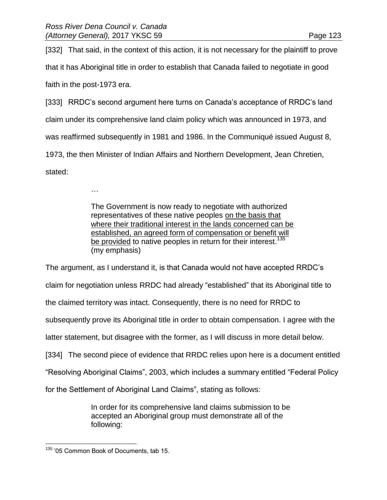[332] That said, in the context of this action, it is not necessary for the plaintiff to prove that it has Aboriginal title in order to establish that Canada failed to negotiate in good faith in the post-1973 era.

[333] RRDC's second argument here turns on Canada's acceptance of RRDC's land claim under its comprehensive land claim policy which was announced in 1973, and was reaffirmed subsequently in 1981 and 1986. In the Communiqué issued August 8, 1973, the then Minister of Indian Affairs and Northern Development, Jean Chretien, stated:

…

The Government is now ready to negotiate with authorized representatives of these native peoples on the basis that where their traditional interest in the lands concerned can be established, an agreed form of compensation or benefit will be provided to native peoples in return for their interest.<sup>135</sup> (my emphasis)

The argument, as I understand it, is that Canada would not have accepted RRDC's claim for negotiation unless RRDC had already "established" that its Aboriginal title to the claimed territory was intact. Consequently, there is no need for RRDC to subsequently prove its Aboriginal title in order to obtain compensation. I agree with the latter statement, but disagree with the former, as I will discuss in more detail below. [334] The second piece of evidence that RRDC relies upon here is a document entitled "Resolving Aboriginal Claims", 2003, which includes a summary entitled "Federal Policy for the Settlement of Aboriginal Land Claims", stating as follows:

> In order for its comprehensive land claims submission to be accepted an Aboriginal group must demonstrate all of the following:

 $\overline{a}$ <sup>135</sup> '05 Common Book of Documents, tab 15.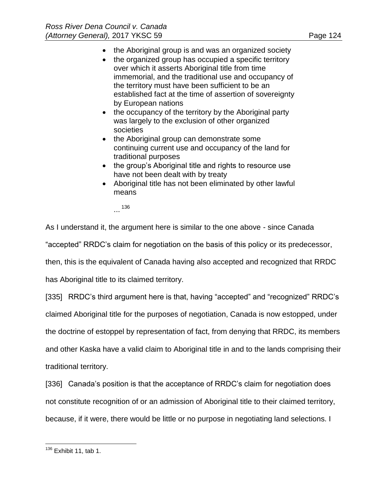- the Aboriginal group is and was an organized society
- the organized group has occupied a specific territory over which it asserts Aboriginal title from time immemorial, and the traditional use and occupancy of the territory must have been sufficient to be an established fact at the time of assertion of sovereignty by European nations
- the occupancy of the territory by the Aboriginal party was largely to the exclusion of other organized societies
- the Aboriginal group can demonstrate some continuing current use and occupancy of the land for traditional purposes
- the group's Aboriginal title and rights to resource use have not been dealt with by treaty
- Aboriginal title has not been eliminated by other lawful means

... 136

As I understand it, the argument here is similar to the one above - since Canada

"accepted" RRDC's claim for negotiation on the basis of this policy or its predecessor,

then, this is the equivalent of Canada having also accepted and recognized that RRDC

has Aboriginal title to its claimed territory.

[335] RRDC's third argument here is that, having "accepted" and "recognized" RRDC's

claimed Aboriginal title for the purposes of negotiation, Canada is now estopped, under

the doctrine of estoppel by representation of fact, from denying that RRDC, its members

and other Kaska have a valid claim to Aboriginal title in and to the lands comprising their

traditional territory.

[336] Canada's position is that the acceptance of RRDC's claim for negotiation does not constitute recognition of or an admission of Aboriginal title to their claimed territory, because, if it were, there would be little or no purpose in negotiating land selections. I

 $\overline{a}$  $136$  Exhibit 11, tab 1.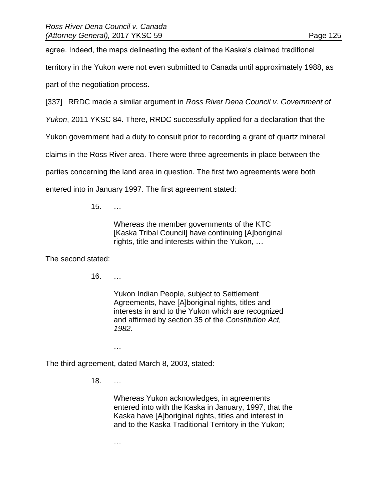agree. Indeed, the maps delineating the extent of the Kaska's claimed traditional territory in the Yukon were not even submitted to Canada until approximately 1988, as part of the negotiation process.

[337] RRDC made a similar argument in *Ross River Dena Council v. Government of* 

*Yukon*, 2011 YKSC 84. There, RRDC successfully applied for a declaration that the

Yukon government had a duty to consult prior to recording a grant of quartz mineral

claims in the Ross River area. There were three agreements in place between the

parties concerning the land area in question. The first two agreements were both

entered into in January 1997. The first agreement stated:

15. …

Whereas the member governments of the KTC [Kaska Tribal Council] have continuing [A]boriginal rights, title and interests within the Yukon, …

The second stated:

16. …

Yukon Indian People, subject to Settlement Agreements, have [A]boriginal rights, titles and interests in and to the Yukon which are recognized and affirmed by section 35 of the *Constitution Act, 1982.*

The third agreement, dated March 8, 2003, stated:

…

18. …

Whereas Yukon acknowledges, in agreements entered into with the Kaska in January, 1997, that the Kaska have [A]boriginal rights, titles and interest in and to the Kaska Traditional Territory in the Yukon;

…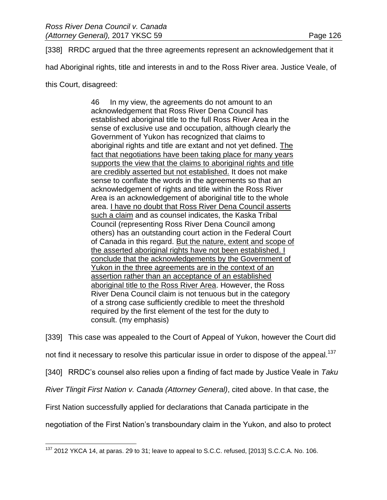[338] RRDC argued that the three agreements represent an acknowledgement that it

had Aboriginal rights, title and interests in and to the Ross River area. Justice Veale, of

this Court, disagreed:

46 In my view, the agreements do not amount to an acknowledgement that Ross River Dena Council has established aboriginal title to the full Ross River Area in the sense of exclusive use and occupation, although clearly the Government of Yukon has recognized that claims to aboriginal rights and title are extant and not yet defined. The fact that negotiations have been taking place for many years supports the view that the claims to aboriginal rights and title are credibly asserted but not established. It does not make sense to conflate the words in the agreements so that an acknowledgement of rights and title within the Ross River Area is an acknowledgement of aboriginal title to the whole area. I have no doubt that Ross River Dena Council asserts such a claim and as counsel indicates, the Kaska Tribal Council (representing Ross River Dena Council among others) has an outstanding court action in the Federal Court of Canada in this regard. But the nature, extent and scope of the asserted aboriginal rights have not been established. I conclude that the acknowledgements by the Government of Yukon in the three agreements are in the context of an assertion rather than an acceptance of an established aboriginal title to the Ross River Area. However, the Ross River Dena Council claim is not tenuous but in the category of a strong case sufficiently credible to meet the threshold required by the first element of the test for the duty to consult. (my emphasis)

[339] This case was appealed to the Court of Appeal of Yukon, however the Court did not find it necessary to resolve this particular issue in order to dispose of the appeal.<sup>137</sup> [340] RRDC's counsel also relies upon a finding of fact made by Justice Veale in *Taku River Tlingit First Nation v. Canada (Attorney General)*, cited above. In that case, the

First Nation successfully applied for declarations that Canada participate in the

negotiation of the First Nation's transboundary claim in the Yukon, and also to protect

 $\overline{a}$  $137$  2012 YKCA 14, at paras. 29 to 31; leave to appeal to S.C.C. refused, [2013] S.C.C.A. No. 106.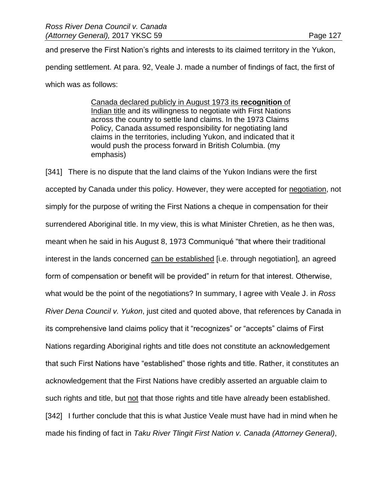and preserve the First Nation's rights and interests to its claimed territory in the Yukon, pending settlement. At para. 92, Veale J. made a number of findings of fact, the first of which was as follows:

> Canada declared publicly in August 1973 its **recognition** of Indian title and its willingness to negotiate with First Nations across the country to settle land claims. In the 1973 Claims Policy, Canada assumed responsibility for negotiating land claims in the territories, including Yukon, and indicated that it would push the process forward in British Columbia. (my emphasis)

[341] There is no dispute that the land claims of the Yukon Indians were the first accepted by Canada under this policy. However, they were accepted for negotiation, not simply for the purpose of writing the First Nations a cheque in compensation for their surrendered Aboriginal title. In my view, this is what Minister Chretien, as he then was, meant when he said in his August 8, 1973 Communiqué "that where their traditional interest in the lands concerned can be established [i.e. through negotiation], an agreed form of compensation or benefit will be provided" in return for that interest. Otherwise, what would be the point of the negotiations? In summary, I agree with Veale J. in *Ross River Dena Council v. Yukon*, just cited and quoted above, that references by Canada in its comprehensive land claims policy that it "recognizes" or "accepts" claims of First Nations regarding Aboriginal rights and title does not constitute an acknowledgement that such First Nations have "established" those rights and title. Rather, it constitutes an acknowledgement that the First Nations have credibly asserted an arguable claim to such rights and title, but not that those rights and title have already been established. [342] I further conclude that this is what Justice Veale must have had in mind when he made his finding of fact in *Taku River Tlingit First Nation v. Canada (Attorney General)*,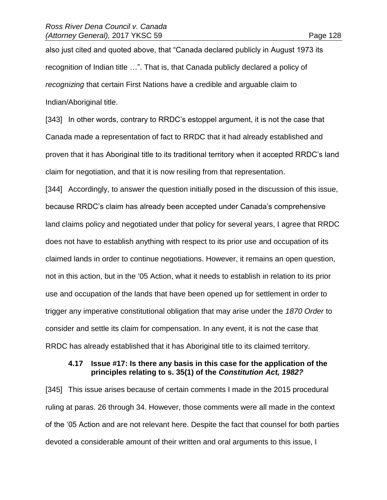also just cited and quoted above, that "Canada declared publicly in August 1973 its recognition of Indian title …". That is, that Canada publicly declared a policy of *recognizing* that certain First Nations have a credible and arguable claim to Indian/Aboriginal title.

[343] In other words, contrary to RRDC's estoppel argument, it is not the case that Canada made a representation of fact to RRDC that it had already established and proven that it has Aboriginal title to its traditional territory when it accepted RRDC's land claim for negotiation, and that it is now resiling from that representation.

[344] Accordingly, to answer the question initially posed in the discussion of this issue, because RRDC's claim has already been accepted under Canada's comprehensive land claims policy and negotiated under that policy for several years, I agree that RRDC does not have to establish anything with respect to its prior use and occupation of its claimed lands in order to continue negotiations. However, it remains an open question, not in this action, but in the '05 Action, what it needs to establish in relation to its prior use and occupation of the lands that have been opened up for settlement in order to trigger any imperative constitutional obligation that may arise under the *1870 Order* to consider and settle its claim for compensation. In any event, it is not the case that RRDC has already established that it has Aboriginal title to its claimed territory.

#### **4.17 Issue #17: Is there any basis in this case for the application of the principles relating to s. 35(1) of the** *Constitution Act, 1982?*

[345] This issue arises because of certain comments I made in the 2015 procedural ruling at paras. 26 through 34. However, those comments were all made in the context of the '05 Action and are not relevant here. Despite the fact that counsel for both parties devoted a considerable amount of their written and oral arguments to this issue, I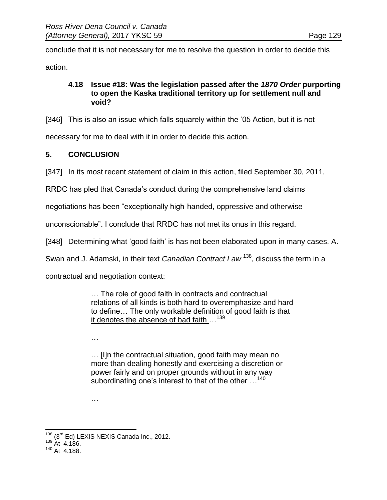conclude that it is not necessary for me to resolve the question in order to decide this action.

#### **4.18 Issue #18: Was the legislation passed after the** *1870 Order* **purporting to open the Kaska traditional territory up for settlement null and void?**

[346] This is also an issue which falls squarely within the '05 Action, but it is not

necessary for me to deal with it in order to decide this action.

# **5. CONCLUSION**

[347] In its most recent statement of claim in this action, filed September 30, 2011,

RRDC has pled that Canada's conduct during the comprehensive land claims

negotiations has been "exceptionally high-handed, oppressive and otherwise

unconscionable". I conclude that RRDC has not met its onus in this regard.

[348] Determining what 'good faith' is has not been elaborated upon in many cases. A.

Swan and J. Adamski, in their text *Canadian Contract Law* <sup>138</sup>, discuss the term in a

contractual and negotiation context:

… The role of good faith in contracts and contractual relations of all kinds is both hard to overemphasize and hard to define… The only workable definition of good faith is that it denotes the absence of bad faith  $\ldots$ <sup>139</sup>

…

… [I]n the contractual situation, good faith may mean no more than dealing honestly and exercising a discretion or power fairly and on proper grounds without in any way subordinating one's interest to that of the other  $\dots^{140}$ 

…

 $\overline{a}$ 138 (3<sup>rd</sup> Ed) LEXIS NEXIS Canada Inc., 2012.

 $139$  At 4.186.

 $140$  At 4.188.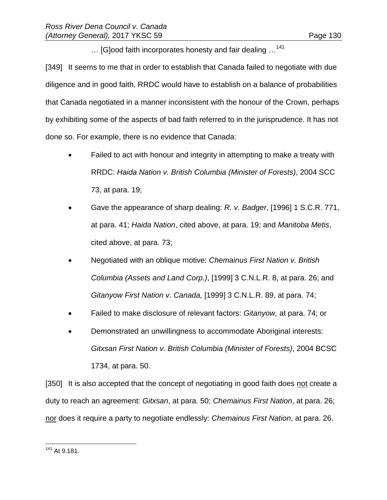… [G]ood faith incorporates honesty and fair dealing …<sup>141</sup>

[349] It seems to me that in order to establish that Canada failed to negotiate with due diligence and in good faith, RRDC would have to establish on a balance of probabilities that Canada negotiated in a manner inconsistent with the honour of the Crown, perhaps by exhibiting some of the aspects of bad faith referred to in the jurisprudence. It has not done so. For example, there is no evidence that Canada:

- Failed to act with honour and integrity in attempting to make a treaty with RRDC: *Haida Nation v. British Columbia (Minister of Forests)*, 2004 SCC 73, at para. 19;
- Gave the appearance of sharp dealing: *R. v. Badger*, [1996] 1 S.C.R. 771, at para. 41; *Haida Nation*, cited above, at para. 19; and *Manitoba Metis*, cited above, at para. 73;
- Negotiated with an oblique motive: *Chemainus First Nation v. British Columbia (Assets and Land Corp.)*, [1999] 3 C.N.L.R. 8, at para. 26; and *Gitanyow First Nation v. Canada,* [1999] 3 C.N.L.R. 89, at para. 74;
- Failed to make disclosure of relevant factors: *Gitanyow,* at para. 74; or
- Demonstrated an unwillingness to accommodate Aboriginal interests: *Gitxsan First Nation v. British Columbia (Minister of Forests)*, 2004 BCSC 1734, at para. 50.

[350] It is also accepted that the concept of negotiating in good faith does not create a duty to reach an agreement: *Gitxsan*, at para. 50; *Chemainus First Nation*, at para. 26; nor does it require a party to negotiate endlessly: *Chemainus First Nation*, at para. 26.

 $\overline{a}$ <sup>141</sup> At 9.181.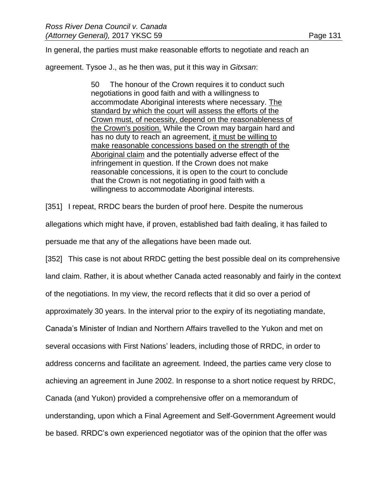In general, the parties must make reasonable efforts to negotiate and reach an

agreement. Tysoe J., as he then was, put it this way in *Gitxsan*:

50 The honour of the Crown requires it to conduct such negotiations in good faith and with a willingness to accommodate Aboriginal interests where necessary. The standard by which the court will assess the efforts of the Crown must, of necessity, depend on the reasonableness of the Crown's position. While the Crown may bargain hard and has no duty to reach an agreement, it must be willing to make reasonable concessions based on the strength of the Aboriginal claim and the potentially adverse effect of the infringement in question. If the Crown does not make reasonable concessions, it is open to the court to conclude that the Crown is not negotiating in good faith with a willingness to accommodate Aboriginal interests.

[351] I repeat, RRDC bears the burden of proof here. Despite the numerous

allegations which might have, if proven, established bad faith dealing, it has failed to

persuade me that any of the allegations have been made out.

[352] This case is not about RRDC getting the best possible deal on its comprehensive land claim. Rather, it is about whether Canada acted reasonably and fairly in the context of the negotiations. In my view, the record reflects that it did so over a period of approximately 30 years. In the interval prior to the expiry of its negotiating mandate, Canada's Minister of Indian and Northern Affairs travelled to the Yukon and met on several occasions with First Nations' leaders, including those of RRDC, in order to address concerns and facilitate an agreement. Indeed, the parties came very close to achieving an agreement in June 2002. In response to a short notice request by RRDC, Canada (and Yukon) provided a comprehensive offer on a memorandum of understanding, upon which a Final Agreement and Self-Government Agreement would be based. RRDC's own experienced negotiator was of the opinion that the offer was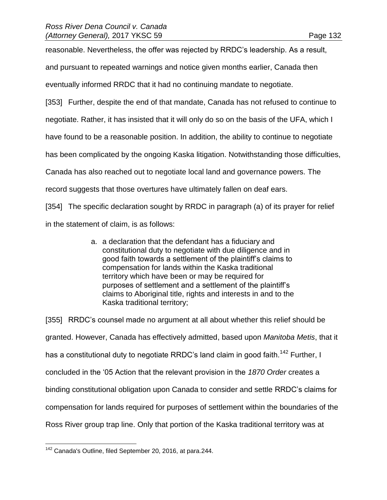reasonable. Nevertheless, the offer was rejected by RRDC's leadership. As a result,

and pursuant to repeated warnings and notice given months earlier, Canada then

eventually informed RRDC that it had no continuing mandate to negotiate.

[353] Further, despite the end of that mandate, Canada has not refused to continue to

negotiate. Rather, it has insisted that it will only do so on the basis of the UFA, which I

have found to be a reasonable position. In addition, the ability to continue to negotiate

has been complicated by the ongoing Kaska litigation. Notwithstanding those difficulties,

Canada has also reached out to negotiate local land and governance powers. The

record suggests that those overtures have ultimately fallen on deaf ears.

[354] The specific declaration sought by RRDC in paragraph (a) of its prayer for relief in the statement of claim, is as follows:

> a. a declaration that the defendant has a fiduciary and constitutional duty to negotiate with due diligence and in good faith towards a settlement of the plaintiff's claims to compensation for lands within the Kaska traditional territory which have been or may be required for purposes of settlement and a settlement of the plaintiff's claims to Aboriginal title, rights and interests in and to the Kaska traditional territory;

[355] RRDC's counsel made no argument at all about whether this relief should be granted. However, Canada has effectively admitted, based upon *Manitoba Metis*, that it has a constitutional duty to negotiate RRDC's land claim in good faith.<sup>142</sup> Further, I concluded in the '05 Action that the relevant provision in the *1870 Order* creates a binding constitutional obligation upon Canada to consider and settle RRDC's claims for compensation for lands required for purposes of settlement within the boundaries of the Ross River group trap line. Only that portion of the Kaska traditional territory was at

 $\overline{a}$  $142$  Canada's Outline, filed September 20, 2016, at para.244.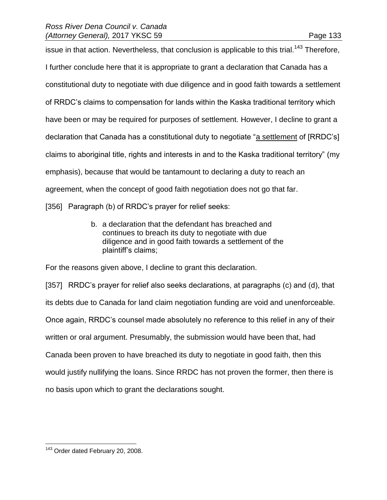issue in that action. Nevertheless, that conclusion is applicable to this trial.<sup>143</sup> Therefore, I further conclude here that it is appropriate to grant a declaration that Canada has a constitutional duty to negotiate with due diligence and in good faith towards a settlement of RRDC's claims to compensation for lands within the Kaska traditional territory which have been or may be required for purposes of settlement. However, I decline to grant a declaration that Canada has a constitutional duty to negotiate "a settlement of [RRDC's] claims to aboriginal title, rights and interests in and to the Kaska traditional territory" (my emphasis), because that would be tantamount to declaring a duty to reach an agreement, when the concept of good faith negotiation does not go that far.

[356] Paragraph (b) of RRDC's prayer for relief seeks:

b. a declaration that the defendant has breached and continues to breach its duty to negotiate with due diligence and in good faith towards a settlement of the plaintiff's claims;

For the reasons given above, I decline to grant this declaration.

[357] RRDC's prayer for relief also seeks declarations, at paragraphs (c) and (d), that its debts due to Canada for land claim negotiation funding are void and unenforceable. Once again, RRDC's counsel made absolutely no reference to this relief in any of their written or oral argument. Presumably, the submission would have been that, had Canada been proven to have breached its duty to negotiate in good faith, then this would justify nullifying the loans. Since RRDC has not proven the former, then there is no basis upon which to grant the declarations sought.

 $\overline{a}$ <sup>143</sup> Order dated February 20, 2008.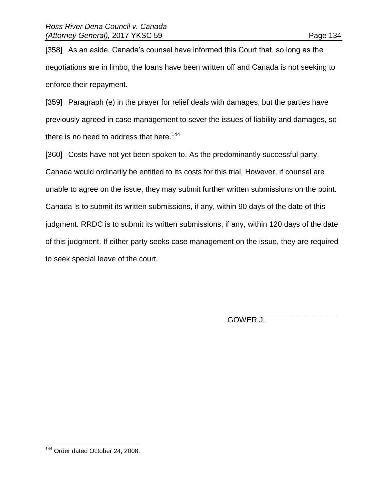[358] As an aside, Canada's counsel have informed this Court that, so long as the negotiations are in limbo, the loans have been written off and Canada is not seeking to enforce their repayment.

[359] Paragraph (e) in the prayer for relief deals with damages, but the parties have previously agreed in case management to sever the issues of liability and damages, so there is no need to address that here.<sup>144</sup>

[360] Costs have not yet been spoken to. As the predominantly successful party, Canada would ordinarily be entitled to its costs for this trial. However, if counsel are unable to agree on the issue, they may submit further written submissions on the point. Canada is to submit its written submissions, if any, within 90 days of the date of this judgment. RRDC is to submit its written submissions, if any, within 120 days of the date of this judgment. If either party seeks case management on the issue, they are required to seek special leave of the court.

> \_\_\_\_\_\_\_\_\_\_\_\_\_\_\_\_\_\_\_\_\_\_\_\_\_\_ GOWER J.

 $\overline{a}$ 

<sup>&</sup>lt;sup>144</sup> Order dated October 24, 2008.